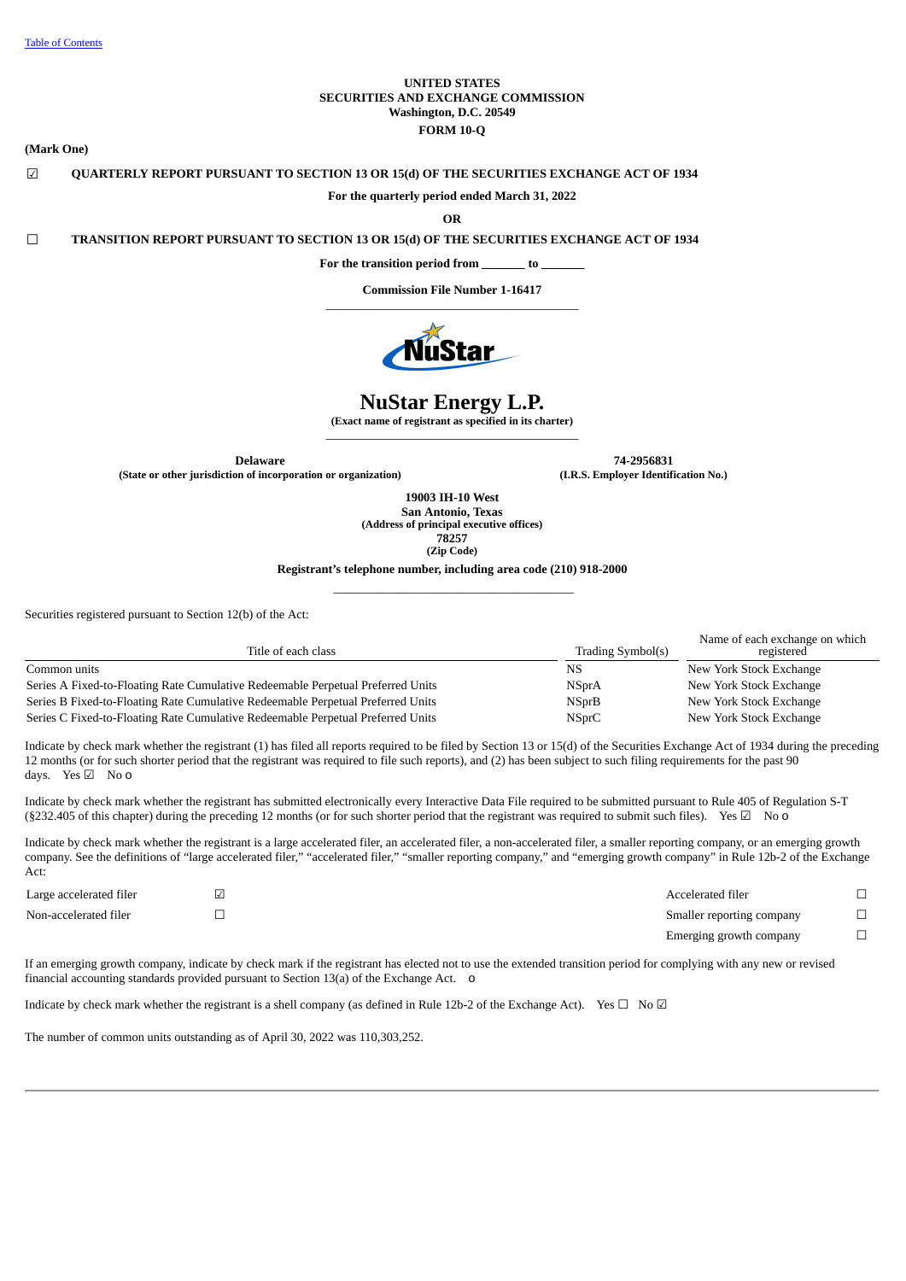## **UNITED STATES SECURITIES AND EXCHANGE COMMISSION Washington, D.C. 20549**

**FORM 10-Q**

**(Mark One)**

#### ☑ **QUARTERLY REPORT PURSUANT TO SECTION 13 OR 15(d) OF THE SECURITIES EXCHANGE ACT OF 1934**

**For the quarterly period ended March 31, 2022**

**OR**

☐ **TRANSITION REPORT PURSUANT TO SECTION 13 OR 15(d) OF THE SECURITIES EXCHANGE ACT OF 1934**

**For the transition period from \_\_\_\_\_\_\_ to \_\_\_\_\_\_\_**

**Commission File Number 1-16417** \_\_\_\_\_\_\_\_\_\_\_\_\_\_\_\_\_\_\_\_\_\_\_\_\_\_\_\_\_\_\_\_\_\_\_\_\_\_\_\_\_



## **NuStar Energy L.P.**

**(Exact name of registrant as specified in its charter)** \_\_\_\_\_\_\_\_\_\_\_\_\_\_\_\_\_\_\_\_\_\_\_\_\_\_\_\_\_\_\_\_\_\_\_\_\_\_\_\_\_

**Delaware 74-2956831 (State or other jurisdiction of incorporation or organization) (I.R.S. Employer Identification No.)**

**19003 IH-10 West**

**San Antonio, Texas (Address of principal executive offices) 78257 (Zip Code)**

**Registrant's telephone number, including area code (210) 918-2000** \_\_\_\_\_\_\_\_\_\_\_\_\_\_\_\_\_\_\_\_\_\_\_\_\_\_\_\_\_\_\_\_\_\_\_\_\_\_\_

Securities registered pursuant to Section 12(b) of the Act:

| Title of each class                                                             | Trading Symbol(s) | Name of each exchange on which<br>registered |
|---------------------------------------------------------------------------------|-------------------|----------------------------------------------|
| Common units                                                                    | NS                | New York Stock Exchange                      |
| Series A Fixed-to-Floating Rate Cumulative Redeemable Perpetual Preferred Units | <b>NSprA</b>      | New York Stock Exchange                      |
| Series B Fixed-to-Floating Rate Cumulative Redeemable Perpetual Preferred Units | <b>NSprB</b>      | New York Stock Exchange                      |
| Series C Fixed-to-Floating Rate Cumulative Redeemable Perpetual Preferred Units | <b>NSprC</b>      | New York Stock Exchange                      |

Indicate by check mark whether the registrant (1) has filed all reports required to be filed by Section 13 or 15(d) of the Securities Exchange Act of 1934 during the preceding 12 months (or for such shorter period that the registrant was required to file such reports), and (2) has been subject to such filing requirements for the past 90 days. Yes ☑ No o

Indicate by check mark whether the registrant has submitted electronically every Interactive Data File required to be submitted pursuant to Rule 405 of Regulation S-T (§232.405 of this chapter) during the preceding 12 months (or for such shorter period that the registrant was required to submit such files). Yes  $\boxtimes$  No 0

Indicate by check mark whether the registrant is a large accelerated filer, an accelerated filer, a non-accelerated filer, a smaller reporting company, or an emerging growth company. See the definitions of "large accelerated filer," "accelerated filer," "smaller reporting company," and "emerging growth company" in Rule 12b-2 of the Exchange Act:

| Large accelerated filer | Accelerated filer         |  |
|-------------------------|---------------------------|--|
| Non-accelerated filer   | Smaller reporting company |  |
|                         | Emerging growth company   |  |

If an emerging growth company, indicate by check mark if the registrant has elected not to use the extended transition period for complying with any new or revised financial accounting standards provided pursuant to Section 13(a) of the Exchange Act. o

Indicate by check mark whether the registrant is a shell company (as defined in Rule 12b-2 of the Exchange Act). Yes  $\Box$  No  $\Box$ 

<span id="page-0-0"></span>The number of common units outstanding as of April 30, 2022 was 110,303,252.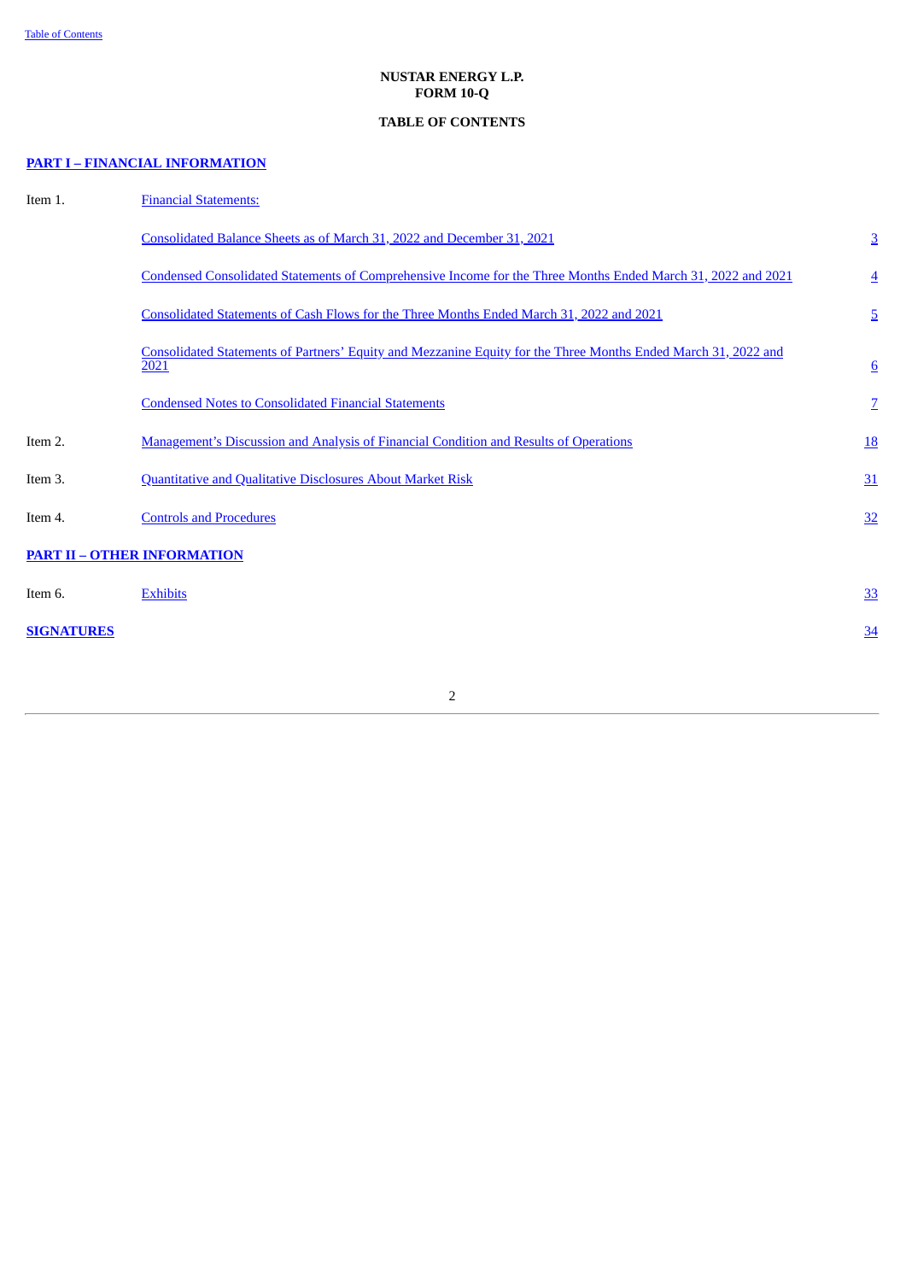# **NUSTAR ENERGY L.P. FORM 10-Q**

## **TABLE OF CONTENTS**

## **PART I – FINANCIAL [INFORMATION](#page-1-0)**

<span id="page-1-0"></span>

| Item 1.           | <b>Financial Statements:</b>                                                                                           |                 |
|-------------------|------------------------------------------------------------------------------------------------------------------------|-----------------|
|                   | Consolidated Balance Sheets as of March 31, 2022 and December 31, 2021                                                 | $\overline{3}$  |
|                   | Condensed Consolidated Statements of Comprehensive Income for the Three Months Ended March 31, 2022 and 2021           | $\overline{4}$  |
|                   | Consolidated Statements of Cash Flows for the Three Months Ended March 31, 2022 and 2021                               | $\overline{5}$  |
|                   | Consolidated Statements of Partners' Equity and Mezzanine Equity for the Three Months Ended March 31, 2022 and<br>2021 | $6\overline{6}$ |
|                   | <b>Condensed Notes to Consolidated Financial Statements</b>                                                            | $\overline{Z}$  |
| Item 2.           | <b>Management's Discussion and Analysis of Financial Condition and Results of Operations</b>                           | <u>18</u>       |
| Item 3.           | <b>Quantitative and Qualitative Disclosures About Market Risk</b>                                                      | 31              |
| Item 4.           | <b>Controls and Procedures</b>                                                                                         | 32              |
|                   | <b>PART II - OTHER INFORMATION</b>                                                                                     |                 |
| Item 6.           | <b>Exhibits</b>                                                                                                        | 33              |
| <b>SIGNATURES</b> |                                                                                                                        | 34              |
|                   |                                                                                                                        |                 |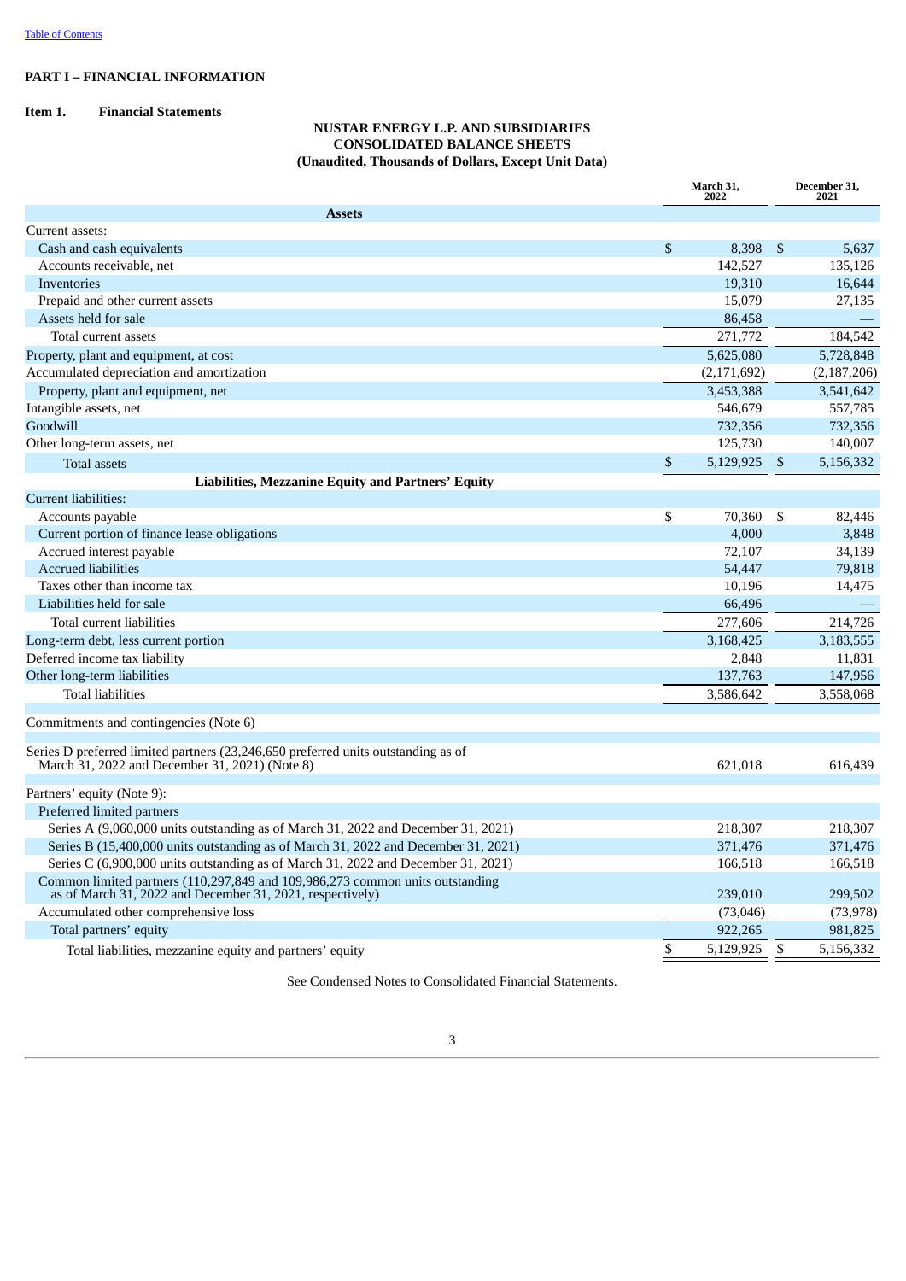## **PART I – FINANCIAL INFORMATION**

## <span id="page-2-1"></span><span id="page-2-0"></span>**Item 1. Financial Statements**

## **NUSTAR ENERGY L.P. AND SUBSIDIARIES CONSOLIDATED BALANCE SHEETS (Unaudited, Thousands of Dollars, Except Unit Data)**

|                                                                                                                                            | March 31,<br>2022 |             |                           | December 31,<br>2021 |
|--------------------------------------------------------------------------------------------------------------------------------------------|-------------------|-------------|---------------------------|----------------------|
| <b>Assets</b>                                                                                                                              |                   |             |                           |                      |
| Current assets:                                                                                                                            |                   |             |                           |                      |
| Cash and cash equivalents                                                                                                                  | \$                | 8,398       | $\mathfrak{s}$            | 5,637                |
| Accounts receivable, net                                                                                                                   |                   | 142,527     |                           | 135,126              |
| Inventories                                                                                                                                |                   | 19,310      |                           | 16,644               |
| Prepaid and other current assets                                                                                                           |                   | 15,079      |                           | 27,135               |
| Assets held for sale                                                                                                                       |                   | 86,458      |                           |                      |
| Total current assets                                                                                                                       |                   | 271,772     |                           | 184,542              |
| Property, plant and equipment, at cost                                                                                                     |                   | 5.625.080   |                           | 5,728,848            |
| Accumulated depreciation and amortization                                                                                                  |                   | (2,171,692) |                           | (2, 187, 206)        |
| Property, plant and equipment, net                                                                                                         |                   | 3,453,388   |                           | 3,541,642            |
| Intangible assets, net                                                                                                                     |                   | 546,679     |                           | 557,785              |
| Goodwill                                                                                                                                   |                   | 732,356     |                           | 732,356              |
| Other long-term assets, net                                                                                                                |                   | 125,730     |                           | 140,007              |
| <b>Total assets</b>                                                                                                                        | \$                | 5,129,925   | $\boldsymbol{\mathsf{S}}$ | 5,156,332            |
| Liabilities, Mezzanine Equity and Partners' Equity                                                                                         |                   |             |                           |                      |
| <b>Current liabilities:</b>                                                                                                                |                   |             |                           |                      |
| Accounts payable                                                                                                                           | \$                | 70,360      | \$                        | 82,446               |
| Current portion of finance lease obligations                                                                                               |                   | 4,000       |                           | 3,848                |
| Accrued interest payable                                                                                                                   |                   | 72,107      |                           | 34,139               |
| <b>Accrued liabilities</b>                                                                                                                 |                   | 54,447      |                           | 79,818               |
| Taxes other than income tax                                                                                                                |                   | 10,196      |                           | 14,475               |
| Liabilities held for sale                                                                                                                  |                   | 66,496      |                           |                      |
| Total current liabilities                                                                                                                  |                   | 277,606     |                           | 214.726              |
| Long-term debt, less current portion                                                                                                       |                   | 3,168,425   |                           | 3,183,555            |
| Deferred income tax liability                                                                                                              |                   | 2,848       |                           | 11,831               |
| Other long-term liabilities                                                                                                                |                   | 137,763     |                           | 147,956              |
| <b>Total liabilities</b>                                                                                                                   |                   | 3,586,642   |                           | 3,558,068            |
| Commitments and contingencies (Note 6)                                                                                                     |                   |             |                           |                      |
|                                                                                                                                            |                   |             |                           |                      |
| Series D preferred limited partners (23,246,650 preferred units outstanding as of<br>March 31, 2022 and December 31, 2021) (Note 8)        |                   | 621,018     |                           | 616,439              |
| Partners' equity (Note 9):                                                                                                                 |                   |             |                           |                      |
| Preferred limited partners                                                                                                                 |                   |             |                           |                      |
| Series A (9,060,000 units outstanding as of March 31, 2022 and December 31, 2021)                                                          |                   | 218,307     |                           | 218,307              |
| Series B (15,400,000 units outstanding as of March 31, 2022 and December 31, 2021)                                                         |                   | 371,476     |                           | 371,476              |
| Series C (6,900,000 units outstanding as of March 31, 2022 and December 31, 2021)                                                          |                   | 166,518     |                           | 166,518              |
| Common limited partners (110,297,849 and 109,986,273 common units outstanding<br>as of March 31, 2022 and December 31, 2021, respectively) |                   | 239,010     |                           | 299,502              |
| Accumulated other comprehensive loss                                                                                                       |                   | (73, 046)   |                           | (73, 978)            |
| Total partners' equity                                                                                                                     |                   | 922,265     |                           | 981,825              |
| Total liabilities, mezzanine equity and partners' equity                                                                                   | \$                | 5,129,925   | \$                        | 5,156,332            |

<span id="page-2-2"></span>See Condensed Notes to Consolidated Financial Statements.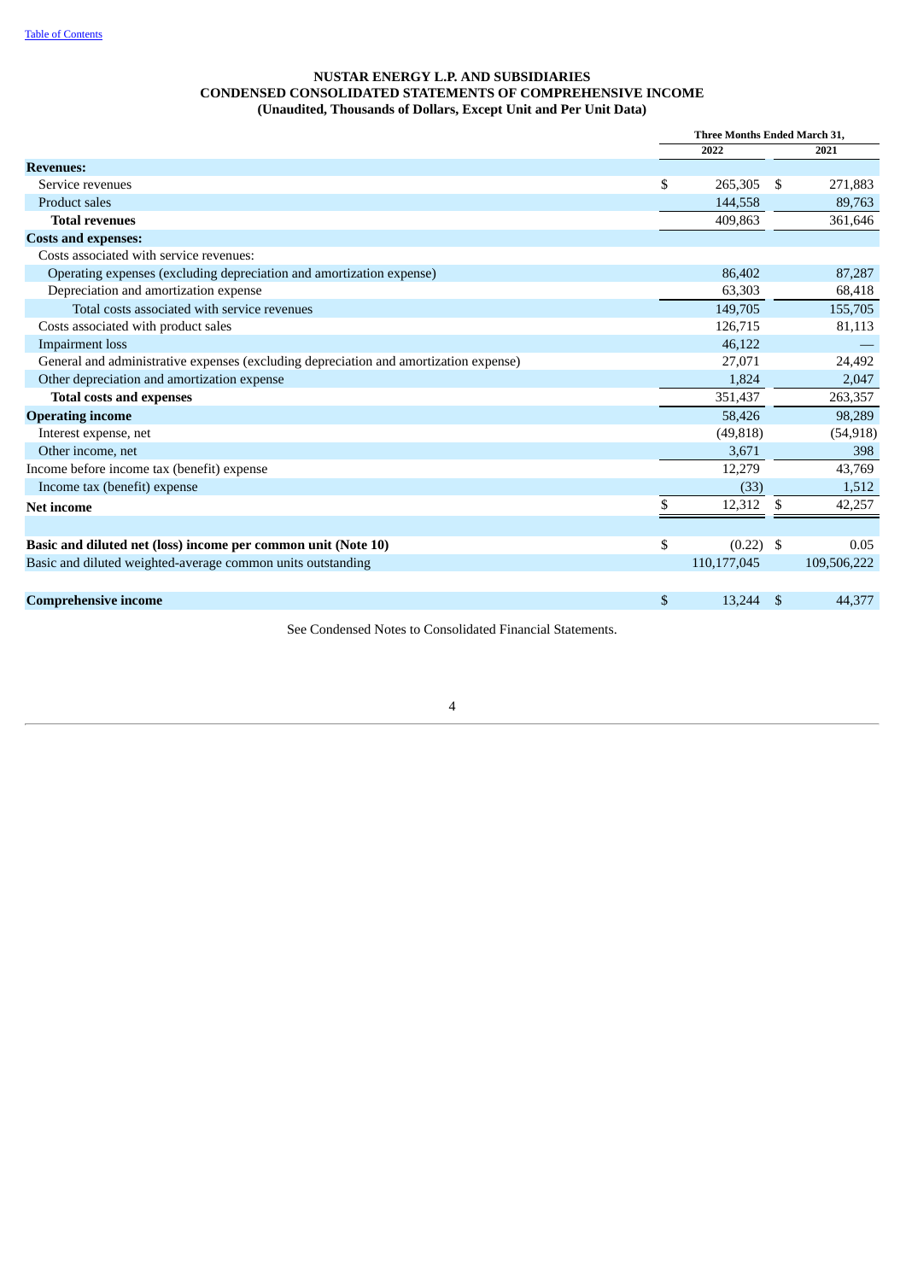## **NUSTAR ENERGY L.P. AND SUBSIDIARIES CONDENSED CONSOLIDATED STATEMENTS OF COMPREHENSIVE INCOME (Unaudited, Thousands of Dollars, Except Unit and Per Unit Data)**

|                                                                                       | Three Months Ended March 31, |             |      |             |
|---------------------------------------------------------------------------------------|------------------------------|-------------|------|-------------|
|                                                                                       |                              | 2022        |      | 2021        |
| <b>Revenues:</b>                                                                      |                              |             |      |             |
| Service revenues                                                                      | \$                           | 265,305     | - \$ | 271,883     |
| Product sales                                                                         |                              | 144,558     |      | 89,763      |
| <b>Total revenues</b>                                                                 |                              | 409,863     |      | 361,646     |
| <b>Costs and expenses:</b>                                                            |                              |             |      |             |
| Costs associated with service revenues:                                               |                              |             |      |             |
| Operating expenses (excluding depreciation and amortization expense)                  |                              | 86,402      |      | 87,287      |
| Depreciation and amortization expense                                                 |                              | 63,303      |      | 68,418      |
| Total costs associated with service revenues                                          |                              | 149,705     |      | 155,705     |
| Costs associated with product sales                                                   |                              | 126,715     |      | 81,113      |
| <b>Impairment</b> loss                                                                |                              | 46.122      |      |             |
| General and administrative expenses (excluding depreciation and amortization expense) |                              | 27,071      |      | 24,492      |
| Other depreciation and amortization expense                                           |                              | 1,824       |      | 2,047       |
| <b>Total costs and expenses</b>                                                       |                              | 351,437     |      | 263,357     |
| <b>Operating income</b>                                                               |                              | 58,426      |      | 98,289      |
| Interest expense, net                                                                 |                              | (49, 818)   |      | (54, 918)   |
| Other income, net                                                                     |                              | 3,671       |      | 398         |
| Income before income tax (benefit) expense                                            |                              | 12,279      |      | 43,769      |
| Income tax (benefit) expense                                                          |                              | (33)        |      | 1,512       |
| <b>Net income</b>                                                                     | \$                           | 12,312      | \$   | 42,257      |
|                                                                                       |                              |             |      |             |
| Basic and diluted net (loss) income per common unit (Note 10)                         | \$                           | $(0.22)$ \$ |      | 0.05        |
| Basic and diluted weighted-average common units outstanding                           |                              | 110,177,045 |      | 109,506,222 |
|                                                                                       |                              |             |      |             |
| <b>Comprehensive income</b>                                                           | \$                           | 13,244      | - \$ | 44,377      |
|                                                                                       |                              |             |      |             |

<span id="page-3-0"></span>See Condensed Notes to Consolidated Financial Statements.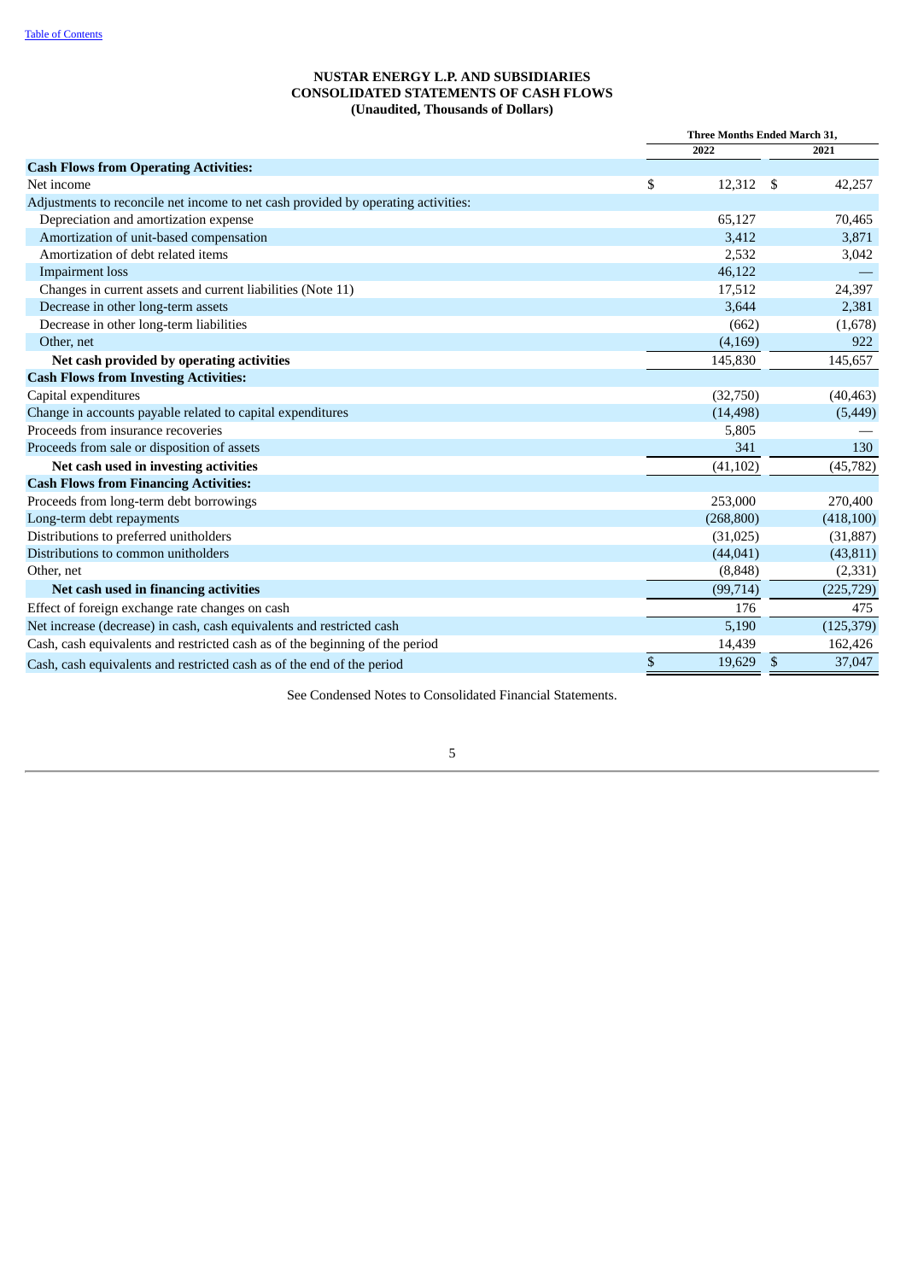## **NUSTAR ENERGY L.P. AND SUBSIDIARIES CONSOLIDATED STATEMENTS OF CASH FLOWS (Unaudited, Thousands of Dollars)**

|                                                                                   | Three Months Ended March 31, |    |            |
|-----------------------------------------------------------------------------------|------------------------------|----|------------|
|                                                                                   | 2022                         |    | 2021       |
| <b>Cash Flows from Operating Activities:</b>                                      |                              |    |            |
| Net income                                                                        | \$<br>12,312                 | -S | 42,257     |
| Adjustments to reconcile net income to net cash provided by operating activities: |                              |    |            |
| Depreciation and amortization expense                                             | 65,127                       |    | 70,465     |
| Amortization of unit-based compensation                                           | 3,412                        |    | 3,871      |
| Amortization of debt related items                                                | 2,532                        |    | 3,042      |
| <b>Impairment</b> loss                                                            | 46,122                       |    |            |
| Changes in current assets and current liabilities (Note 11)                       | 17,512                       |    | 24,397     |
| Decrease in other long-term assets                                                | 3,644                        |    | 2,381      |
| Decrease in other long-term liabilities                                           | (662)                        |    | (1,678)    |
| Other, net                                                                        | (4,169)                      |    | 922        |
| Net cash provided by operating activities                                         | 145,830                      |    | 145,657    |
| <b>Cash Flows from Investing Activities:</b>                                      |                              |    |            |
| Capital expenditures                                                              | (32,750)                     |    | (40, 463)  |
| Change in accounts payable related to capital expenditures                        | (14, 498)                    |    | (5, 449)   |
| Proceeds from insurance recoveries                                                | 5,805                        |    |            |
| Proceeds from sale or disposition of assets                                       | 341                          |    | 130        |
| Net cash used in investing activities                                             | (41, 102)                    |    | (45, 782)  |
| <b>Cash Flows from Financing Activities:</b>                                      |                              |    |            |
| Proceeds from long-term debt borrowings                                           | 253,000                      |    | 270,400    |
| Long-term debt repayments                                                         | (268, 800)                   |    | (418, 100) |
| Distributions to preferred unitholders                                            | (31,025)                     |    | (31, 887)  |
| Distributions to common unitholders                                               | (44, 041)                    |    | (43, 811)  |
| Other, net                                                                        | (8, 848)                     |    | (2, 331)   |
| Net cash used in financing activities                                             | (99, 714)                    |    | (225, 729) |
| Effect of foreign exchange rate changes on cash                                   | 176                          |    | 475        |
| Net increase (decrease) in cash, cash equivalents and restricted cash             | 5,190                        |    | (125, 379) |
| Cash, cash equivalents and restricted cash as of the beginning of the period      | 14,439                       |    | 162,426    |
| Cash, cash equivalents and restricted cash as of the end of the period            | \$<br>19,629                 | \$ | 37,047     |

<span id="page-4-0"></span>See Condensed Notes to Consolidated Financial Statements.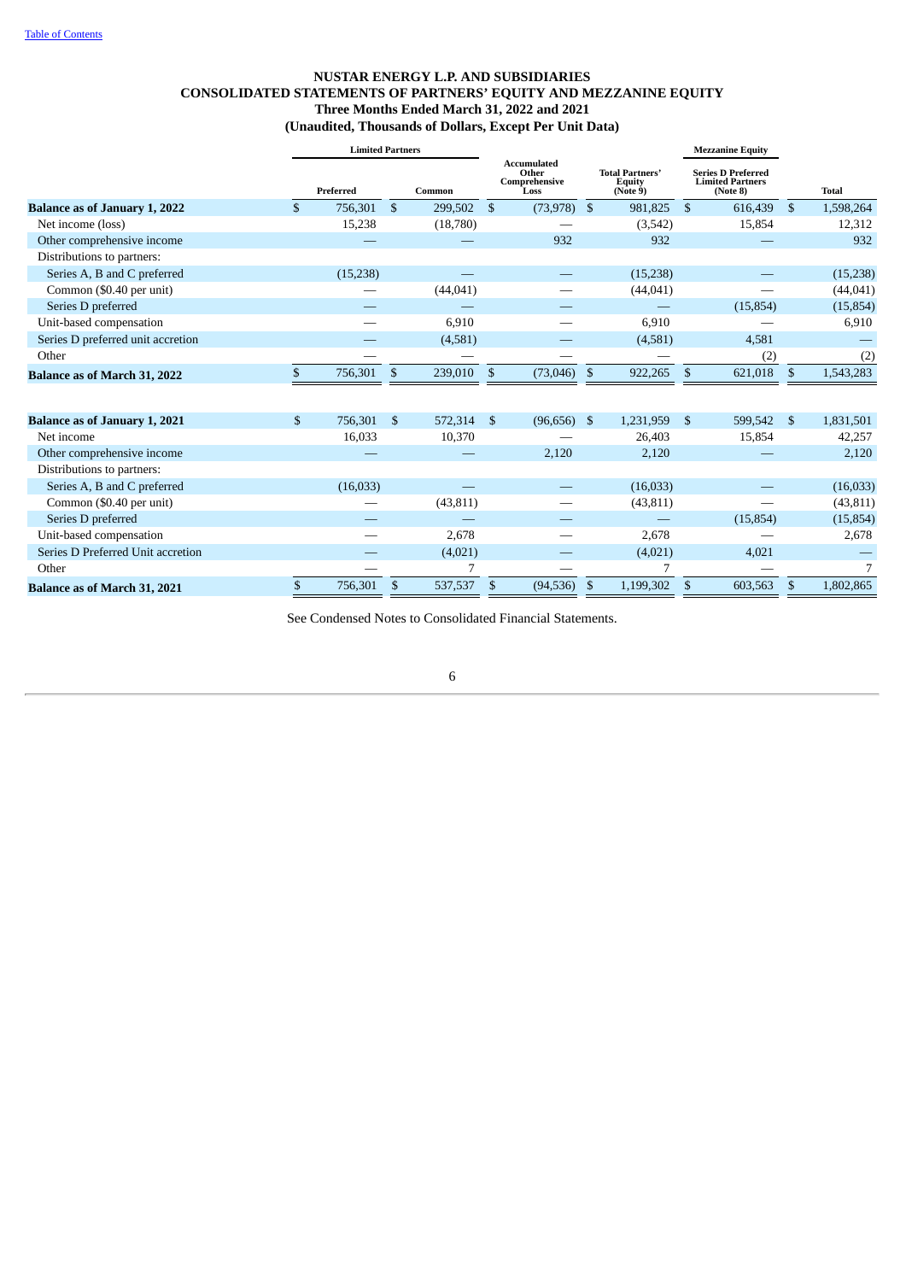## **NUSTAR ENERGY L.P. AND SUBSIDIARIES CONSOLIDATED STATEMENTS OF PARTNERS' EQUITY AND MEZZANINE EQUITY Three Months Ended March 31, 2022 and 2021 (Unaudited, Thousands of Dollars, Except Per Unit Data)**

|                                      | <b>Limited Partners</b> |           |                |           |                        |                                                      |            |                                                                              | <b>Mezzanine Equity</b> |                                                                  |                    |              |
|--------------------------------------|-------------------------|-----------|----------------|-----------|------------------------|------------------------------------------------------|------------|------------------------------------------------------------------------------|-------------------------|------------------------------------------------------------------|--------------------|--------------|
|                                      |                         | Preferred |                | Common    |                        | <b>Accumulated</b><br>Other<br>Comprehensive<br>Loss |            | <b>Total Partners'</b><br><b>Equity</b><br>(N <sub>o</sub> te <sub>9</sub> ) |                         | <b>Series D Preferred</b><br><b>Limited Partners</b><br>(Note 8) |                    | <b>Total</b> |
| <b>Balance as of January 1, 2022</b> | $\mathbb{S}$            | 756,301   | $\mathfrak{S}$ | 299,502   | \$                     | $(73,978)$ \$                                        |            | 981,825                                                                      | $\mathbb{S}$            | 616,439                                                          | \$                 | 1,598,264    |
| Net income (loss)                    |                         | 15,238    |                | (18,780)  |                        |                                                      |            | (3,542)                                                                      |                         | 15,854                                                           |                    | 12,312       |
| Other comprehensive income           |                         |           |                |           |                        | 932                                                  |            | 932                                                                          |                         |                                                                  |                    | 932          |
| Distributions to partners:           |                         |           |                |           |                        |                                                      |            |                                                                              |                         |                                                                  |                    |              |
| Series A, B and C preferred          |                         | (15,238)  |                |           |                        |                                                      |            | (15,238)                                                                     |                         |                                                                  |                    | (15,238)     |
| Common (\$0.40 per unit)             |                         |           |                | (44, 041) |                        |                                                      |            | (44, 041)                                                                    |                         |                                                                  |                    | (44, 041)    |
| Series D preferred                   |                         |           |                |           |                        |                                                      |            |                                                                              |                         | (15, 854)                                                        |                    | (15, 854)    |
| Unit-based compensation              |                         |           |                | 6,910     |                        |                                                      |            | 6,910                                                                        |                         |                                                                  |                    | 6,910        |
| Series D preferred unit accretion    |                         |           |                | (4,581)   |                        |                                                      |            | (4,581)                                                                      |                         | 4,581                                                            |                    |              |
| Other                                |                         |           |                |           |                        |                                                      |            |                                                                              |                         | (2)                                                              |                    | (2)          |
| <b>Balance as of March 31, 2022</b>  | S.                      | 756,301   | \$             | 239,010   | \$                     | (73, 046)                                            | $\sqrt{5}$ | 922,265                                                                      | $\mathfrak{S}$          | 621,018                                                          | $\mathfrak{F}$     | 1,543,283    |
|                                      |                         |           |                |           |                        |                                                      |            |                                                                              |                         |                                                                  |                    |              |
| <b>Balance as of January 1, 2021</b> | \$                      | 756,301   | \$             | 572,314   | $\mathbf{\mathcal{S}}$ | $(96,656)$ \$                                        |            | 1,231,959                                                                    | \$                      | 599,542                                                          | $\mathbf{\hat{S}}$ | 1,831,501    |
| Net income                           |                         | 16,033    |                | 10,370    |                        |                                                      |            | 26,403                                                                       |                         | 15,854                                                           |                    | 42,257       |
| Other comprehensive income           |                         |           |                |           |                        | 2,120                                                |            | 2,120                                                                        |                         |                                                                  |                    | 2,120        |
| Distributions to partners:           |                         |           |                |           |                        |                                                      |            |                                                                              |                         |                                                                  |                    |              |
| Series A, B and C preferred          |                         | (16, 033) |                |           |                        |                                                      |            | (16, 033)                                                                    |                         |                                                                  |                    | (16,033)     |
| Common (\$0.40 per unit)             |                         |           |                | (43, 811) |                        |                                                      |            | (43, 811)                                                                    |                         |                                                                  |                    | (43, 811)    |
| Series D preferred                   |                         |           |                |           |                        |                                                      |            |                                                                              |                         | (15, 854)                                                        |                    | (15, 854)    |
| Unit-based compensation              |                         |           |                | 2,678     |                        |                                                      |            | 2,678                                                                        |                         |                                                                  |                    | 2,678        |
| Series D Preferred Unit accretion    |                         |           |                | (4,021)   |                        |                                                      |            | (4,021)                                                                      |                         | 4,021                                                            |                    |              |
| Other                                |                         |           |                | 7         |                        |                                                      |            | 7                                                                            |                         |                                                                  |                    | 7            |
| <b>Balance as of March 31, 2021</b>  | \$                      | 756,301   | $\mathfrak{F}$ | 537,537   | \$                     | (94, 536)                                            | \$         | 1,199,302                                                                    | \$                      | 603,563                                                          | \$                 | 1,802,865    |

<span id="page-5-0"></span>See Condensed Notes to Consolidated Financial Statements.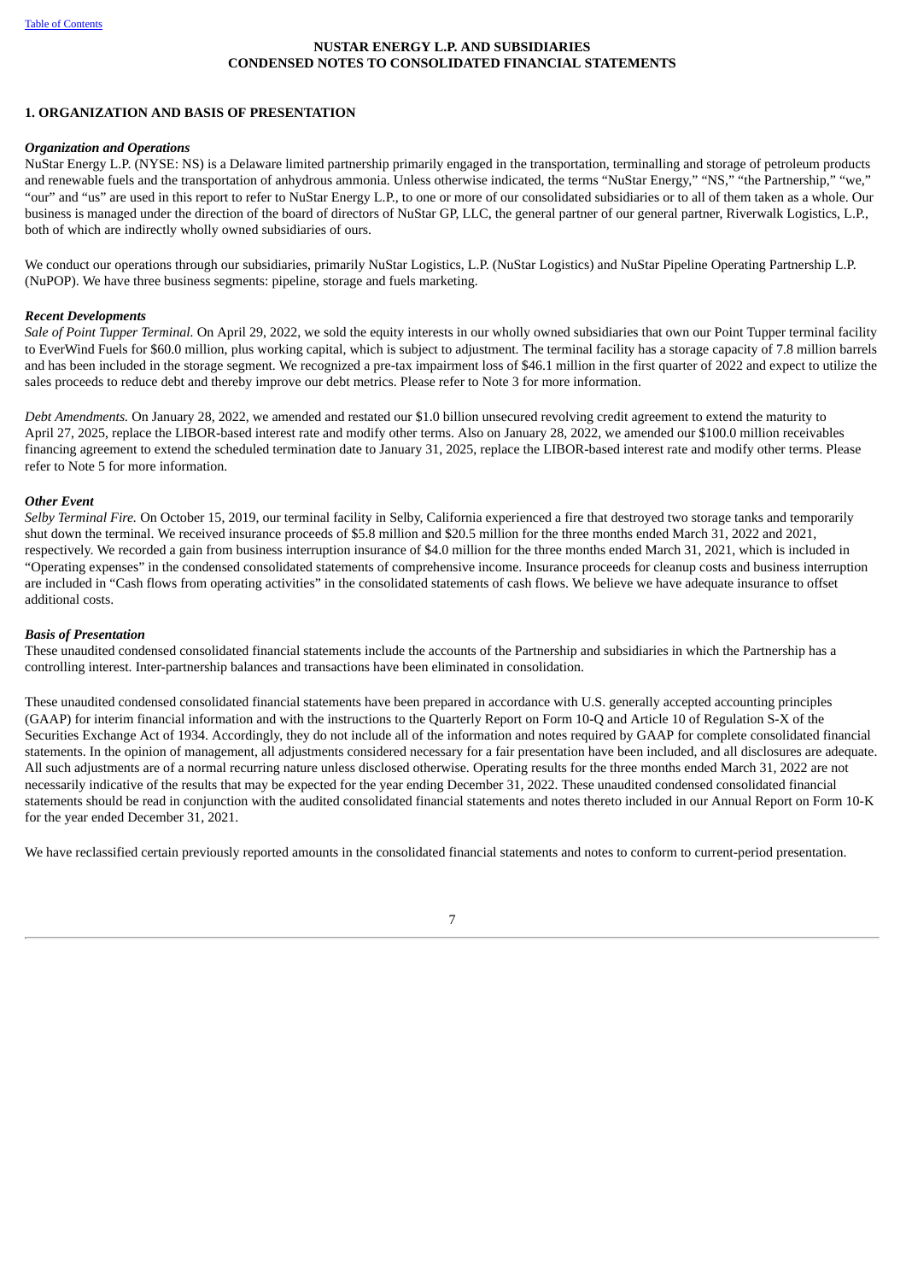### **1. ORGANIZATION AND BASIS OF PRESENTATION**

#### *Organization and Operations*

NuStar Energy L.P. (NYSE: NS) is a Delaware limited partnership primarily engaged in the transportation, terminalling and storage of petroleum products and renewable fuels and the transportation of anhydrous ammonia. Unless otherwise indicated, the terms "NuStar Energy," "NS," "the Partnership," "we," "our" and "us" are used in this report to refer to NuStar Energy L.P., to one or more of our consolidated subsidiaries or to all of them taken as a whole. Our business is managed under the direction of the board of directors of NuStar GP, LLC, the general partner of our general partner, Riverwalk Logistics, L.P., both of which are indirectly wholly owned subsidiaries of ours.

We conduct our operations through our subsidiaries, primarily NuStar Logistics, L.P. (NuStar Logistics) and NuStar Pipeline Operating Partnership L.P. (NuPOP). We have three business segments: pipeline, storage and fuels marketing.

#### *Recent Developments*

*Sale of Point Tupper Terminal.* On April 29, 2022, we sold the equity interests in our wholly owned subsidiaries that own our Point Tupper terminal facility to EverWind Fuels for \$60.0 million, plus working capital, which is subject to adjustment. The terminal facility has a storage capacity of 7.8 million barrels and has been included in the storage segment. We recognized a pre-tax impairment loss of \$46.1 million in the first quarter of 2022 and expect to utilize the sales proceeds to reduce debt and thereby improve our debt metrics. Please refer to Note 3 for more information.

*Debt Amendments.* On January 28, 2022, we amended and restated our \$1.0 billion unsecured revolving credit agreement to extend the maturity to April 27, 2025, replace the LIBOR-based interest rate and modify other terms. Also on January 28, 2022, we amended our \$100.0 million receivables financing agreement to extend the scheduled termination date to January 31, 2025, replace the LIBOR-based interest rate and modify other terms. Please refer to Note 5 for more information.

#### *Other Event*

*Selby Terminal Fire.* On October 15, 2019, our terminal facility in Selby, California experienced a fire that destroyed two storage tanks and temporarily shut down the terminal. We received insurance proceeds of \$5.8 million and \$20.5 million for the three months ended March 31, 2022 and 2021, respectively. We recorded a gain from business interruption insurance of \$4.0 million for the three months ended March 31, 2021, which is included in "Operating expenses" in the condensed consolidated statements of comprehensive income. Insurance proceeds for cleanup costs and business interruption are included in "Cash flows from operating activities" in the consolidated statements of cash flows. We believe we have adequate insurance to offset additional costs.

#### *Basis of Presentation*

These unaudited condensed consolidated financial statements include the accounts of the Partnership and subsidiaries in which the Partnership has a controlling interest. Inter-partnership balances and transactions have been eliminated in consolidation.

These unaudited condensed consolidated financial statements have been prepared in accordance with U.S. generally accepted accounting principles (GAAP) for interim financial information and with the instructions to the Quarterly Report on Form 10-Q and Article 10 of Regulation S-X of the Securities Exchange Act of 1934. Accordingly, they do not include all of the information and notes required by GAAP for complete consolidated financial statements. In the opinion of management, all adjustments considered necessary for a fair presentation have been included, and all disclosures are adequate. All such adjustments are of a normal recurring nature unless disclosed otherwise. Operating results for the three months ended March 31, 2022 are not necessarily indicative of the results that may be expected for the year ending December 31, 2022. These unaudited condensed consolidated financial statements should be read in conjunction with the audited consolidated financial statements and notes thereto included in our Annual Report on Form 10-K for the year ended December 31, 2021.

We have reclassified certain previously reported amounts in the consolidated financial statements and notes to conform to current-period presentation.

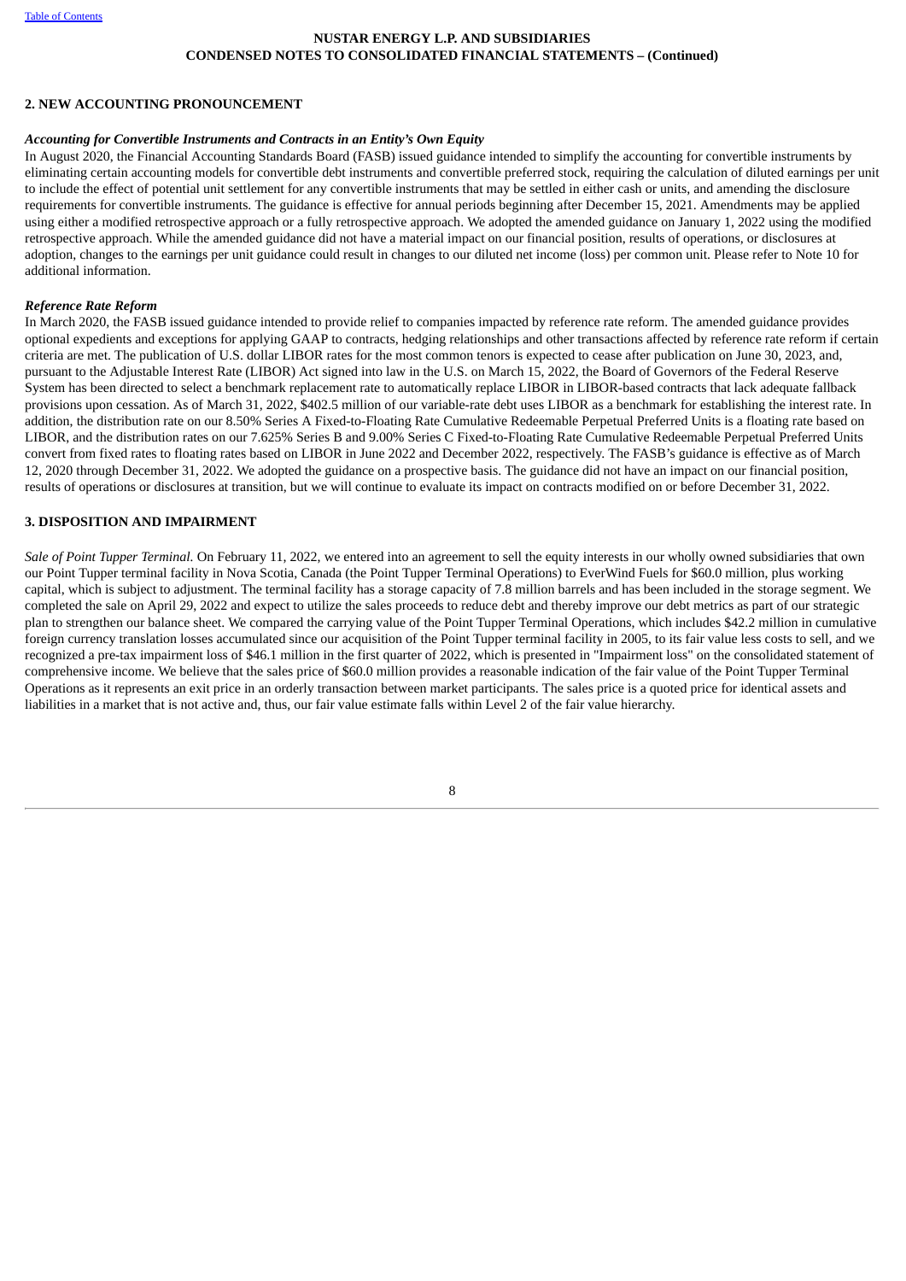#### **2. NEW ACCOUNTING PRONOUNCEMENT**

#### *Accounting for Convertible Instruments and Contracts in an Entity's Own Equity*

In August 2020, the Financial Accounting Standards Board (FASB) issued guidance intended to simplify the accounting for convertible instruments by eliminating certain accounting models for convertible debt instruments and convertible preferred stock, requiring the calculation of diluted earnings per unit to include the effect of potential unit settlement for any convertible instruments that may be settled in either cash or units, and amending the disclosure requirements for convertible instruments. The guidance is effective for annual periods beginning after December 15, 2021. Amendments may be applied using either a modified retrospective approach or a fully retrospective approach. We adopted the amended guidance on January 1, 2022 using the modified retrospective approach. While the amended guidance did not have a material impact on our financial position, results of operations, or disclosures at adoption, changes to the earnings per unit guidance could result in changes to our diluted net income (loss) per common unit. Please refer to Note 10 for additional information.

#### *Reference Rate Reform*

In March 2020, the FASB issued guidance intended to provide relief to companies impacted by reference rate reform. The amended guidance provides optional expedients and exceptions for applying GAAP to contracts, hedging relationships and other transactions affected by reference rate reform if certain criteria are met. The publication of U.S. dollar LIBOR rates for the most common tenors is expected to cease after publication on June 30, 2023, and, pursuant to the Adjustable Interest Rate (LIBOR) Act signed into law in the U.S. on March 15, 2022, the Board of Governors of the Federal Reserve System has been directed to select a benchmark replacement rate to automatically replace LIBOR in LIBOR-based contracts that lack adequate fallback provisions upon cessation. As of March 31, 2022, \$402.5 million of our variable-rate debt uses LIBOR as a benchmark for establishing the interest rate. In addition, the distribution rate on our 8.50% Series A Fixed-to-Floating Rate Cumulative Redeemable Perpetual Preferred Units is a floating rate based on LIBOR, and the distribution rates on our 7.625% Series B and 9.00% Series C Fixed-to-Floating Rate Cumulative Redeemable Perpetual Preferred Units convert from fixed rates to floating rates based on LIBOR in June 2022 and December 2022, respectively. The FASB's guidance is effective as of March 12, 2020 through December 31, 2022. We adopted the guidance on a prospective basis. The guidance did not have an impact on our financial position, results of operations or disclosures at transition, but we will continue to evaluate its impact on contracts modified on or before December 31, 2022.

#### **3. DISPOSITION AND IMPAIRMENT**

*Sale of Point Tupper Terminal.* On February 11, 2022, we entered into an agreement to sell the equity interests in our wholly owned subsidiaries that own our Point Tupper terminal facility in Nova Scotia, Canada (the Point Tupper Terminal Operations) to EverWind Fuels for \$60.0 million, plus working capital, which is subject to adjustment. The terminal facility has a storage capacity of 7.8 million barrels and has been included in the storage segment. We completed the sale on April 29, 2022 and expect to utilize the sales proceeds to reduce debt and thereby improve our debt metrics as part of our strategic plan to strengthen our balance sheet. We compared the carrying value of the Point Tupper Terminal Operations, which includes \$42.2 million in cumulative foreign currency translation losses accumulated since our acquisition of the Point Tupper terminal facility in 2005, to its fair value less costs to sell, and we recognized a pre-tax impairment loss of \$46.1 million in the first quarter of 2022, which is presented in "Impairment loss" on the consolidated statement of comprehensive income. We believe that the sales price of \$60.0 million provides a reasonable indication of the fair value of the Point Tupper Terminal Operations as it represents an exit price in an orderly transaction between market participants. The sales price is a quoted price for identical assets and liabilities in a market that is not active and, thus, our fair value estimate falls within Level 2 of the fair value hierarchy.

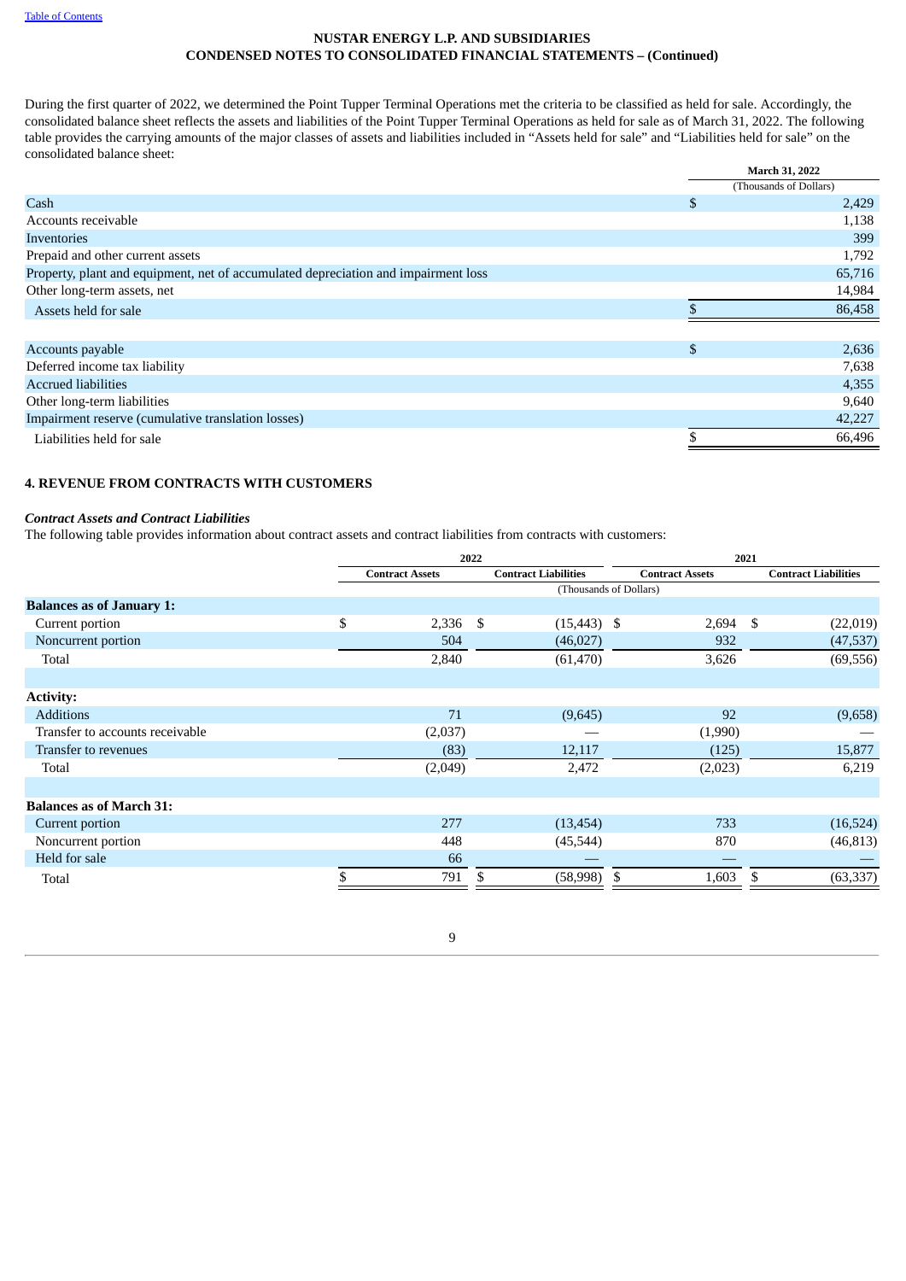During the first quarter of 2022, we determined the Point Tupper Terminal Operations met the criteria to be classified as held for sale. Accordingly, the consolidated balance sheet reflects the assets and liabilities of the Point Tupper Terminal Operations as held for sale as of March 31, 2022. The following table provides the carrying amounts of the major classes of assets and liabilities included in "Assets held for sale" and "Liabilities held for sale" on the consolidated balance sheet:

|                                                                                    |              | March 31, 2022         |
|------------------------------------------------------------------------------------|--------------|------------------------|
|                                                                                    |              | (Thousands of Dollars) |
| Cash                                                                               | \$           | 2,429                  |
| Accounts receivable                                                                |              | 1,138                  |
| <b>Inventories</b>                                                                 |              | 399                    |
| Prepaid and other current assets                                                   |              | 1,792                  |
| Property, plant and equipment, net of accumulated depreciation and impairment loss |              | 65,716                 |
| Other long-term assets, net                                                        |              | 14,984                 |
| Assets held for sale                                                               |              | 86,458                 |
|                                                                                    |              |                        |
| Accounts payable                                                                   | $\mathbb{S}$ | 2,636                  |
| Deferred income tax liability                                                      |              | 7,638                  |
| <b>Accrued liabilities</b>                                                         |              | 4,355                  |
| Other long-term liabilities                                                        |              | 9,640                  |
| Impairment reserve (cumulative translation losses)                                 |              | 42,227                 |
| Liabilities held for sale                                                          | \$           | 66,496                 |

## **4. REVENUE FROM CONTRACTS WITH CUSTOMERS**

## *Contract Assets and Contract Liabilities*

The following table provides information about contract assets and contract liabilities from contracts with customers:

| 2022 |                        |  |                             |                  | 2021                   |                                          |                             |  |  |
|------|------------------------|--|-----------------------------|------------------|------------------------|------------------------------------------|-----------------------------|--|--|
|      | <b>Contract Assets</b> |  | <b>Contract Liabilities</b> |                  | <b>Contract Assets</b> |                                          | <b>Contract Liabilities</b> |  |  |
|      |                        |  |                             |                  |                        |                                          |                             |  |  |
|      |                        |  |                             |                  |                        |                                          |                             |  |  |
| \$   |                        |  |                             |                  |                        |                                          | (22,019)                    |  |  |
|      | 504                    |  | (46,027)                    |                  | 932                    |                                          | (47,537)                    |  |  |
|      | 2,840                  |  | (61, 470)                   |                  | 3,626                  |                                          | (69, 556)                   |  |  |
|      |                        |  |                             |                  |                        |                                          |                             |  |  |
|      |                        |  |                             |                  |                        |                                          |                             |  |  |
|      | 71                     |  | (9,645)                     |                  | 92                     |                                          | (9,658)                     |  |  |
|      | (2,037)                |  |                             |                  | (1,990)                |                                          |                             |  |  |
|      | (83)                   |  | 12,117                      |                  | (125)                  |                                          | 15,877                      |  |  |
|      | (2,049)                |  | 2,472                       |                  | (2,023)                |                                          | 6,219                       |  |  |
|      |                        |  |                             |                  |                        |                                          |                             |  |  |
|      |                        |  |                             |                  |                        |                                          |                             |  |  |
|      | 277                    |  | (13, 454)                   |                  | 733                    |                                          | (16, 524)                   |  |  |
|      | 448                    |  | (45, 544)                   |                  | 870                    |                                          | (46, 813)                   |  |  |
|      | 66                     |  |                             |                  |                        |                                          |                             |  |  |
|      | 791                    |  | (58,998)                    |                  | 1,603                  |                                          | (63, 337)                   |  |  |
|      |                        |  |                             | $2,336$ \$<br>\$ |                        | (Thousands of Dollars)<br>$(15, 443)$ \$ | $2,694$ \$                  |  |  |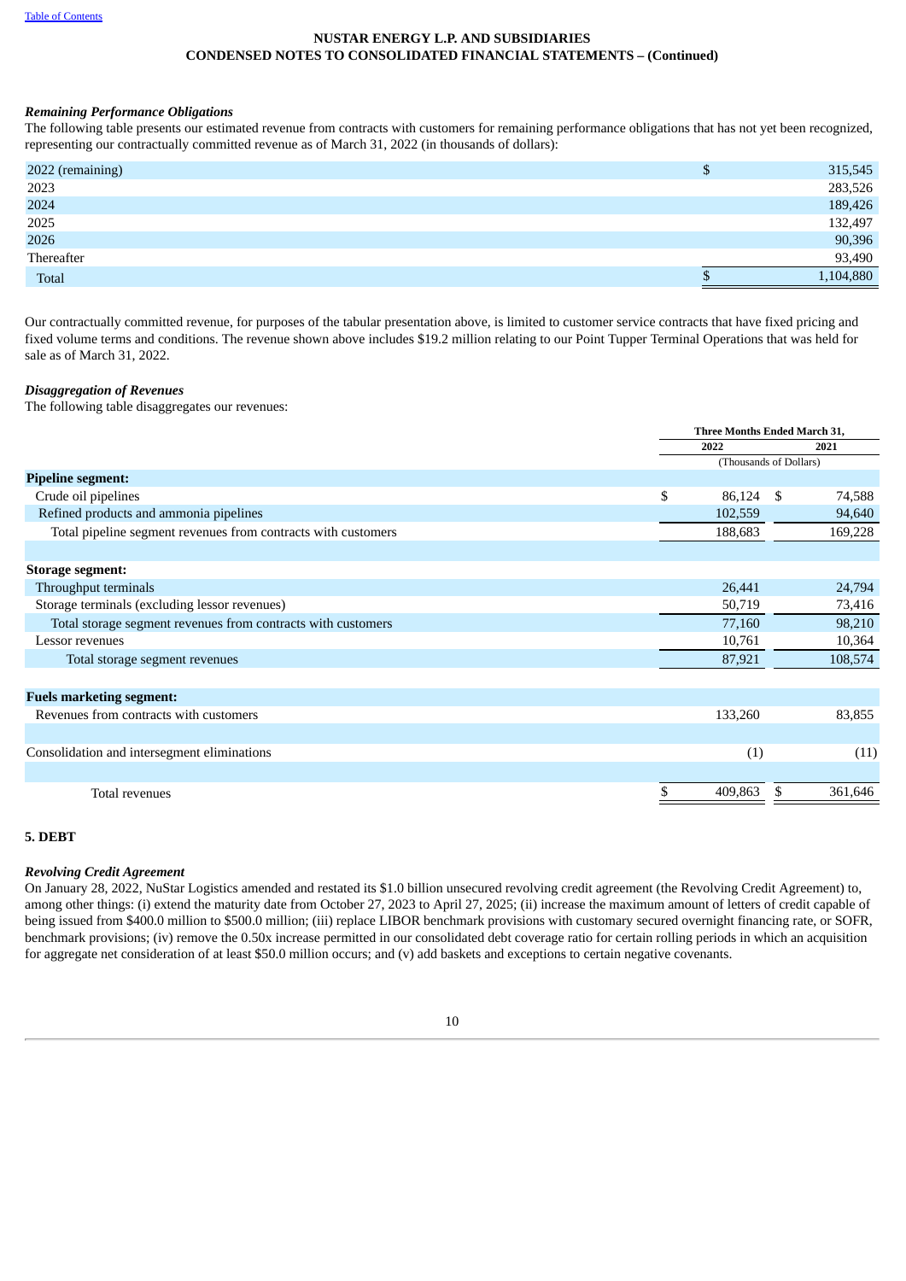## *Remaining Performance Obligations*

The following table presents our estimated revenue from contracts with customers for remaining performance obligations that has not yet been recognized, representing our contractually committed revenue as of March 31, 2022 (in thousands of dollars):

| 2022 (remaining) | D | 315,545   |
|------------------|---|-----------|
| 2023             |   | 283,526   |
| 2024             |   | 189,426   |
| 2025             |   | 132,497   |
| 2026             |   | 90,396    |
| Thereafter       |   | 93,490    |
| Total            |   | 1,104,880 |
|                  |   |           |

Our contractually committed revenue, for purposes of the tabular presentation above, is limited to customer service contracts that have fixed pricing and fixed volume terms and conditions. The revenue shown above includes \$19.2 million relating to our Point Tupper Terminal Operations that was held for sale as of March 31, 2022.

#### *Disaggregation of Revenues*

The following table disaggregates our revenues:

|                                                               | Three Months Ended March 31, |    |         |  |
|---------------------------------------------------------------|------------------------------|----|---------|--|
|                                                               | 2022                         |    | 2021    |  |
|                                                               | (Thousands of Dollars)       |    |         |  |
| <b>Pipeline segment:</b>                                      |                              |    |         |  |
| Crude oil pipelines                                           | \$<br>86,124                 | \$ | 74,588  |  |
| Refined products and ammonia pipelines                        | 102,559                      |    | 94,640  |  |
| Total pipeline segment revenues from contracts with customers | 188,683                      |    | 169,228 |  |
|                                                               |                              |    |         |  |
| Storage segment:                                              |                              |    |         |  |
| Throughput terminals                                          | 26,441                       |    | 24,794  |  |
| Storage terminals (excluding lessor revenues)                 | 50,719                       |    | 73,416  |  |
| Total storage segment revenues from contracts with customers  | 77,160                       |    | 98,210  |  |
| Lessor revenues                                               | 10,761                       |    | 10,364  |  |
| Total storage segment revenues                                | 87,921                       |    | 108,574 |  |
|                                                               |                              |    |         |  |
| <b>Fuels marketing segment:</b>                               |                              |    |         |  |
| Revenues from contracts with customers                        | 133,260                      |    | 83,855  |  |
|                                                               |                              |    |         |  |
| Consolidation and intersegment eliminations                   | (1)                          |    | (11)    |  |
|                                                               |                              |    |         |  |
| Total revenues                                                | \$<br>409,863                | \$ | 361,646 |  |

#### **5. DEBT**

#### *Revolving Credit Agreement*

On January 28, 2022, NuStar Logistics amended and restated its \$1.0 billion unsecured revolving credit agreement (the Revolving Credit Agreement) to, among other things: (i) extend the maturity date from October 27, 2023 to April 27, 2025; (ii) increase the maximum amount of letters of credit capable of being issued from \$400.0 million to \$500.0 million; (iii) replace LIBOR benchmark provisions with customary secured overnight financing rate, or SOFR, benchmark provisions; (iv) remove the 0.50x increase permitted in our consolidated debt coverage ratio for certain rolling periods in which an acquisition for aggregate net consideration of at least \$50.0 million occurs; and (v) add baskets and exceptions to certain negative covenants.

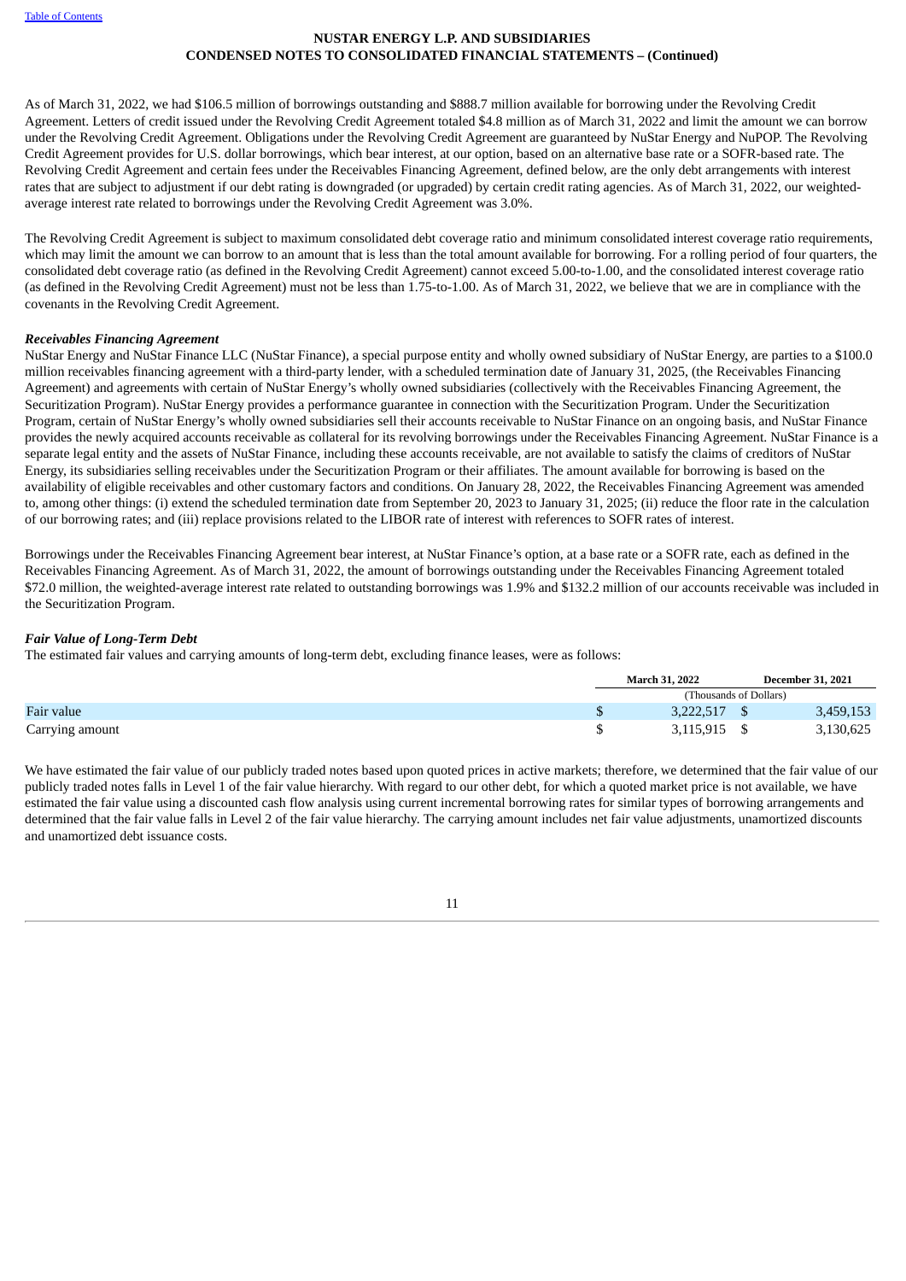As of March 31, 2022, we had \$106.5 million of borrowings outstanding and \$888.7 million available for borrowing under the Revolving Credit Agreement. Letters of credit issued under the Revolving Credit Agreement totaled \$4.8 million as of March 31, 2022 and limit the amount we can borrow under the Revolving Credit Agreement. Obligations under the Revolving Credit Agreement are guaranteed by NuStar Energy and NuPOP. The Revolving Credit Agreement provides for U.S. dollar borrowings, which bear interest, at our option, based on an alternative base rate or a SOFR-based rate. The Revolving Credit Agreement and certain fees under the Receivables Financing Agreement, defined below, are the only debt arrangements with interest rates that are subject to adjustment if our debt rating is downgraded (or upgraded) by certain credit rating agencies. As of March 31, 2022, our weightedaverage interest rate related to borrowings under the Revolving Credit Agreement was 3.0%.

The Revolving Credit Agreement is subject to maximum consolidated debt coverage ratio and minimum consolidated interest coverage ratio requirements, which may limit the amount we can borrow to an amount that is less than the total amount available for borrowing. For a rolling period of four quarters, the consolidated debt coverage ratio (as defined in the Revolving Credit Agreement) cannot exceed 5.00-to-1.00, and the consolidated interest coverage ratio (as defined in the Revolving Credit Agreement) must not be less than 1.75-to-1.00. As of March 31, 2022, we believe that we are in compliance with the covenants in the Revolving Credit Agreement.

#### *Receivables Financing Agreement*

NuStar Energy and NuStar Finance LLC (NuStar Finance), a special purpose entity and wholly owned subsidiary of NuStar Energy, are parties to a \$100.0 million receivables financing agreement with a third-party lender, with a scheduled termination date of January 31, 2025, (the Receivables Financing Agreement) and agreements with certain of NuStar Energy's wholly owned subsidiaries (collectively with the Receivables Financing Agreement, the Securitization Program). NuStar Energy provides a performance guarantee in connection with the Securitization Program. Under the Securitization Program, certain of NuStar Energy's wholly owned subsidiaries sell their accounts receivable to NuStar Finance on an ongoing basis, and NuStar Finance provides the newly acquired accounts receivable as collateral for its revolving borrowings under the Receivables Financing Agreement. NuStar Finance is a separate legal entity and the assets of NuStar Finance, including these accounts receivable, are not available to satisfy the claims of creditors of NuStar Energy, its subsidiaries selling receivables under the Securitization Program or their affiliates. The amount available for borrowing is based on the availability of eligible receivables and other customary factors and conditions. On January 28, 2022, the Receivables Financing Agreement was amended to, among other things: (i) extend the scheduled termination date from September 20, 2023 to January 31, 2025; (ii) reduce the floor rate in the calculation of our borrowing rates; and (iii) replace provisions related to the LIBOR rate of interest with references to SOFR rates of interest.

Borrowings under the Receivables Financing Agreement bear interest, at NuStar Finance's option, at a base rate or a SOFR rate, each as defined in the Receivables Financing Agreement. As of March 31, 2022, the amount of borrowings outstanding under the Receivables Financing Agreement totaled \$72.0 million, the weighted-average interest rate related to outstanding borrowings was 1.9% and \$132.2 million of our accounts receivable was included in the Securitization Program.

#### *Fair Value of Long-Term Debt*

The estimated fair values and carrying amounts of long-term debt, excluding finance leases, were as follows:

|                 | <b>March 31, 2022</b>  | <b>December 31, 2021</b> |           |  |  |
|-----------------|------------------------|--------------------------|-----------|--|--|
|                 | (Thousands of Dollars) |                          |           |  |  |
| Fair value      | 3,222,517              |                          | 3,459,153 |  |  |
| Carrying amount | 3,115,915              |                          | 3,130,625 |  |  |

We have estimated the fair value of our publicly traded notes based upon quoted prices in active markets; therefore, we determined that the fair value of our publicly traded notes falls in Level 1 of the fair value hierarchy. With regard to our other debt, for which a quoted market price is not available, we have estimated the fair value using a discounted cash flow analysis using current incremental borrowing rates for similar types of borrowing arrangements and determined that the fair value falls in Level 2 of the fair value hierarchy. The carrying amount includes net fair value adjustments, unamortized discounts and unamortized debt issuance costs.

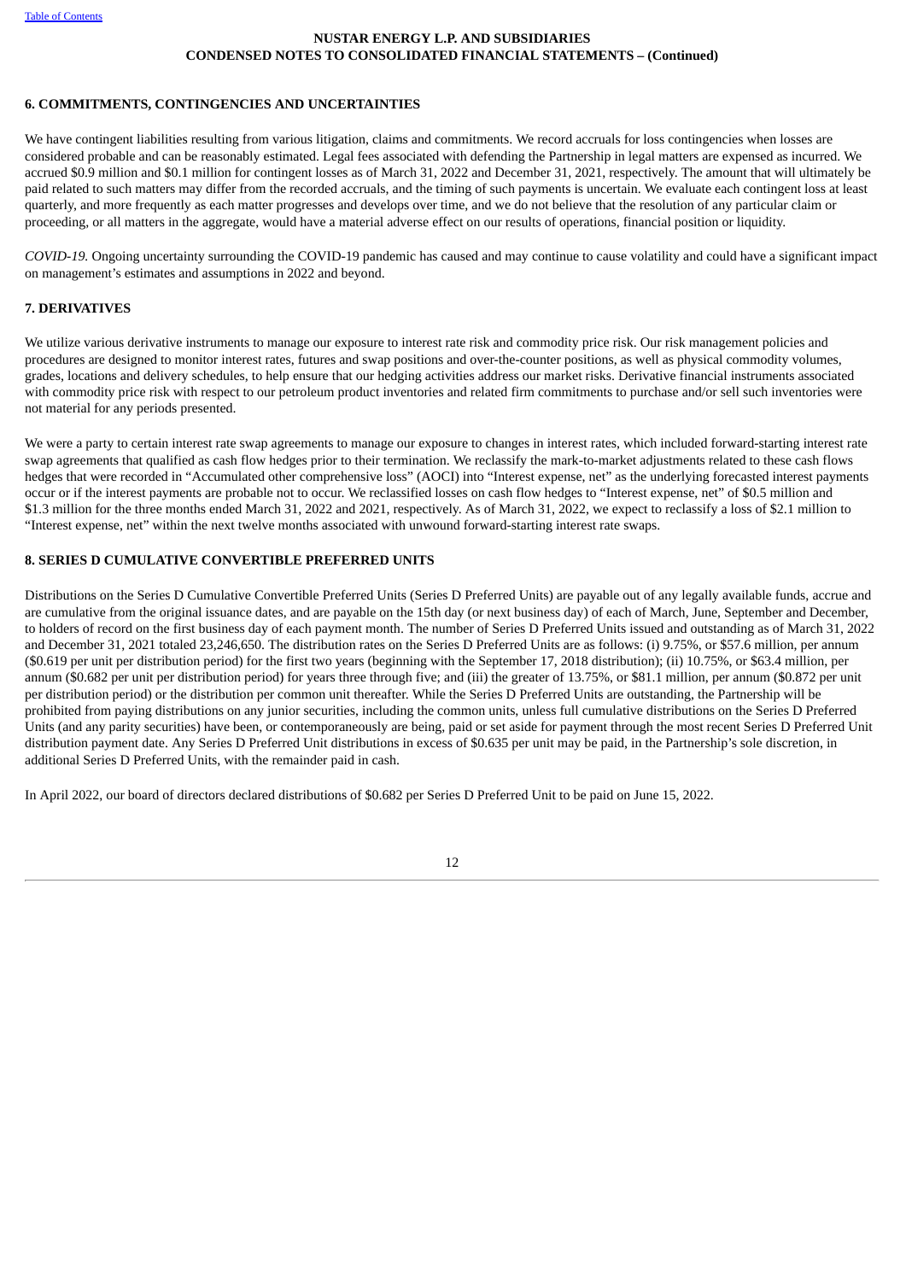### **6. COMMITMENTS, CONTINGENCIES AND UNCERTAINTIES**

We have contingent liabilities resulting from various litigation, claims and commitments. We record accruals for loss contingencies when losses are considered probable and can be reasonably estimated. Legal fees associated with defending the Partnership in legal matters are expensed as incurred. We accrued \$0.9 million and \$0.1 million for contingent losses as of March 31, 2022 and December 31, 2021, respectively. The amount that will ultimately be paid related to such matters may differ from the recorded accruals, and the timing of such payments is uncertain. We evaluate each contingent loss at least quarterly, and more frequently as each matter progresses and develops over time, and we do not believe that the resolution of any particular claim or proceeding, or all matters in the aggregate, would have a material adverse effect on our results of operations, financial position or liquidity.

*COVID-19.* Ongoing uncertainty surrounding the COVID-19 pandemic has caused and may continue to cause volatility and could have a significant impact on management's estimates and assumptions in 2022 and beyond.

## **7. DERIVATIVES**

We utilize various derivative instruments to manage our exposure to interest rate risk and commodity price risk. Our risk management policies and procedures are designed to monitor interest rates, futures and swap positions and over-the-counter positions, as well as physical commodity volumes, grades, locations and delivery schedules, to help ensure that our hedging activities address our market risks. Derivative financial instruments associated with commodity price risk with respect to our petroleum product inventories and related firm commitments to purchase and/or sell such inventories were not material for any periods presented.

We were a party to certain interest rate swap agreements to manage our exposure to changes in interest rates, which included forward-starting interest rate swap agreements that qualified as cash flow hedges prior to their termination. We reclassify the mark-to-market adjustments related to these cash flows hedges that were recorded in "Accumulated other comprehensive loss" (AOCI) into "Interest expense, net" as the underlying forecasted interest payments occur or if the interest payments are probable not to occur. We reclassified losses on cash flow hedges to "Interest expense, net" of \$0.5 million and \$1.3 million for the three months ended March 31, 2022 and 2021, respectively. As of March 31, 2022, we expect to reclassify a loss of \$2.1 million to "Interest expense, net" within the next twelve months associated with unwound forward-starting interest rate swaps.

## **8. SERIES D CUMULATIVE CONVERTIBLE PREFERRED UNITS**

Distributions on the Series D Cumulative Convertible Preferred Units (Series D Preferred Units) are payable out of any legally available funds, accrue and are cumulative from the original issuance dates, and are payable on the 15th day (or next business day) of each of March, June, September and December, to holders of record on the first business day of each payment month. The number of Series D Preferred Units issued and outstanding as of March 31, 2022 and December 31, 2021 totaled 23,246,650. The distribution rates on the Series D Preferred Units are as follows: (i) 9.75%, or \$57.6 million, per annum (\$0.619 per unit per distribution period) for the first two years (beginning with the September 17, 2018 distribution); (ii) 10.75%, or \$63.4 million, per annum (\$0.682 per unit per distribution period) for years three through five; and (iii) the greater of 13.75%, or \$81.1 million, per annum (\$0.872 per unit per distribution period) or the distribution per common unit thereafter. While the Series D Preferred Units are outstanding, the Partnership will be prohibited from paying distributions on any junior securities, including the common units, unless full cumulative distributions on the Series D Preferred Units (and any parity securities) have been, or contemporaneously are being, paid or set aside for payment through the most recent Series D Preferred Unit distribution payment date. Any Series D Preferred Unit distributions in excess of \$0.635 per unit may be paid, in the Partnership's sole discretion, in additional Series D Preferred Units, with the remainder paid in cash.

In April 2022, our board of directors declared distributions of \$0.682 per Series D Preferred Unit to be paid on June 15, 2022.

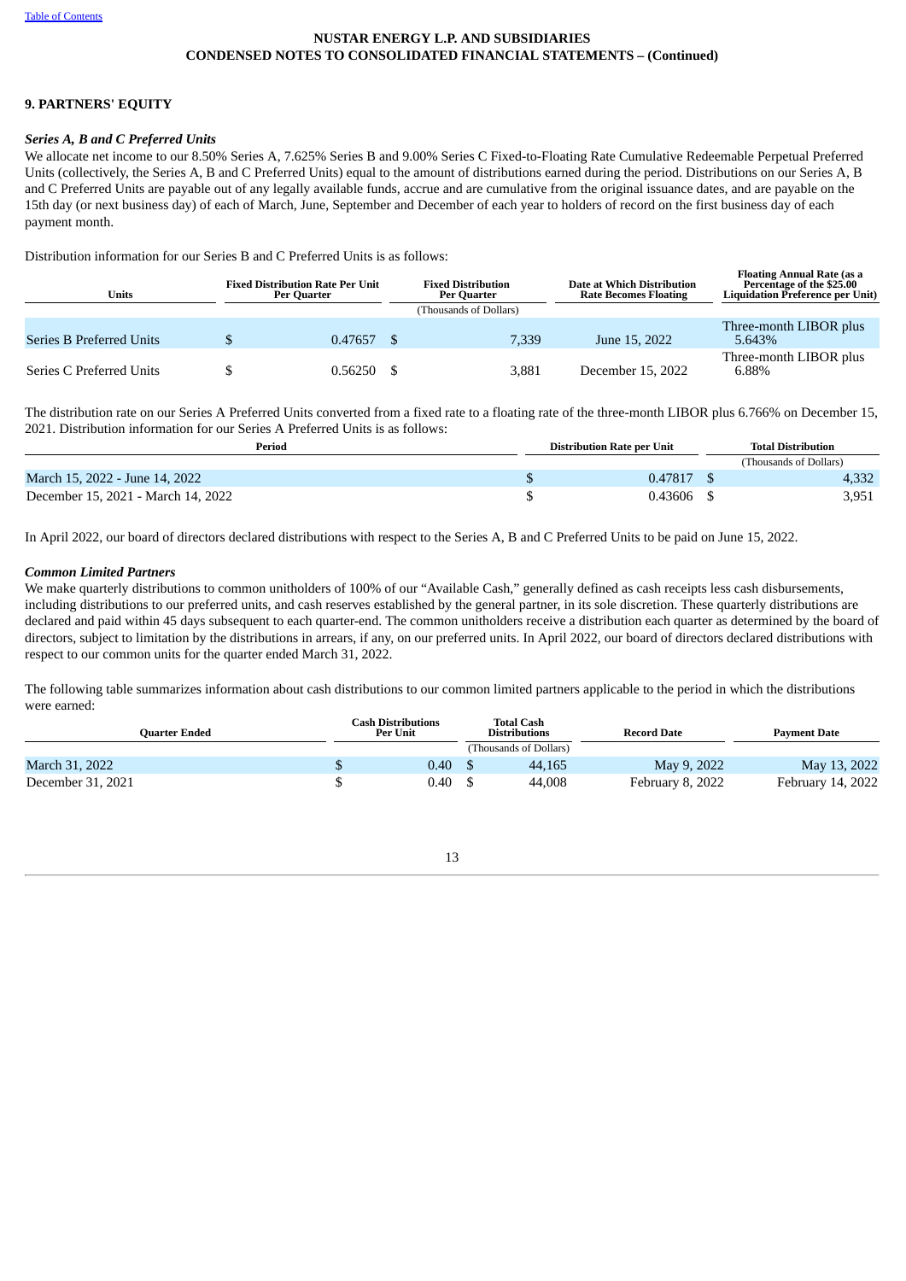### **9. PARTNERS' EQUITY**

#### *Series A, B and C Preferred Units*

We allocate net income to our 8.50% Series A, 7.625% Series B and 9.00% Series C Fixed-to-Floating Rate Cumulative Redeemable Perpetual Preferred Units (collectively, the Series A, B and C Preferred Units) equal to the amount of distributions earned during the period. Distributions on our Series A, B and C Preferred Units are payable out of any legally available funds, accrue and are cumulative from the original issuance dates, and are payable on the 15th day (or next business day) of each of March, June, September and December of each year to holders of record on the first business day of each payment month.

Distribution information for our Series B and C Preferred Units is as follows:

| Units                           | <b>Fixed Distribution Rate Per Unit</b><br>Per Ouarter |         | <b>Fixed Distribution</b><br>Per Ouarter | Date at Which Distribution<br><b>Rate Becomes Floating</b> | <b>Floating Annual Rate (as a</b><br>Percentage of the \$25.00<br><b>Liquidation Preference per Unit)</b> |
|---------------------------------|--------------------------------------------------------|---------|------------------------------------------|------------------------------------------------------------|-----------------------------------------------------------------------------------------------------------|
|                                 |                                                        |         | (Thousands of Dollars)                   |                                                            |                                                                                                           |
| <b>Series B Preferred Units</b> |                                                        | 0.47657 | 7,339                                    | June 15, 2022                                              | Three-month LIBOR plus<br>5.643%                                                                          |
| Series C Preferred Units        |                                                        | 0.56250 | 3,881                                    | December 15, 2022                                          | Three-month LIBOR plus<br>6.88%                                                                           |

The distribution rate on our Series A Preferred Units converted from a fixed rate to a floating rate of the three-month LIBOR plus 6.766% on December 15, 2021. Distribution information for our Series A Preferred Units is as follows:

| Period                             |  | Distribution Rate per Unit | <b>Total Distribution</b> |
|------------------------------------|--|----------------------------|---------------------------|
|                                    |  |                            | (Thousands of Dollars)    |
| March 15, 2022 - June 14, 2022     |  | 0.47817                    | 4.332                     |
| December 15, 2021 - March 14, 2022 |  | 0.43606                    | 3,951                     |

In April 2022, our board of directors declared distributions with respect to the Series A, B and C Preferred Units to be paid on June 15, 2022.

#### *Common Limited Partners*

We make quarterly distributions to common unitholders of 100% of our "Available Cash," generally defined as cash receipts less cash disbursements, including distributions to our preferred units, and cash reserves established by the general partner, in its sole discretion. These quarterly distributions are declared and paid within 45 days subsequent to each quarter-end. The common unitholders receive a distribution each quarter as determined by the board of directors, subject to limitation by the distributions in arrears, if any, on our preferred units. In April 2022, our board of directors declared distributions with respect to our common units for the quarter ended March 31, 2022.

The following table summarizes information about cash distributions to our common limited partners applicable to the period in which the distributions were earned:

| Ouarter Ended     | <b>Cash Distributions</b><br>Per Unit |          | <b>Total Cash</b><br><b>Distributions</b> | <b>Record Date</b> | <b>Payment Date</b> |
|-------------------|---------------------------------------|----------|-------------------------------------------|--------------------|---------------------|
|                   |                                       |          | (Thousands of Dollars)                    |                    |                     |
| March 31, 2022    |                                       | $0.40\,$ | 44.165                                    | May 9, 2022        | May 13, 2022        |
| December 31, 2021 |                                       | 0.40     | 44,008                                    | February 8, 2022   | February 14, 2022   |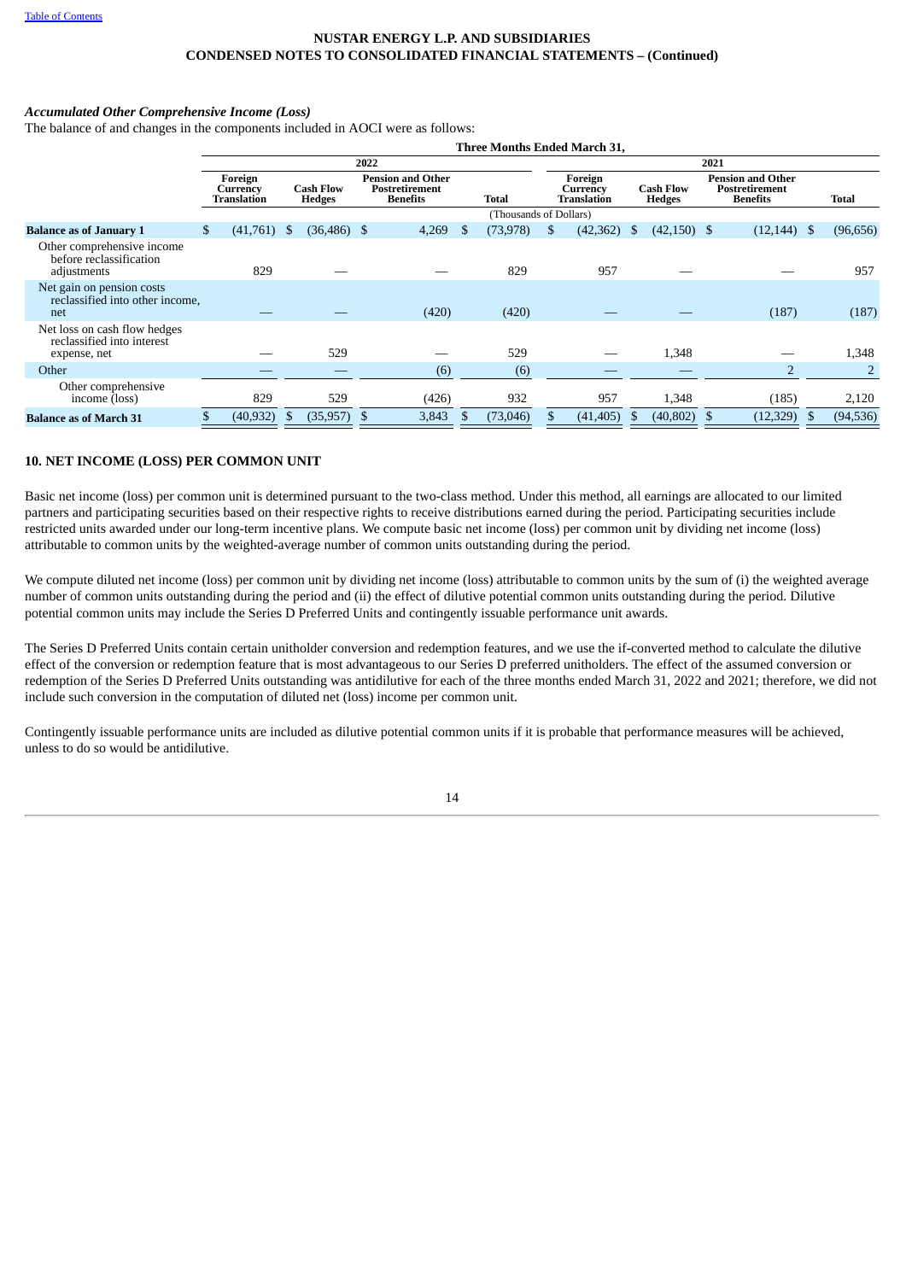## *Accumulated Other Comprehensive Income (Loss)*

The balance of and changes in the components included in AOCI were as follows:

|                                                                            | <b>Three Months Ended March 31,</b> |                                    |      |                |      |       |              |                        |      |           |     |               |     |                |  |                |  |  |  |  |  |  |  |  |  |  |  |  |  |  |  |  |  |  |  |  |  |  |  |  |  |  |  |  |  |  |  |  |  |  |  |  |  |  |  |  |  |  |  |  |  |  |  |  |  |  |  |  |  |  |  |  |  |  |  |                                   |  |                                                               |  |              |  |                                           |  |                                   |  |                                                               |  |              |
|----------------------------------------------------------------------------|-------------------------------------|------------------------------------|------|----------------|------|-------|--------------|------------------------|------|-----------|-----|---------------|-----|----------------|--|----------------|--|--|--|--|--|--|--|--|--|--|--|--|--|--|--|--|--|--|--|--|--|--|--|--|--|--|--|--|--|--|--|--|--|--|--|--|--|--|--|--|--|--|--|--|--|--|--|--|--|--|--|--|--|--|--|--|--|--|--|-----------------------------------|--|---------------------------------------------------------------|--|--------------|--|-------------------------------------------|--|-----------------------------------|--|---------------------------------------------------------------|--|--------------|
|                                                                            |                                     |                                    |      |                | 2022 |       |              |                        | 2021 |           |     |               |     |                |  |                |  |  |  |  |  |  |  |  |  |  |  |  |  |  |  |  |  |  |  |  |  |  |  |  |  |  |  |  |  |  |  |  |  |  |  |  |  |  |  |  |  |  |  |  |  |  |  |  |  |  |  |  |  |  |  |  |  |  |  |                                   |  |                                                               |  |              |  |                                           |  |                                   |  |                                                               |  |              |
|                                                                            |                                     | Foreign<br>Currency<br>Translation |      |                |      |       |              |                        |      |           |     |               |     |                |  |                |  |  |  |  |  |  |  |  |  |  |  |  |  |  |  |  |  |  |  |  |  |  |  |  |  |  |  |  |  |  |  |  |  |  |  |  |  |  |  |  |  |  |  |  |  |  |  |  |  |  |  |  |  |  |  |  |  |  |  | <b>Cash Flow</b><br><b>Hedges</b> |  | <b>Pension and Other</b><br>Postretirement<br><b>Benefits</b> |  | <b>Total</b> |  | Foreign<br>Currency<br><b>Translation</b> |  | <b>Cash Flow</b><br><b>Hedges</b> |  | <b>Pension and Other</b><br>Postretirement<br><b>Benefits</b> |  | <b>Total</b> |
|                                                                            |                                     |                                    |      |                |      |       |              | (Thousands of Dollars) |      |           |     |               |     |                |  |                |  |  |  |  |  |  |  |  |  |  |  |  |  |  |  |  |  |  |  |  |  |  |  |  |  |  |  |  |  |  |  |  |  |  |  |  |  |  |  |  |  |  |  |  |  |  |  |  |  |  |  |  |  |  |  |  |  |  |  |                                   |  |                                                               |  |              |  |                                           |  |                                   |  |                                                               |  |              |
| <b>Balance as of January 1</b>                                             | S.                                  | (41,761)                           | - \$ | $(36, 486)$ \$ |      | 4,269 | <sup>S</sup> | (73, 978)              | S    | (42, 362) | \$. | $(42,150)$ \$ |     | $(12, 144)$ \$ |  | (96, 656)      |  |  |  |  |  |  |  |  |  |  |  |  |  |  |  |  |  |  |  |  |  |  |  |  |  |  |  |  |  |  |  |  |  |  |  |  |  |  |  |  |  |  |  |  |  |  |  |  |  |  |  |  |  |  |  |  |  |  |  |                                   |  |                                                               |  |              |  |                                           |  |                                   |  |                                                               |  |              |
| Other comprehensive income<br>before reclassification<br>adjustments       |                                     | 829                                |      |                |      |       |              | 829                    |      | 957       |     |               |     |                |  | 957            |  |  |  |  |  |  |  |  |  |  |  |  |  |  |  |  |  |  |  |  |  |  |  |  |  |  |  |  |  |  |  |  |  |  |  |  |  |  |  |  |  |  |  |  |  |  |  |  |  |  |  |  |  |  |  |  |  |  |  |                                   |  |                                                               |  |              |  |                                           |  |                                   |  |                                                               |  |              |
| Net gain on pension costs<br>reclassified into other income,<br>net        |                                     |                                    |      |                |      | (420) |              | (420)                  |      |           |     |               |     | (187)          |  | (187)          |  |  |  |  |  |  |  |  |  |  |  |  |  |  |  |  |  |  |  |  |  |  |  |  |  |  |  |  |  |  |  |  |  |  |  |  |  |  |  |  |  |  |  |  |  |  |  |  |  |  |  |  |  |  |  |  |  |  |  |                                   |  |                                                               |  |              |  |                                           |  |                                   |  |                                                               |  |              |
| Net loss on cash flow hedges<br>reclassified into interest<br>expense, net |                                     |                                    |      | 529            |      |       |              | 529                    |      |           |     | 1,348         |     |                |  | 1,348          |  |  |  |  |  |  |  |  |  |  |  |  |  |  |  |  |  |  |  |  |  |  |  |  |  |  |  |  |  |  |  |  |  |  |  |  |  |  |  |  |  |  |  |  |  |  |  |  |  |  |  |  |  |  |  |  |  |  |  |                                   |  |                                                               |  |              |  |                                           |  |                                   |  |                                                               |  |              |
| Other                                                                      |                                     |                                    |      |                |      | (6)   |              | (6)                    |      |           |     |               |     | 2              |  | $\overline{2}$ |  |  |  |  |  |  |  |  |  |  |  |  |  |  |  |  |  |  |  |  |  |  |  |  |  |  |  |  |  |  |  |  |  |  |  |  |  |  |  |  |  |  |  |  |  |  |  |  |  |  |  |  |  |  |  |  |  |  |  |                                   |  |                                                               |  |              |  |                                           |  |                                   |  |                                                               |  |              |
| Other comprehensive<br>income (loss)                                       |                                     | 829                                |      | 529            |      | (426) |              | 932                    |      | 957       |     | 1,348         |     | (185)          |  | 2,120          |  |  |  |  |  |  |  |  |  |  |  |  |  |  |  |  |  |  |  |  |  |  |  |  |  |  |  |  |  |  |  |  |  |  |  |  |  |  |  |  |  |  |  |  |  |  |  |  |  |  |  |  |  |  |  |  |  |  |  |                                   |  |                                                               |  |              |  |                                           |  |                                   |  |                                                               |  |              |
| <b>Balance as of March 31</b>                                              |                                     | (40, 932)                          | S    | $(35,957)$ \$  |      | 3,843 |              | (73,046)               |      | (41, 405) | -S  | (40, 802)     | \$. | (12, 329)      |  | (94, 536)      |  |  |  |  |  |  |  |  |  |  |  |  |  |  |  |  |  |  |  |  |  |  |  |  |  |  |  |  |  |  |  |  |  |  |  |  |  |  |  |  |  |  |  |  |  |  |  |  |  |  |  |  |  |  |  |  |  |  |  |                                   |  |                                                               |  |              |  |                                           |  |                                   |  |                                                               |  |              |

#### **10. NET INCOME (LOSS) PER COMMON UNIT**

Basic net income (loss) per common unit is determined pursuant to the two-class method. Under this method, all earnings are allocated to our limited partners and participating securities based on their respective rights to receive distributions earned during the period. Participating securities include restricted units awarded under our long-term incentive plans. We compute basic net income (loss) per common unit by dividing net income (loss) attributable to common units by the weighted-average number of common units outstanding during the period.

We compute diluted net income (loss) per common unit by dividing net income (loss) attributable to common units by the sum of (i) the weighted average number of common units outstanding during the period and (ii) the effect of dilutive potential common units outstanding during the period. Dilutive potential common units may include the Series D Preferred Units and contingently issuable performance unit awards.

The Series D Preferred Units contain certain unitholder conversion and redemption features, and we use the if-converted method to calculate the dilutive effect of the conversion or redemption feature that is most advantageous to our Series D preferred unitholders. The effect of the assumed conversion or redemption of the Series D Preferred Units outstanding was antidilutive for each of the three months ended March 31, 2022 and 2021; therefore, we did not include such conversion in the computation of diluted net (loss) income per common unit.

Contingently issuable performance units are included as dilutive potential common units if it is probable that performance measures will be achieved, unless to do so would be antidilutive.

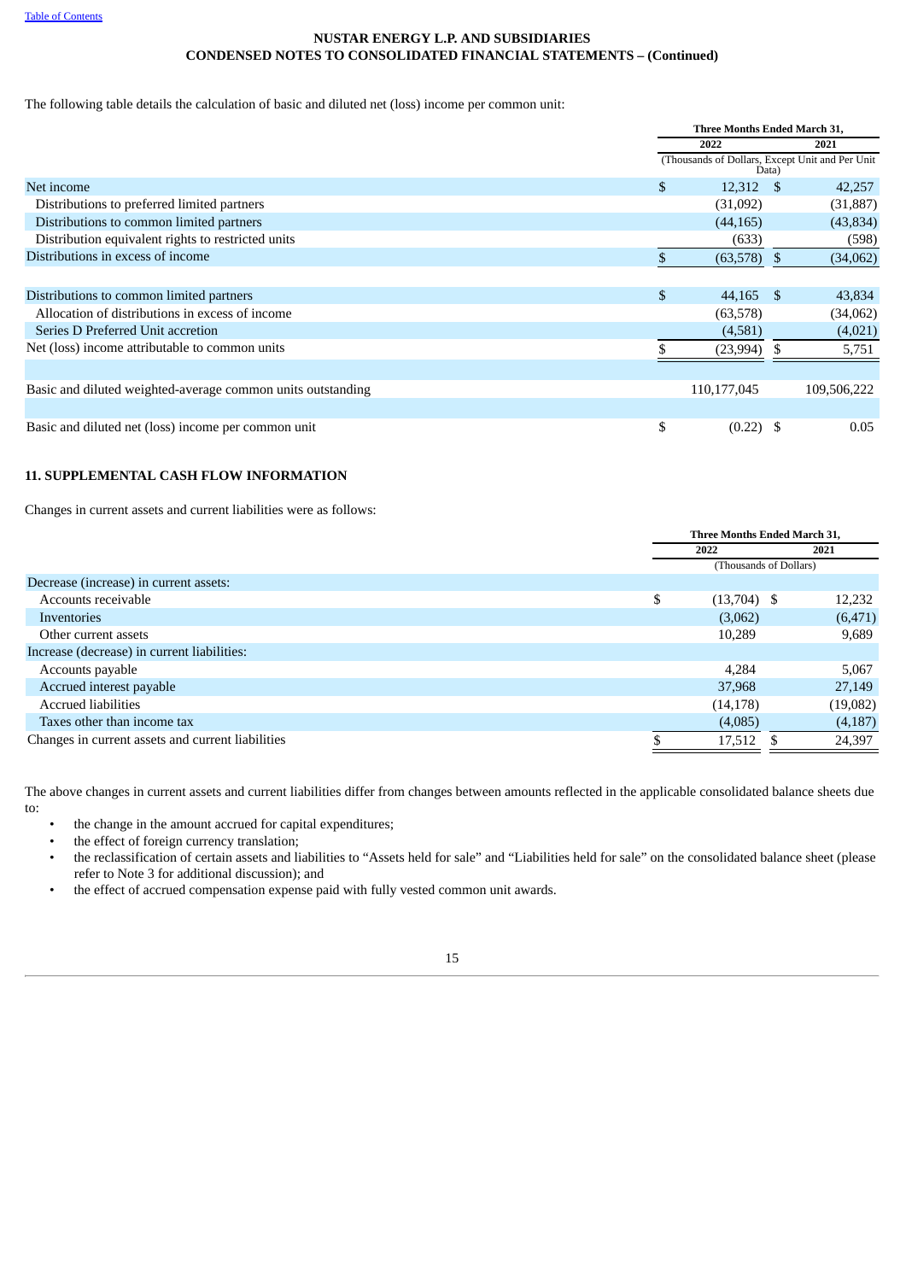The following table details the calculation of basic and diluted net (loss) income per common unit:

|                                                             | Three Months Ended March 31, |                                                 |       |             |  |
|-------------------------------------------------------------|------------------------------|-------------------------------------------------|-------|-------------|--|
|                                                             |                              | 2022                                            |       | 2021        |  |
|                                                             |                              | (Thousands of Dollars, Except Unit and Per Unit | Data) |             |  |
| Net income                                                  | \$                           | $12,312$ \$                                     |       | 42,257      |  |
| Distributions to preferred limited partners                 |                              | (31,092)                                        |       | (31, 887)   |  |
| Distributions to common limited partners                    |                              | (44, 165)                                       |       | (43, 834)   |  |
| Distribution equivalent rights to restricted units          |                              | (633)                                           |       | (598)       |  |
| Distributions in excess of income                           |                              | $(63,578)$ \$                                   |       | (34,062)    |  |
|                                                             |                              |                                                 |       |             |  |
| Distributions to common limited partners                    | \$                           | $44,165$ \$                                     |       | 43,834      |  |
| Allocation of distributions in excess of income             |                              | (63, 578)                                       |       | (34,062)    |  |
| Series D Preferred Unit accretion                           |                              | (4,581)                                         |       | (4,021)     |  |
| Net (loss) income attributable to common units              |                              | $(23,994)$ \$                                   |       | 5,751       |  |
|                                                             |                              |                                                 |       |             |  |
| Basic and diluted weighted-average common units outstanding |                              | 110,177,045                                     |       | 109,506,222 |  |
|                                                             |                              |                                                 |       |             |  |
| Basic and diluted net (loss) income per common unit         | \$                           | $(0.22)$ \$                                     |       | 0.05        |  |

## **11. SUPPLEMENTAL CASH FLOW INFORMATION**

Changes in current assets and current liabilities were as follows:

| Three Months Ended March 31, |  |                                         |  |  |
|------------------------------|--|-----------------------------------------|--|--|
| 2022                         |  | 2021                                    |  |  |
|                              |  |                                         |  |  |
|                              |  |                                         |  |  |
| \$                           |  | 12,232                                  |  |  |
| (3,062)                      |  | (6, 471)                                |  |  |
| 10,289                       |  | 9,689                                   |  |  |
|                              |  |                                         |  |  |
| 4.284                        |  | 5,067                                   |  |  |
| 37,968                       |  | 27,149                                  |  |  |
| (14, 178)                    |  | (19,082)                                |  |  |
| (4,085)                      |  | (4,187)                                 |  |  |
| 17,512                       |  | 24,397                                  |  |  |
|                              |  | (Thousands of Dollars)<br>$(13,704)$ \$ |  |  |

The above changes in current assets and current liabilities differ from changes between amounts reflected in the applicable consolidated balance sheets due to:

- the change in the amount accrued for capital expenditures;
- the effect of foreign currency translation;
- the reclassification of certain assets and liabilities to "Assets held for sale" and "Liabilities held for sale" on the consolidated balance sheet (please refer to Note 3 for additional discussion); and
- the effect of accrued compensation expense paid with fully vested common unit awards.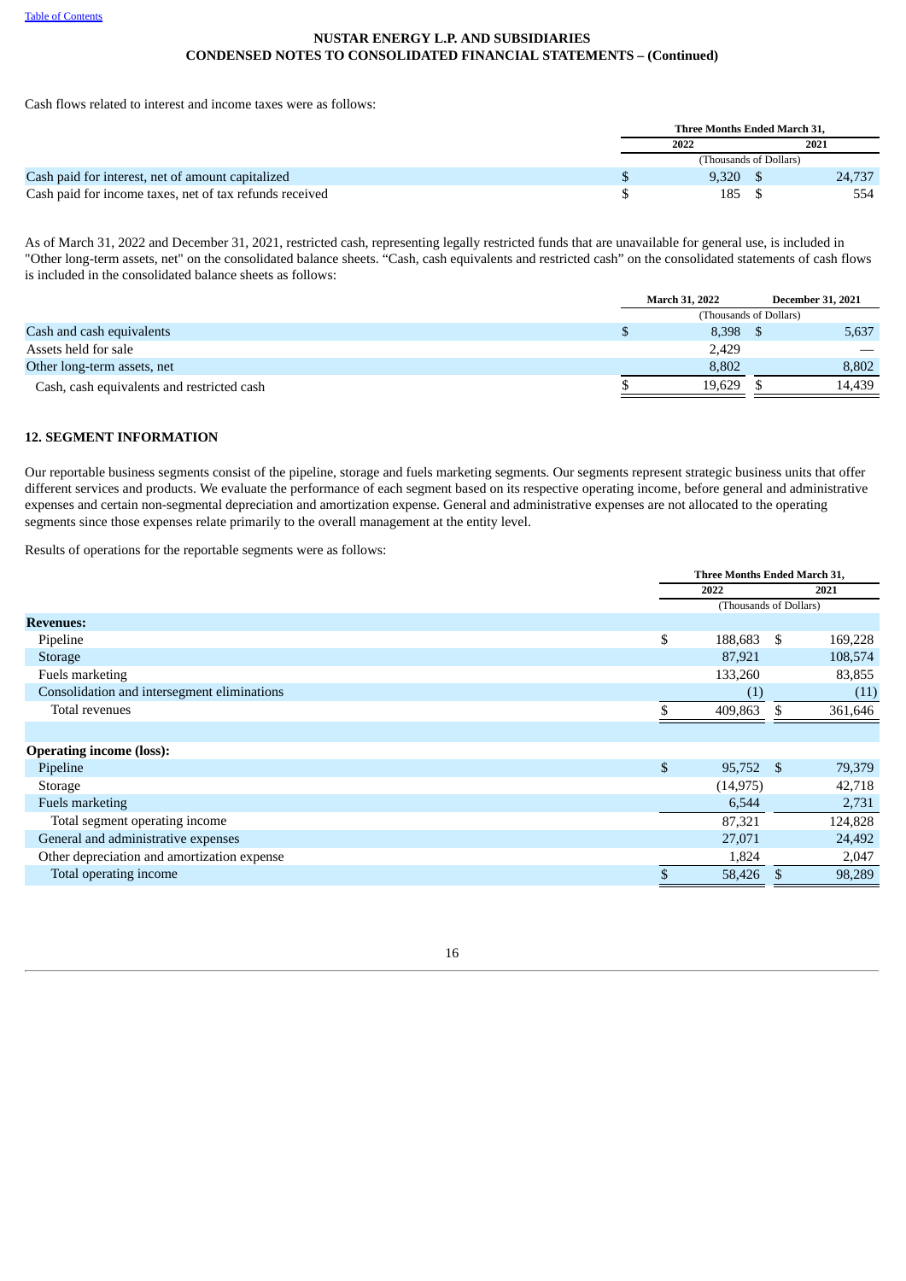Cash flows related to interest and income taxes were as follows:

|                                                         | <b>Three Months Ended March 31.</b> |  |        |  |
|---------------------------------------------------------|-------------------------------------|--|--------|--|
|                                                         | 2022                                |  | 2021   |  |
|                                                         | (Thousands of Dollars)              |  |        |  |
| Cash paid for interest, net of amount capitalized       | 9.320                               |  | 24.737 |  |
| Cash paid for income taxes, net of tax refunds received | 185                                 |  | 554    |  |

As of March 31, 2022 and December 31, 2021, restricted cash, representing legally restricted funds that are unavailable for general use, is included in "Other long-term assets, net" on the consolidated balance sheets. "Cash, cash equivalents and restricted cash" on the consolidated statements of cash flows is included in the consolidated balance sheets as follows:

|                                            | <b>March 31, 2022</b>  | <b>December 31, 2021</b> |
|--------------------------------------------|------------------------|--------------------------|
|                                            | (Thousands of Dollars) |                          |
| Cash and cash equivalents                  | 8,398                  | 5,637                    |
| Assets held for sale                       | 2,429                  |                          |
| Other long-term assets, net                | 8,802                  | 8,802                    |
| Cash, cash equivalents and restricted cash | 19.629                 | 14.439                   |

## **12. SEGMENT INFORMATION**

Our reportable business segments consist of the pipeline, storage and fuels marketing segments. Our segments represent strategic business units that offer different services and products. We evaluate the performance of each segment based on its respective operating income, before general and administrative expenses and certain non-segmental depreciation and amortization expense. General and administrative expenses are not allocated to the operating segments since those expenses relate primarily to the overall management at the entity level.

Results of operations for the reportable segments were as follows:

| <b>Three Months Ended March 31,</b> |           |    |                                     |  |
|-------------------------------------|-----------|----|-------------------------------------|--|
|                                     | 2022      |    | 2021                                |  |
|                                     |           |    |                                     |  |
|                                     |           |    |                                     |  |
| \$                                  | 188,683   | \$ | 169,228                             |  |
|                                     | 87,921    |    | 108,574                             |  |
|                                     | 133,260   |    | 83,855                              |  |
|                                     | (1)       |    | (11)                                |  |
|                                     | 409,863   | \$ | 361,646                             |  |
|                                     |           |    |                                     |  |
|                                     |           |    |                                     |  |
| $\mathbb{S}$                        |           |    | 79,379                              |  |
|                                     | (14, 975) |    | 42,718                              |  |
|                                     | 6,544     |    | 2,731                               |  |
|                                     | 87,321    |    | 124,828                             |  |
|                                     | 27,071    |    | 24,492                              |  |
|                                     | 1,824     |    | 2,047                               |  |
| \$                                  | 58,426    | \$ | 98,289                              |  |
|                                     |           |    | (Thousands of Dollars)<br>95,752 \$ |  |

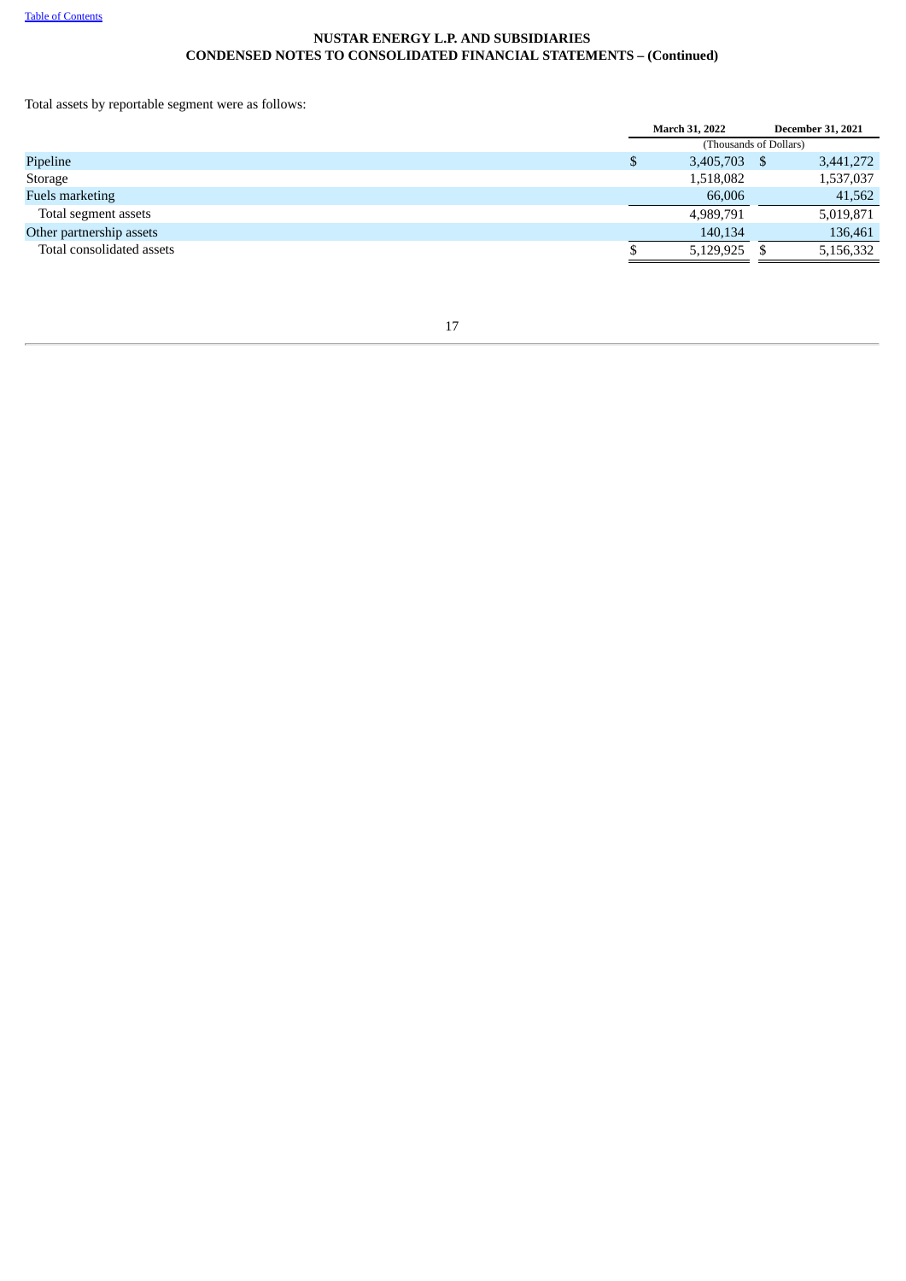Total assets by reportable segment were as follows:

<span id="page-16-0"></span>

|                           |     | <b>March 31, 2022</b>  | <b>December 31, 2021</b> |
|---------------------------|-----|------------------------|--------------------------|
|                           |     | (Thousands of Dollars) |                          |
| Pipeline                  | \$. | 3,405,703 \$           | 3,441,272                |
| Storage                   |     | 1,518,082              | 1,537,037                |
| <b>Fuels marketing</b>    |     | 66,006                 | 41,562                   |
| Total segment assets      |     | 4,989,791              | 5,019,871                |
| Other partnership assets  |     | 140,134                | 136,461                  |
| Total consolidated assets |     | 5,129,925              | 5,156,332                |
|                           |     |                        |                          |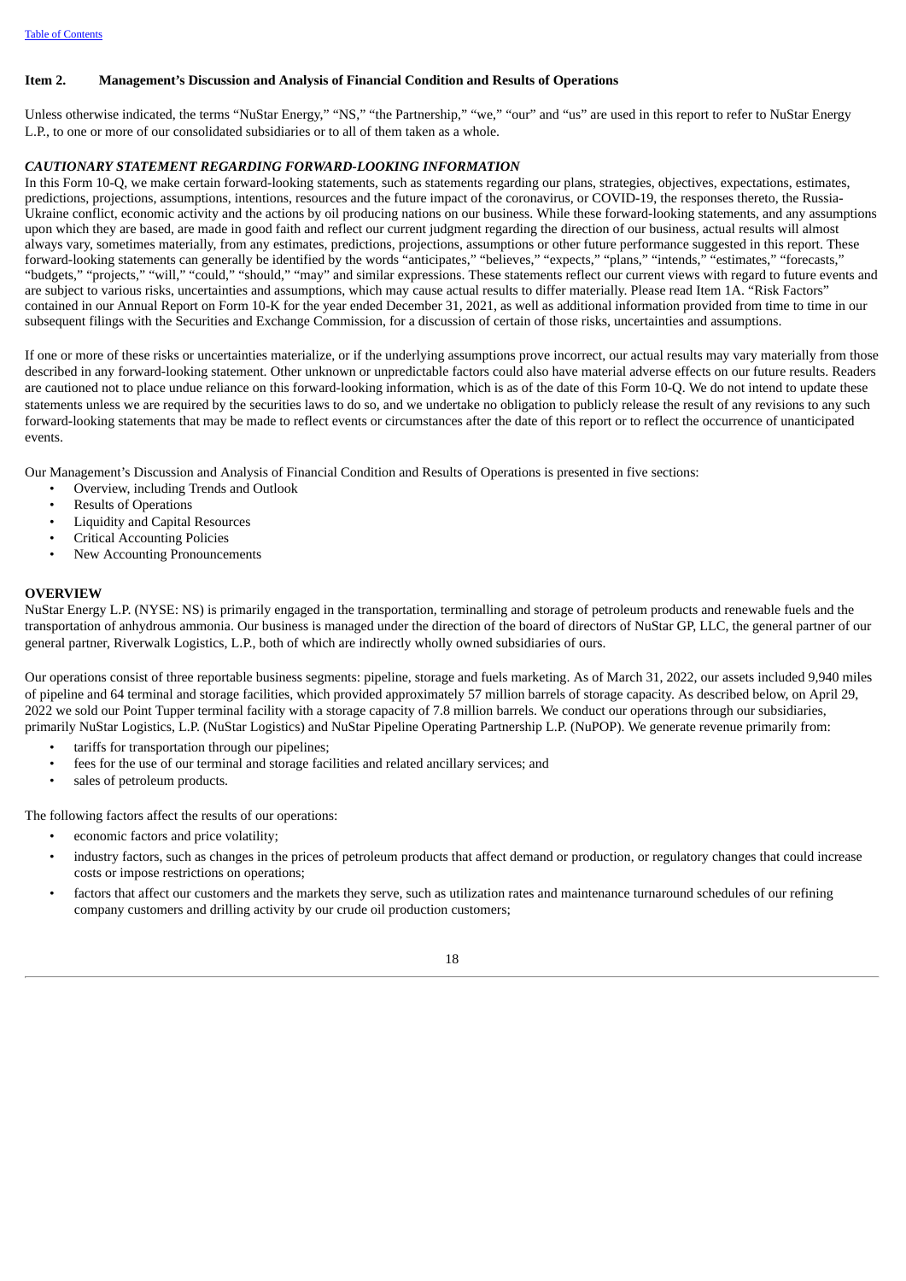### **Item 2. Management's Discussion and Analysis of Financial Condition and Results of Operations**

Unless otherwise indicated, the terms "NuStar Energy," "NS," "the Partnership," "we," "our" and "us" are used in this report to refer to NuStar Energy L.P., to one or more of our consolidated subsidiaries or to all of them taken as a whole.

## *CAUTIONARY STATEMENT REGARDING FORWARD-LOOKING INFORMATION*

In this Form 10-Q, we make certain forward-looking statements, such as statements regarding our plans, strategies, objectives, expectations, estimates, predictions, projections, assumptions, intentions, resources and the future impact of the coronavirus, or COVID-19, the responses thereto, the Russia-Ukraine conflict, economic activity and the actions by oil producing nations on our business. While these forward-looking statements, and any assumptions upon which they are based, are made in good faith and reflect our current judgment regarding the direction of our business, actual results will almost always vary, sometimes materially, from any estimates, predictions, projections, assumptions or other future performance suggested in this report. These forward-looking statements can generally be identified by the words "anticipates," "believes," "expects," "plans," "intends," "estimates," "forecasts," "budgets," "projects," "will," "could," "should," "may" and similar expressions. These statements reflect our current views with regard to future events and are subject to various risks, uncertainties and assumptions, which may cause actual results to differ materially. Please read Item 1A. "Risk Factors" contained in our Annual Report on Form 10-K for the year ended December 31, 2021, as well as additional information provided from time to time in our subsequent filings with the Securities and Exchange Commission, for a discussion of certain of those risks, uncertainties and assumptions.

If one or more of these risks or uncertainties materialize, or if the underlying assumptions prove incorrect, our actual results may vary materially from those described in any forward-looking statement. Other unknown or unpredictable factors could also have material adverse effects on our future results. Readers are cautioned not to place undue reliance on this forward-looking information, which is as of the date of this Form 10-Q. We do not intend to update these statements unless we are required by the securities laws to do so, and we undertake no obligation to publicly release the result of any revisions to any such forward-looking statements that may be made to reflect events or circumstances after the date of this report or to reflect the occurrence of unanticipated events.

Our Management's Discussion and Analysis of Financial Condition and Results of Operations is presented in five sections:

- Overview, including Trends and Outlook
- Results of Operations
- Liquidity and Capital Resources
- Critical Accounting Policies
- New Accounting Pronouncements

#### **OVERVIEW**

NuStar Energy L.P. (NYSE: NS) is primarily engaged in the transportation, terminalling and storage of petroleum products and renewable fuels and the transportation of anhydrous ammonia. Our business is managed under the direction of the board of directors of NuStar GP, LLC, the general partner of our general partner, Riverwalk Logistics, L.P., both of which are indirectly wholly owned subsidiaries of ours.

Our operations consist of three reportable business segments: pipeline, storage and fuels marketing. As of March 31, 2022, our assets included 9,940 miles of pipeline and 64 terminal and storage facilities, which provided approximately 57 million barrels of storage capacity. As described below, on April 29, 2022 we sold our Point Tupper terminal facility with a storage capacity of 7.8 million barrels. We conduct our operations through our subsidiaries, primarily NuStar Logistics, L.P. (NuStar Logistics) and NuStar Pipeline Operating Partnership L.P. (NuPOP). We generate revenue primarily from:

- tariffs for transportation through our pipelines:
- fees for the use of our terminal and storage facilities and related ancillary services; and
- sales of petroleum products.

The following factors affect the results of our operations:

- economic factors and price volatility;
- industry factors, such as changes in the prices of petroleum products that affect demand or production, or regulatory changes that could increase costs or impose restrictions on operations;
- factors that affect our customers and the markets they serve, such as utilization rates and maintenance turnaround schedules of our refining company customers and drilling activity by our crude oil production customers;

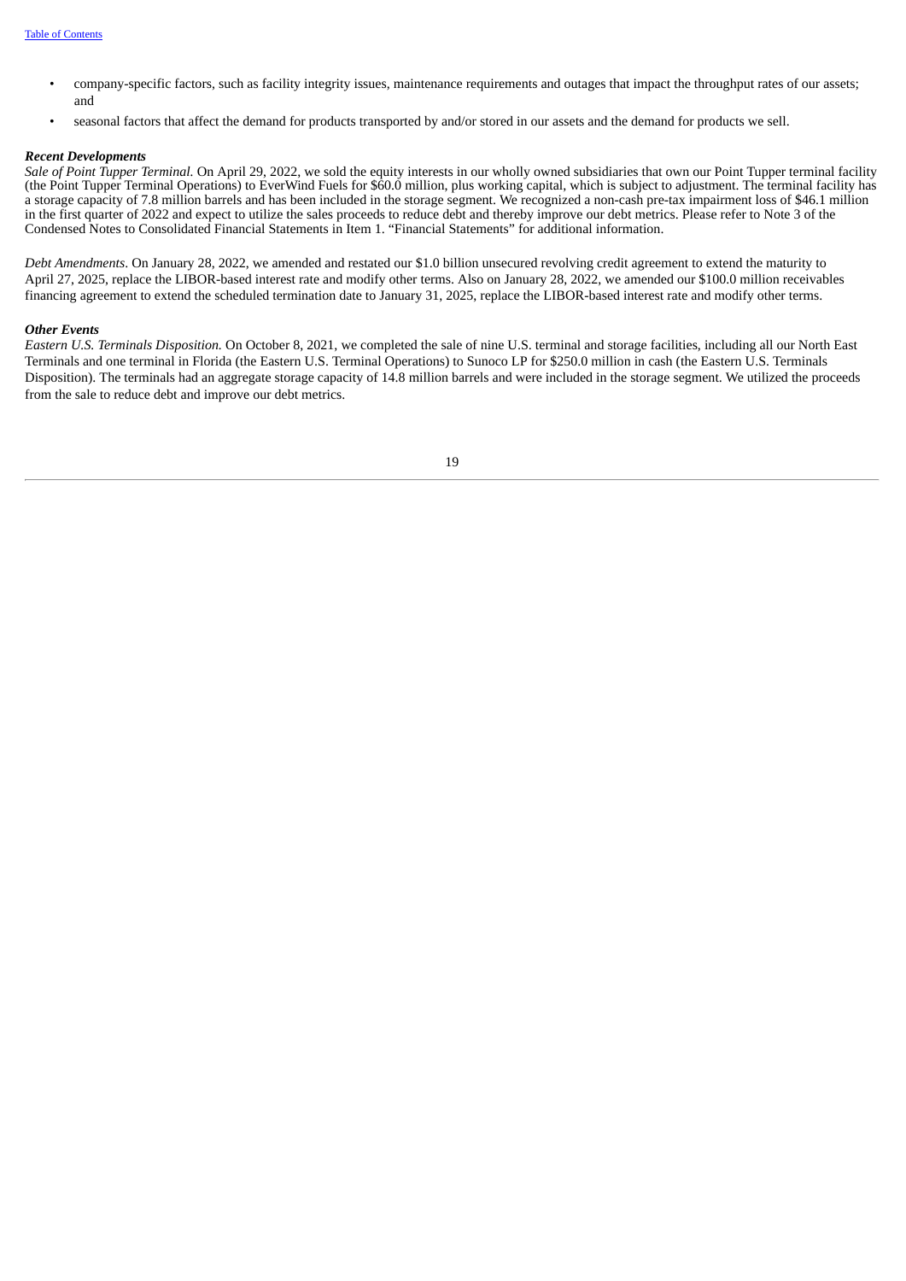- company-specific factors, such as facility integrity issues, maintenance requirements and outages that impact the throughput rates of our assets; and
- seasonal factors that affect the demand for products transported by and/or stored in our assets and the demand for products we sell.

#### *Recent Developments*

*Sale of Point Tupper Terminal.* On April 29, 2022, we sold the equity interests in our wholly owned subsidiaries that own our Point Tupper terminal facility (the Point Tupper Terminal Operations) to EverWind Fuels for \$60.0 million, plus working capital, which is subject to adjustment. The terminal facility has a storage capacity of 7.8 million barrels and has been included in the storage segment. We recognized a non-cash pre-tax impairment loss of \$46.1 million in the first quarter of 2022 and expect to utilize the sales proceeds to reduce debt and thereby improve our debt metrics. Please refer to Note 3 of the Condensed Notes to Consolidated Financial Statements in Item 1. "Financial Statements" for additional information.

*Debt Amendments*. On January 28, 2022, we amended and restated our \$1.0 billion unsecured revolving credit agreement to extend the maturity to April 27, 2025, replace the LIBOR-based interest rate and modify other terms. Also on January 28, 2022, we amended our \$100.0 million receivables financing agreement to extend the scheduled termination date to January 31, 2025, replace the LIBOR-based interest rate and modify other terms.

#### *Other Events*

*Eastern U.S. Terminals Disposition.* On October 8, 2021, we completed the sale of nine U.S. terminal and storage facilities, including all our North East Terminals and one terminal in Florida (the Eastern U.S. Terminal Operations) to Sunoco LP for \$250.0 million in cash (the Eastern U.S. Terminals Disposition). The terminals had an aggregate storage capacity of 14.8 million barrels and were included in the storage segment. We utilized the proceeds from the sale to reduce debt and improve our debt metrics.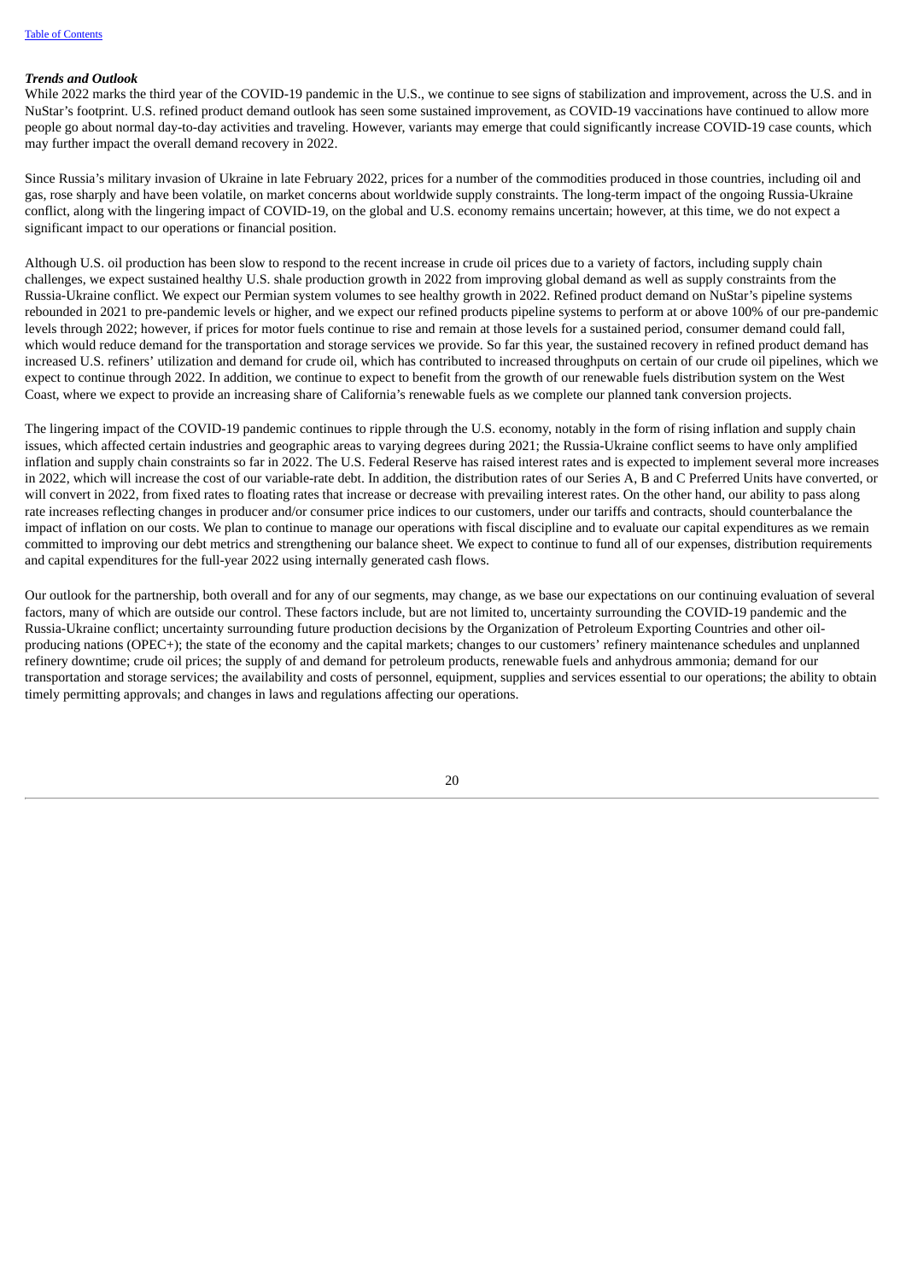#### *Trends and Outlook*

While 2022 marks the third year of the COVID-19 pandemic in the U.S., we continue to see signs of stabilization and improvement, across the U.S. and in NuStar's footprint. U.S. refined product demand outlook has seen some sustained improvement, as COVID-19 vaccinations have continued to allow more people go about normal day-to-day activities and traveling. However, variants may emerge that could significantly increase COVID-19 case counts, which may further impact the overall demand recovery in 2022.

Since Russia's military invasion of Ukraine in late February 2022, prices for a number of the commodities produced in those countries, including oil and gas, rose sharply and have been volatile, on market concerns about worldwide supply constraints. The long-term impact of the ongoing Russia-Ukraine conflict, along with the lingering impact of COVID-19, on the global and U.S. economy remains uncertain; however, at this time, we do not expect a significant impact to our operations or financial position.

Although U.S. oil production has been slow to respond to the recent increase in crude oil prices due to a variety of factors, including supply chain challenges, we expect sustained healthy U.S. shale production growth in 2022 from improving global demand as well as supply constraints from the Russia-Ukraine conflict. We expect our Permian system volumes to see healthy growth in 2022. Refined product demand on NuStar's pipeline systems rebounded in 2021 to pre-pandemic levels or higher, and we expect our refined products pipeline systems to perform at or above 100% of our pre-pandemic levels through 2022; however, if prices for motor fuels continue to rise and remain at those levels for a sustained period, consumer demand could fall, which would reduce demand for the transportation and storage services we provide. So far this year, the sustained recovery in refined product demand has increased U.S. refiners' utilization and demand for crude oil, which has contributed to increased throughputs on certain of our crude oil pipelines, which we expect to continue through 2022. In addition, we continue to expect to benefit from the growth of our renewable fuels distribution system on the West Coast, where we expect to provide an increasing share of California's renewable fuels as we complete our planned tank conversion projects.

The lingering impact of the COVID-19 pandemic continues to ripple through the U.S. economy, notably in the form of rising inflation and supply chain issues, which affected certain industries and geographic areas to varying degrees during 2021; the Russia-Ukraine conflict seems to have only amplified inflation and supply chain constraints so far in 2022. The U.S. Federal Reserve has raised interest rates and is expected to implement several more increases in 2022, which will increase the cost of our variable-rate debt. In addition, the distribution rates of our Series A, B and C Preferred Units have converted, or will convert in 2022, from fixed rates to floating rates that increase or decrease with prevailing interest rates. On the other hand, our ability to pass along rate increases reflecting changes in producer and/or consumer price indices to our customers, under our tariffs and contracts, should counterbalance the impact of inflation on our costs. We plan to continue to manage our operations with fiscal discipline and to evaluate our capital expenditures as we remain committed to improving our debt metrics and strengthening our balance sheet. We expect to continue to fund all of our expenses, distribution requirements and capital expenditures for the full-year 2022 using internally generated cash flows.

Our outlook for the partnership, both overall and for any of our segments, may change, as we base our expectations on our continuing evaluation of several factors, many of which are outside our control. These factors include, but are not limited to, uncertainty surrounding the COVID-19 pandemic and the Russia-Ukraine conflict; uncertainty surrounding future production decisions by the Organization of Petroleum Exporting Countries and other oilproducing nations (OPEC+); the state of the economy and the capital markets; changes to our customers' refinery maintenance schedules and unplanned refinery downtime; crude oil prices; the supply of and demand for petroleum products, renewable fuels and anhydrous ammonia; demand for our transportation and storage services; the availability and costs of personnel, equipment, supplies and services essential to our operations; the ability to obtain timely permitting approvals; and changes in laws and regulations affecting our operations.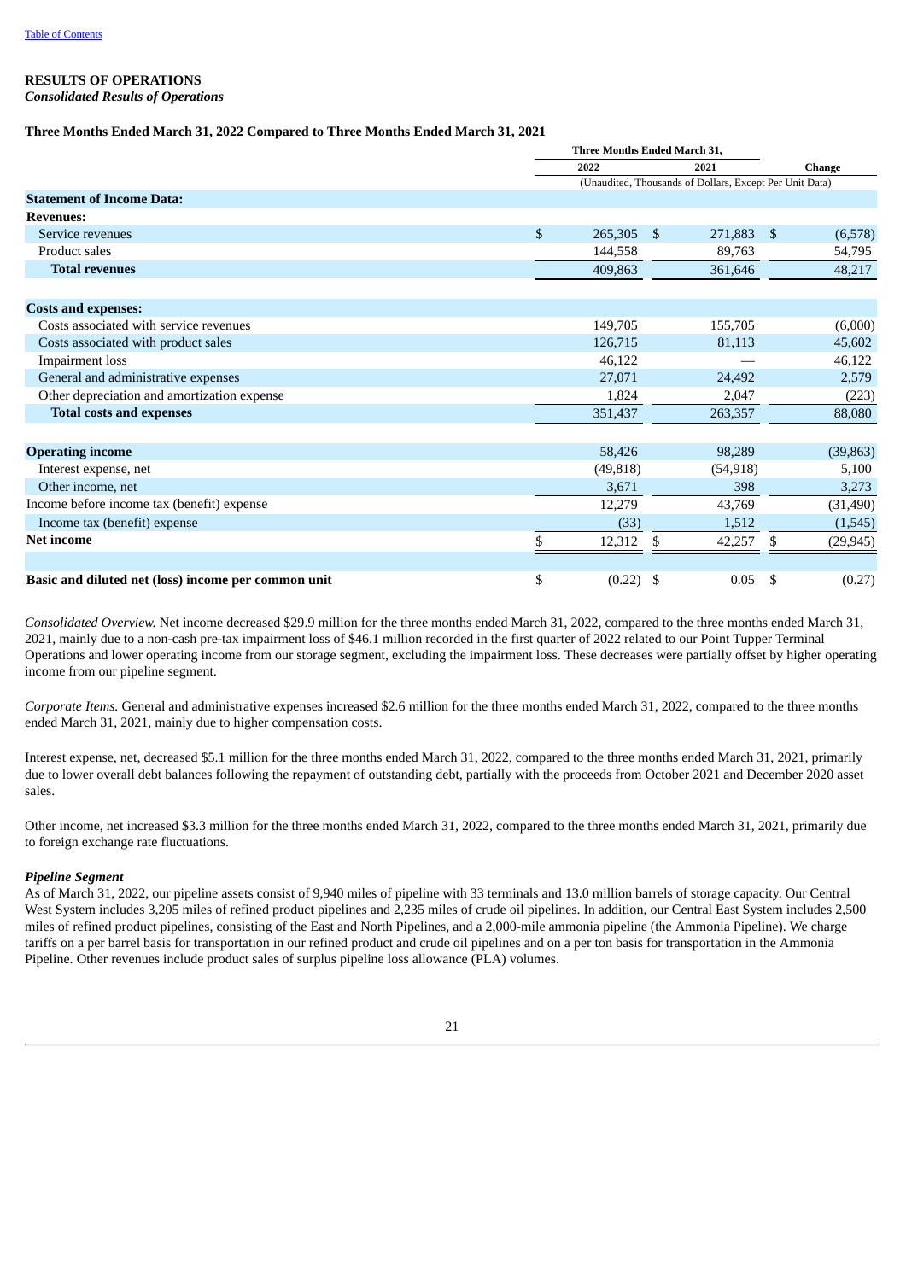### **RESULTS OF OPERATIONS** *Consolidated Results of Operations*

#### **Three Months Ended March 31, 2022 Compared to Three Months Ended March 31, 2021**

|                                                     | <b>Three Months Ended March 31,</b> |     |                                                         |     |           |
|-----------------------------------------------------|-------------------------------------|-----|---------------------------------------------------------|-----|-----------|
|                                                     | 2022                                |     | 2021                                                    |     | Change    |
|                                                     |                                     |     | (Unaudited, Thousands of Dollars, Except Per Unit Data) |     |           |
| <b>Statement of Income Data:</b>                    |                                     |     |                                                         |     |           |
| <b>Revenues:</b>                                    |                                     |     |                                                         |     |           |
| Service revenues                                    | \$<br>265,305                       | \$  | 271,883                                                 | -\$ | (6,578)   |
| Product sales                                       | 144,558                             |     | 89,763                                                  |     | 54,795    |
| <b>Total revenues</b>                               | 409,863                             |     | 361,646                                                 |     | 48,217    |
|                                                     |                                     |     |                                                         |     |           |
| <b>Costs and expenses:</b>                          |                                     |     |                                                         |     |           |
| Costs associated with service revenues              | 149,705                             |     | 155,705                                                 |     | (6,000)   |
| Costs associated with product sales                 | 126,715                             |     | 81,113                                                  |     | 45,602    |
| <b>Impairment</b> loss                              | 46,122                              |     |                                                         |     | 46,122    |
| General and administrative expenses                 | 27,071                              |     | 24,492                                                  |     | 2,579     |
| Other depreciation and amortization expense         | 1,824                               |     | 2,047                                                   |     | (223)     |
| <b>Total costs and expenses</b>                     | 351,437                             |     | 263,357                                                 |     | 88,080    |
|                                                     |                                     |     |                                                         |     |           |
| <b>Operating income</b>                             | 58,426                              |     | 98,289                                                  |     | (39, 863) |
| Interest expense, net                               | (49, 818)                           |     | (54, 918)                                               |     | 5,100     |
| Other income, net                                   | 3,671                               |     | 398                                                     |     | 3,273     |
| Income before income tax (benefit) expense          | 12,279                              |     | 43,769                                                  |     | (31, 490) |
| Income tax (benefit) expense                        | (33)                                |     | 1,512                                                   |     | (1,545)   |
| <b>Net income</b>                                   | 12,312                              | \$  | 42,257                                                  | \$  | (29, 945) |
|                                                     |                                     |     |                                                         |     |           |
| Basic and diluted net (loss) income per common unit | \$<br>(0.22)                        | -\$ | 0.05                                                    | \$  | (0.27)    |

*Consolidated Overview.* Net income decreased \$29.9 million for the three months ended March 31, 2022, compared to the three months ended March 31, 2021, mainly due to a non-cash pre-tax impairment loss of \$46.1 million recorded in the first quarter of 2022 related to our Point Tupper Terminal Operations and lower operating income from our storage segment, excluding the impairment loss. These decreases were partially offset by higher operating income from our pipeline segment.

*Corporate Items.* General and administrative expenses increased \$2.6 million for the three months ended March 31, 2022, compared to the three months ended March 31, 2021, mainly due to higher compensation costs.

Interest expense, net, decreased \$5.1 million for the three months ended March 31, 2022, compared to the three months ended March 31, 2021, primarily due to lower overall debt balances following the repayment of outstanding debt, partially with the proceeds from October 2021 and December 2020 asset sales.

Other income, net increased \$3.3 million for the three months ended March 31, 2022, compared to the three months ended March 31, 2021, primarily due to foreign exchange rate fluctuations.

### *Pipeline Segment*

As of March 31, 2022, our pipeline assets consist of 9,940 miles of pipeline with 33 terminals and 13.0 million barrels of storage capacity. Our Central West System includes 3,205 miles of refined product pipelines and 2,235 miles of crude oil pipelines. In addition, our Central East System includes 2,500 miles of refined product pipelines, consisting of the East and North Pipelines, and a 2,000-mile ammonia pipeline (the Ammonia Pipeline). We charge tariffs on a per barrel basis for transportation in our refined product and crude oil pipelines and on a per ton basis for transportation in the Ammonia Pipeline. Other revenues include product sales of surplus pipeline loss allowance (PLA) volumes.

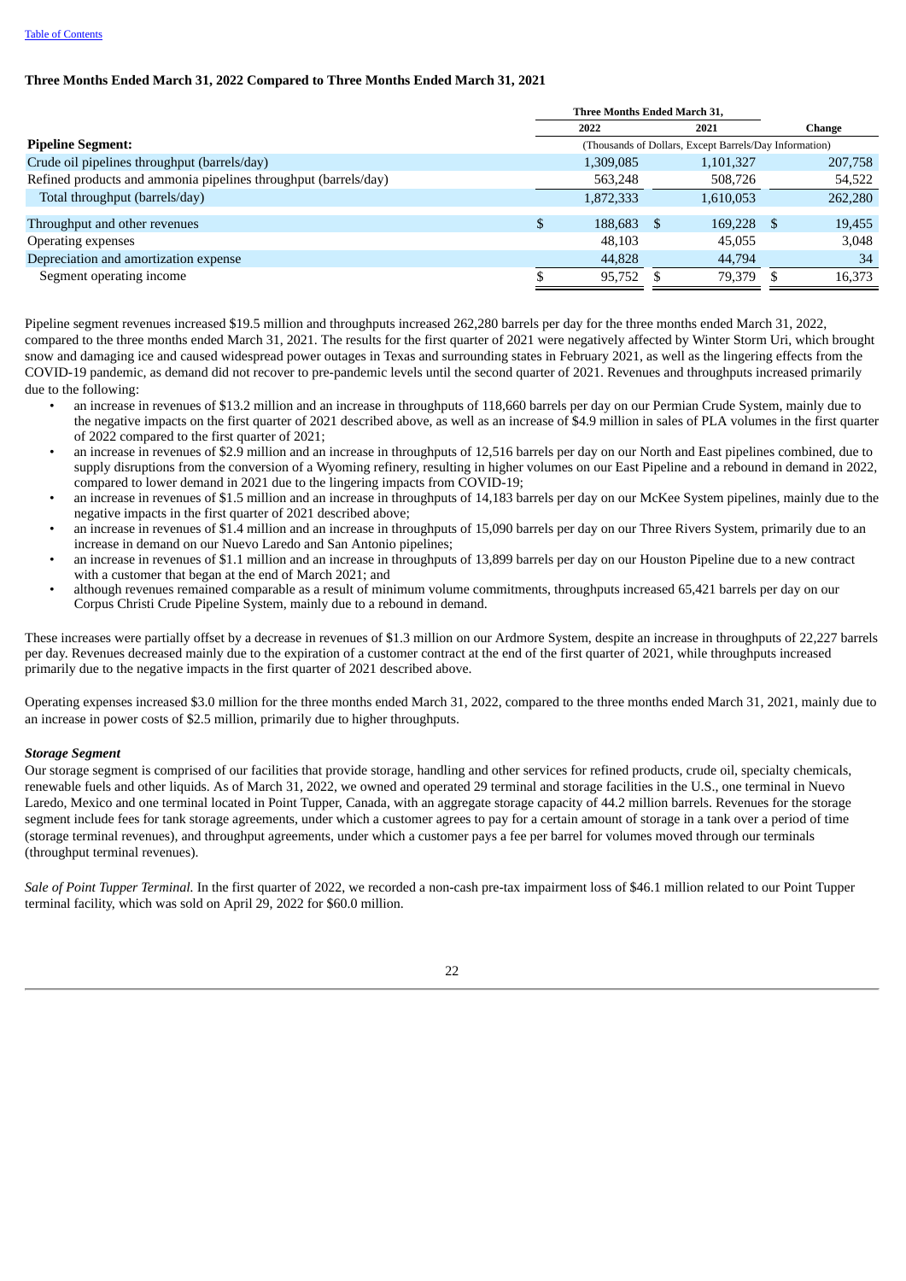## **Three Months Ended March 31, 2022 Compared to Three Months Ended March 31, 2021**

|                                                                 | <b>Three Months Ended March 31.</b> |      |                                                        |  |         |
|-----------------------------------------------------------------|-------------------------------------|------|--------------------------------------------------------|--|---------|
|                                                                 | 2022                                | 2021 |                                                        |  | Change  |
| <b>Pipeline Segment:</b>                                        |                                     |      | (Thousands of Dollars, Except Barrels/Day Information) |  |         |
| Crude oil pipelines throughput (barrels/day)                    | 1,309,085                           |      | 1,101,327                                              |  | 207,758 |
| Refined products and ammonia pipelines throughput (barrels/day) | 563,248                             |      | 508,726                                                |  | 54,522  |
| Total throughput (barrels/day)                                  | 1,872,333                           |      | 1,610,053                                              |  | 262,280 |
| Throughput and other revenues                                   | \$<br>188,683                       |      | 169,228 \$                                             |  | 19,455  |
| <b>Operating expenses</b>                                       | 48.103                              |      | 45,055                                                 |  | 3,048   |
| Depreciation and amortization expense                           | 44,828                              |      | 44,794                                                 |  | 34      |
| Segment operating income                                        | 95,752                              |      | 79,379                                                 |  | 16,373  |
|                                                                 |                                     |      |                                                        |  |         |

Pipeline segment revenues increased \$19.5 million and throughputs increased 262,280 barrels per day for the three months ended March 31, 2022, compared to the three months ended March 31, 2021. The results for the first quarter of 2021 were negatively affected by Winter Storm Uri, which brought snow and damaging ice and caused widespread power outages in Texas and surrounding states in February 2021, as well as the lingering effects from the COVID-19 pandemic, as demand did not recover to pre-pandemic levels until the second quarter of 2021. Revenues and throughputs increased primarily due to the following:

- an increase in revenues of \$13.2 million and an increase in throughputs of 118,660 barrels per day on our Permian Crude System, mainly due to the negative impacts on the first quarter of 2021 described above, as well as an increase of \$4.9 million in sales of PLA volumes in the first quarter of 2022 compared to the first quarter of 2021;
- an increase in revenues of \$2.9 million and an increase in throughputs of 12,516 barrels per day on our North and East pipelines combined, due to supply disruptions from the conversion of a Wyoming refinery, resulting in higher volumes on our East Pipeline and a rebound in demand in 2022, compared to lower demand in 2021 due to the lingering impacts from COVID-19;
- an increase in revenues of \$1.5 million and an increase in throughputs of 14,183 barrels per day on our McKee System pipelines, mainly due to the negative impacts in the first quarter of 2021 described above;
- an increase in revenues of \$1.4 million and an increase in throughputs of 15,090 barrels per day on our Three Rivers System, primarily due to an increase in demand on our Nuevo Laredo and San Antonio pipelines;
- an increase in revenues of \$1.1 million and an increase in throughputs of 13,899 barrels per day on our Houston Pipeline due to a new contract with a customer that began at the end of March 2021; and
- although revenues remained comparable as a result of minimum volume commitments, throughputs increased 65,421 barrels per day on our Corpus Christi Crude Pipeline System, mainly due to a rebound in demand.

These increases were partially offset by a decrease in revenues of \$1.3 million on our Ardmore System, despite an increase in throughputs of 22,227 barrels per day. Revenues decreased mainly due to the expiration of a customer contract at the end of the first quarter of 2021, while throughputs increased primarily due to the negative impacts in the first quarter of 2021 described above.

Operating expenses increased \$3.0 million for the three months ended March 31, 2022, compared to the three months ended March 31, 2021, mainly due to an increase in power costs of \$2.5 million, primarily due to higher throughputs.

#### *Storage Segment*

Our storage segment is comprised of our facilities that provide storage, handling and other services for refined products, crude oil, specialty chemicals, renewable fuels and other liquids. As of March 31, 2022, we owned and operated 29 terminal and storage facilities in the U.S., one terminal in Nuevo Laredo, Mexico and one terminal located in Point Tupper, Canada, with an aggregate storage capacity of 44.2 million barrels. Revenues for the storage segment include fees for tank storage agreements, under which a customer agrees to pay for a certain amount of storage in a tank over a period of time (storage terminal revenues), and throughput agreements, under which a customer pays a fee per barrel for volumes moved through our terminals (throughput terminal revenues).

*Sale of Point Tupper Terminal.* In the first quarter of 2022, we recorded a non-cash pre-tax impairment loss of \$46.1 million related to our Point Tupper terminal facility, which was sold on April 29, 2022 for \$60.0 million.

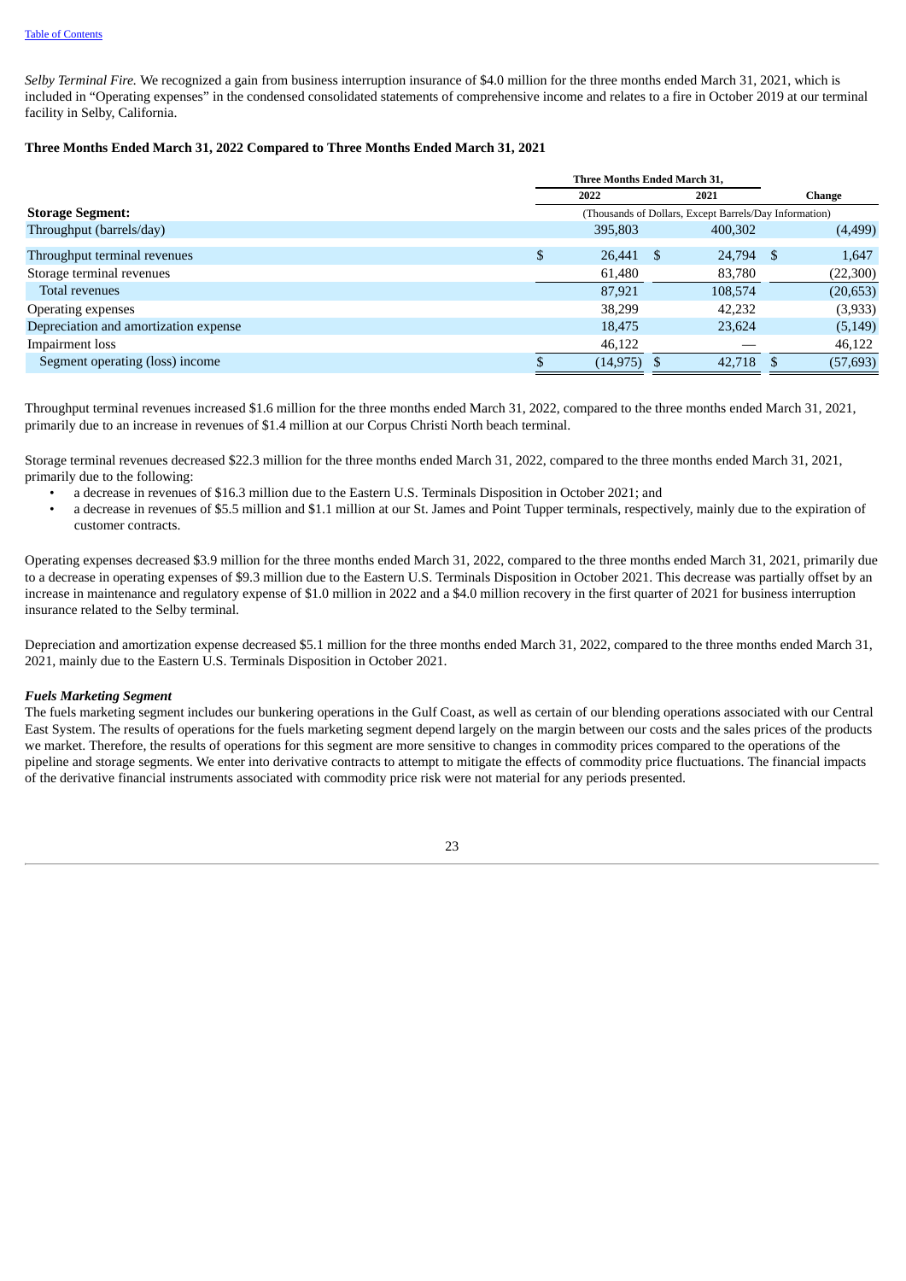*Selby Terminal Fire.* We recognized a gain from business interruption insurance of \$4.0 million for the three months ended March 31, 2021, which is included in "Operating expenses" in the condensed consolidated statements of comprehensive income and relates to a fire in October 2019 at our terminal facility in Selby, California.

### **Three Months Ended March 31, 2022 Compared to Three Months Ended March 31, 2021**

|                                       | <b>Three Months Ended March 31.</b> |      |                                                        |        |           |
|---------------------------------------|-------------------------------------|------|--------------------------------------------------------|--------|-----------|
|                                       | 2022                                | 2021 |                                                        | Change |           |
| <b>Storage Segment:</b>               |                                     |      | (Thousands of Dollars, Except Barrels/Day Information) |        |           |
| Throughput (barrels/day)              | 395,803                             |      | 400,302                                                |        | (4, 499)  |
| Throughput terminal revenues          | \$<br>26,441                        | -S   | 24,794                                                 | - \$   | 1,647     |
| Storage terminal revenues             | 61,480                              |      | 83,780                                                 |        | (22,300)  |
| Total revenues                        | 87,921                              |      | 108,574                                                |        | (20, 653) |
| <b>Operating expenses</b>             | 38,299                              |      | 42,232                                                 |        | (3,933)   |
| Depreciation and amortization expense | 18,475                              |      | 23,624                                                 |        | (5, 149)  |
| Impairment loss                       | 46,122                              |      |                                                        |        | 46,122    |
| Segment operating (loss) income       | (14, 975)                           |      | 42,718                                                 |        | (57, 693) |

Throughput terminal revenues increased \$1.6 million for the three months ended March 31, 2022, compared to the three months ended March 31, 2021, primarily due to an increase in revenues of \$1.4 million at our Corpus Christi North beach terminal.

Storage terminal revenues decreased \$22.3 million for the three months ended March 31, 2022, compared to the three months ended March 31, 2021, primarily due to the following:

- a decrease in revenues of \$16.3 million due to the Eastern U.S. Terminals Disposition in October 2021; and
- a decrease in revenues of \$5.5 million and \$1.1 million at our St. James and Point Tupper terminals, respectively, mainly due to the expiration of customer contracts.

Operating expenses decreased \$3.9 million for the three months ended March 31, 2022, compared to the three months ended March 31, 2021, primarily due to a decrease in operating expenses of \$9.3 million due to the Eastern U.S. Terminals Disposition in October 2021. This decrease was partially offset by an increase in maintenance and regulatory expense of \$1.0 million in 2022 and a \$4.0 million recovery in the first quarter of 2021 for business interruption insurance related to the Selby terminal.

Depreciation and amortization expense decreased \$5.1 million for the three months ended March 31, 2022, compared to the three months ended March 31, 2021, mainly due to the Eastern U.S. Terminals Disposition in October 2021.

#### *Fuels Marketing Segment*

The fuels marketing segment includes our bunkering operations in the Gulf Coast, as well as certain of our blending operations associated with our Central East System. The results of operations for the fuels marketing segment depend largely on the margin between our costs and the sales prices of the products we market. Therefore, the results of operations for this segment are more sensitive to changes in commodity prices compared to the operations of the pipeline and storage segments. We enter into derivative contracts to attempt to mitigate the effects of commodity price fluctuations. The financial impacts of the derivative financial instruments associated with commodity price risk were not material for any periods presented.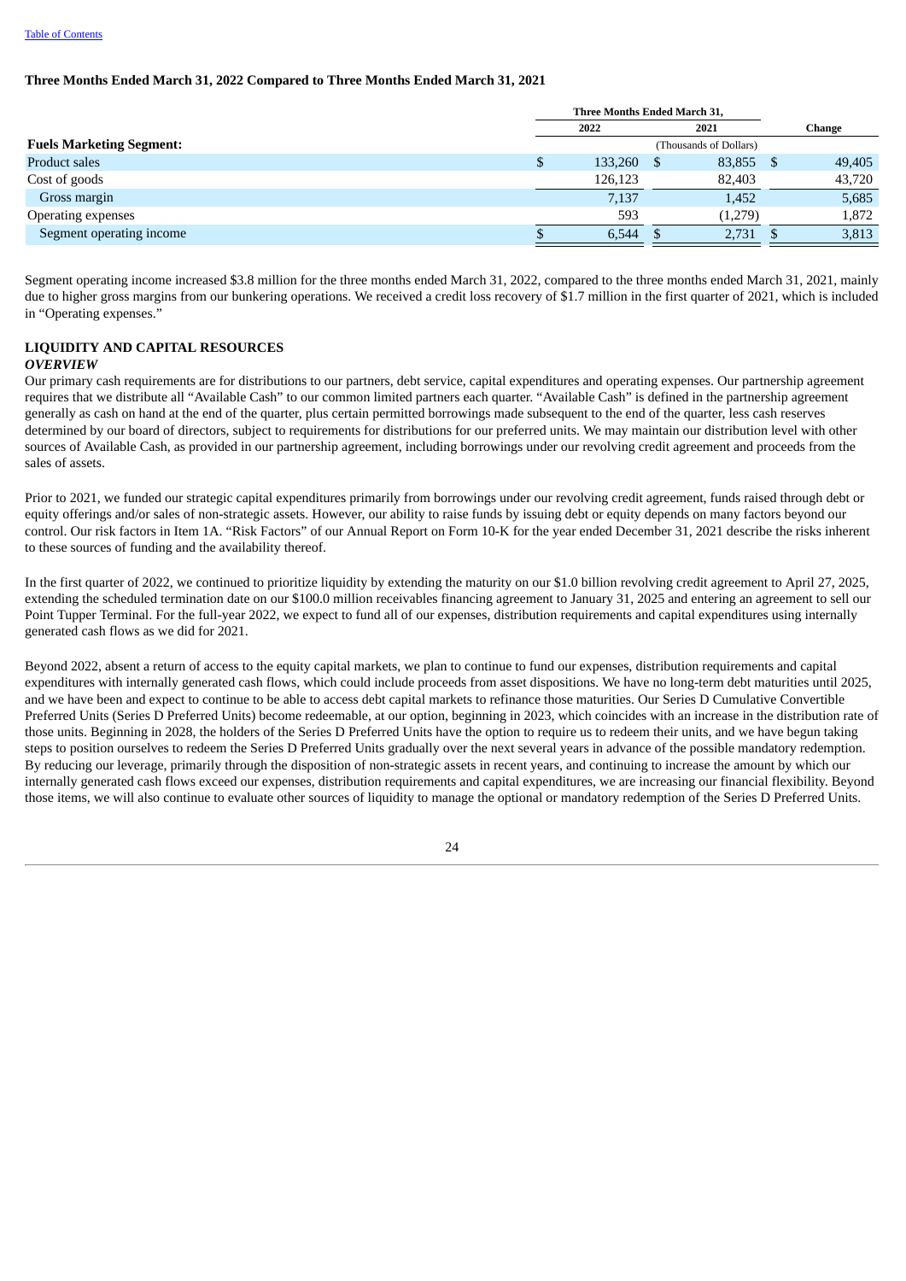### **Three Months Ended March 31, 2022 Compared to Three Months Ended March 31, 2021**

|                                 |  | 2022    |   | 2021                   | Change |
|---------------------------------|--|---------|---|------------------------|--------|
| <b>Fuels Marketing Segment:</b> |  |         |   | (Thousands of Dollars) |        |
| Product sales                   |  | 133,260 | S | 83,855 \$              | 49,405 |
| Cost of goods                   |  | 126,123 |   | 82,403                 | 43,720 |
| Gross margin                    |  | 7,137   |   | 1,452                  | 5,685  |
| Operating expenses              |  | 593     |   | (1,279)                | 1,872  |
| Segment operating income        |  | 6,544   |   | 2,731                  | 3,813  |

Segment operating income increased \$3.8 million for the three months ended March 31, 2022, compared to the three months ended March 31, 2021, mainly due to higher gross margins from our bunkering operations. We received a credit loss recovery of \$1.7 million in the first quarter of 2021, which is included in "Operating expenses."

## **LIQUIDITY AND CAPITAL RESOURCES**

#### *OVERVIEW*

Our primary cash requirements are for distributions to our partners, debt service, capital expenditures and operating expenses. Our partnership agreement requires that we distribute all "Available Cash" to our common limited partners each quarter. "Available Cash" is defined in the partnership agreement generally as cash on hand at the end of the quarter, plus certain permitted borrowings made subsequent to the end of the quarter, less cash reserves determined by our board of directors, subject to requirements for distributions for our preferred units. We may maintain our distribution level with other sources of Available Cash, as provided in our partnership agreement, including borrowings under our revolving credit agreement and proceeds from the sales of assets.

Prior to 2021, we funded our strategic capital expenditures primarily from borrowings under our revolving credit agreement, funds raised through debt or equity offerings and/or sales of non-strategic assets. However, our ability to raise funds by issuing debt or equity depends on many factors beyond our control. Our risk factors in Item 1A. "Risk Factors" of our Annual Report on Form 10-K for the year ended December 31, 2021 describe the risks inherent to these sources of funding and the availability thereof.

In the first quarter of 2022, we continued to prioritize liquidity by extending the maturity on our \$1.0 billion revolving credit agreement to April 27, 2025, extending the scheduled termination date on our \$100.0 million receivables financing agreement to January 31, 2025 and entering an agreement to sell our Point Tupper Terminal. For the full-year 2022, we expect to fund all of our expenses, distribution requirements and capital expenditures using internally generated cash flows as we did for 2021.

Beyond 2022, absent a return of access to the equity capital markets, we plan to continue to fund our expenses, distribution requirements and capital expenditures with internally generated cash flows, which could include proceeds from asset dispositions. We have no long-term debt maturities until 2025, and we have been and expect to continue to be able to access debt capital markets to refinance those maturities. Our Series D Cumulative Convertible Preferred Units (Series D Preferred Units) become redeemable, at our option, beginning in 2023, which coincides with an increase in the distribution rate of those units. Beginning in 2028, the holders of the Series D Preferred Units have the option to require us to redeem their units, and we have begun taking steps to position ourselves to redeem the Series D Preferred Units gradually over the next several years in advance of the possible mandatory redemption. By reducing our leverage, primarily through the disposition of non-strategic assets in recent years, and continuing to increase the amount by which our internally generated cash flows exceed our expenses, distribution requirements and capital expenditures, we are increasing our financial flexibility. Beyond those items, we will also continue to evaluate other sources of liquidity to manage the optional or mandatory redemption of the Series D Preferred Units.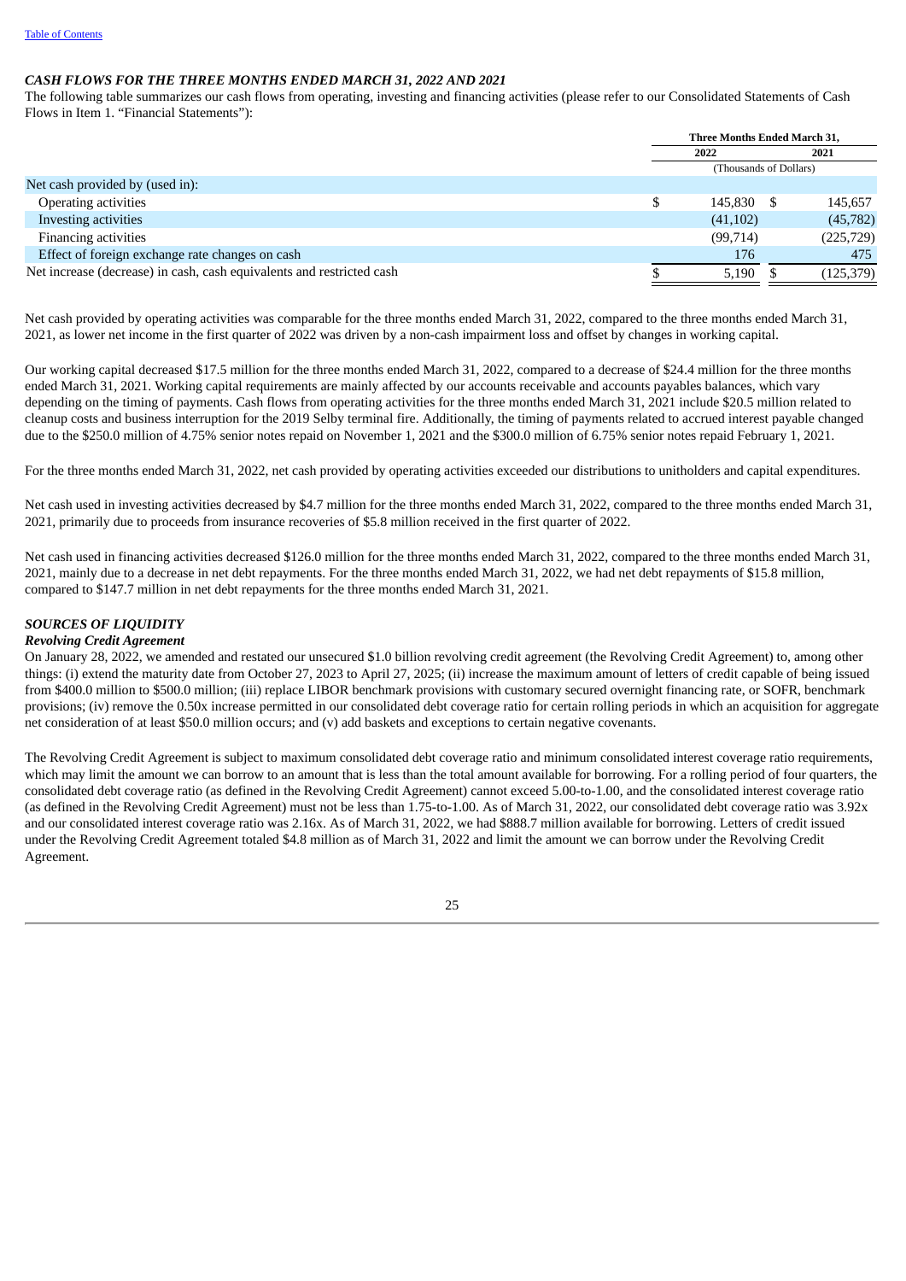### *CASH FLOWS FOR THE THREE MONTHS ENDED MARCH 31, 2022 AND 2021*

The following table summarizes our cash flows from operating, investing and financing activities (please refer to our Consolidated Statements of Cash Flows in Item 1. "Financial Statements"):

|                                                                       | Three Months Ended March 31, |  |            |  |  |  |  |
|-----------------------------------------------------------------------|------------------------------|--|------------|--|--|--|--|
|                                                                       | 2022                         |  | 2021       |  |  |  |  |
|                                                                       | (Thousands of Dollars)       |  |            |  |  |  |  |
| Net cash provided by (used in):                                       |                              |  |            |  |  |  |  |
| Operating activities                                                  | 145.830                      |  | 145,657    |  |  |  |  |
| Investing activities                                                  | (41, 102)                    |  | (45,782)   |  |  |  |  |
| Financing activities                                                  | (99,714)                     |  | (225, 729) |  |  |  |  |
| Effect of foreign exchange rate changes on cash                       | 176                          |  | 475        |  |  |  |  |
| Net increase (decrease) in cash, cash equivalents and restricted cash | 5,190                        |  | (125, 379) |  |  |  |  |

Net cash provided by operating activities was comparable for the three months ended March 31, 2022, compared to the three months ended March 31, 2021, as lower net income in the first quarter of 2022 was driven by a non-cash impairment loss and offset by changes in working capital.

Our working capital decreased \$17.5 million for the three months ended March 31, 2022, compared to a decrease of \$24.4 million for the three months ended March 31, 2021. Working capital requirements are mainly affected by our accounts receivable and accounts payables balances, which vary depending on the timing of payments. Cash flows from operating activities for the three months ended March 31, 2021 include \$20.5 million related to cleanup costs and business interruption for the 2019 Selby terminal fire. Additionally, the timing of payments related to accrued interest payable changed due to the \$250.0 million of 4.75% senior notes repaid on November 1, 2021 and the \$300.0 million of 6.75% senior notes repaid February 1, 2021.

For the three months ended March 31, 2022, net cash provided by operating activities exceeded our distributions to unitholders and capital expenditures.

Net cash used in investing activities decreased by \$4.7 million for the three months ended March 31, 2022, compared to the three months ended March 31, 2021, primarily due to proceeds from insurance recoveries of \$5.8 million received in the first quarter of 2022.

Net cash used in financing activities decreased \$126.0 million for the three months ended March 31, 2022, compared to the three months ended March 31, 2021, mainly due to a decrease in net debt repayments. For the three months ended March 31, 2022, we had net debt repayments of \$15.8 million, compared to \$147.7 million in net debt repayments for the three months ended March 31, 2021.

## *SOURCES OF LIQUIDITY*

#### *Revolving Credit Agreement*

On January 28, 2022, we amended and restated our unsecured \$1.0 billion revolving credit agreement (the Revolving Credit Agreement) to, among other things: (i) extend the maturity date from October 27, 2023 to April 27, 2025; (ii) increase the maximum amount of letters of credit capable of being issued from \$400.0 million to \$500.0 million; (iii) replace LIBOR benchmark provisions with customary secured overnight financing rate, or SOFR, benchmark provisions; (iv) remove the 0.50x increase permitted in our consolidated debt coverage ratio for certain rolling periods in which an acquisition for aggregate net consideration of at least \$50.0 million occurs; and (v) add baskets and exceptions to certain negative covenants.

The Revolving Credit Agreement is subject to maximum consolidated debt coverage ratio and minimum consolidated interest coverage ratio requirements, which may limit the amount we can borrow to an amount that is less than the total amount available for borrowing. For a rolling period of four quarters, the consolidated debt coverage ratio (as defined in the Revolving Credit Agreement) cannot exceed 5.00-to-1.00, and the consolidated interest coverage ratio (as defined in the Revolving Credit Agreement) must not be less than 1.75-to-1.00. As of March 31, 2022, our consolidated debt coverage ratio was 3.92x and our consolidated interest coverage ratio was 2.16x. As of March 31, 2022, we had \$888.7 million available for borrowing. Letters of credit issued under the Revolving Credit Agreement totaled \$4.8 million as of March 31, 2022 and limit the amount we can borrow under the Revolving Credit Agreement.

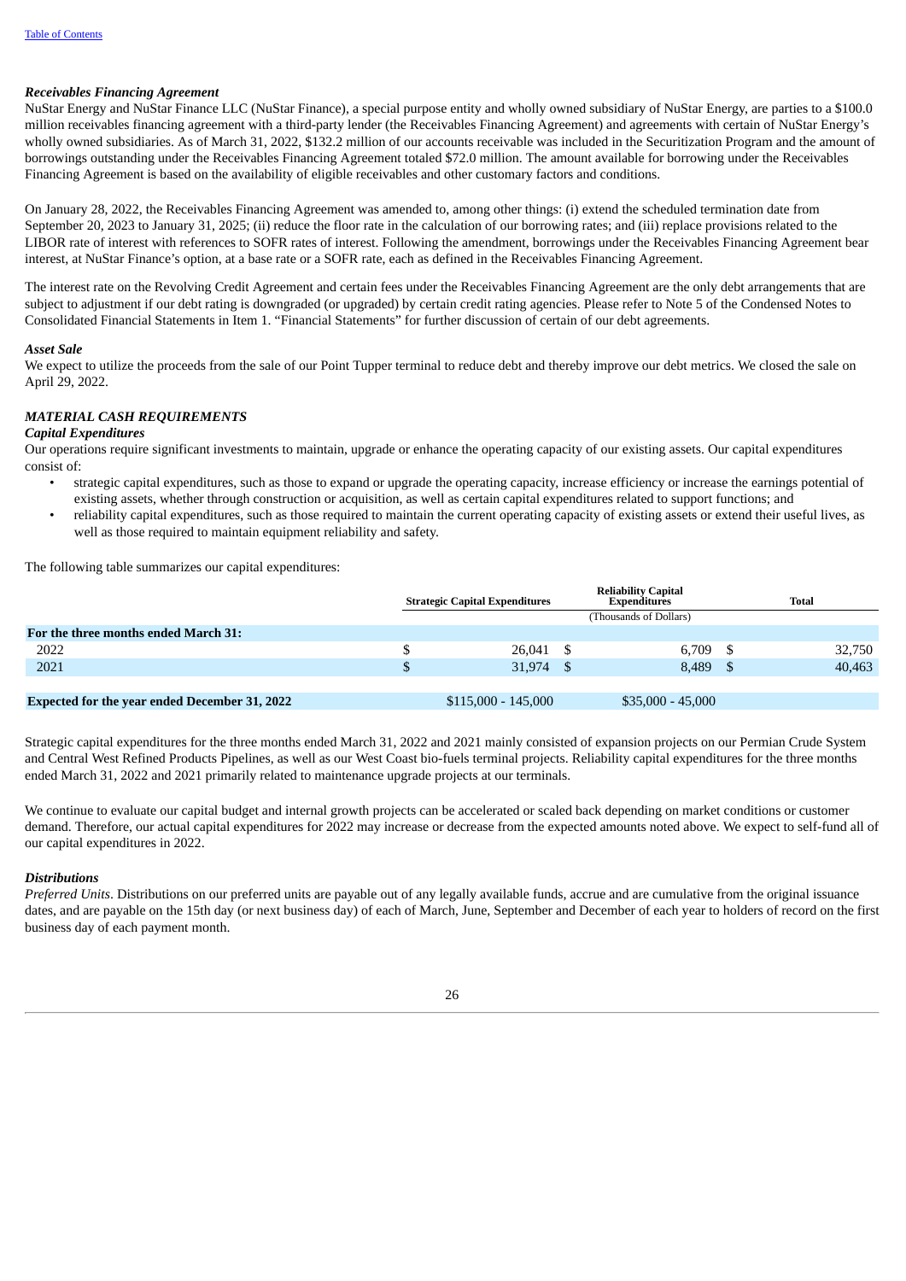#### *Receivables Financing Agreement*

NuStar Energy and NuStar Finance LLC (NuStar Finance), a special purpose entity and wholly owned subsidiary of NuStar Energy, are parties to a \$100.0 million receivables financing agreement with a third-party lender (the Receivables Financing Agreement) and agreements with certain of NuStar Energy's wholly owned subsidiaries. As of March 31, 2022, \$132.2 million of our accounts receivable was included in the Securitization Program and the amount of borrowings outstanding under the Receivables Financing Agreement totaled \$72.0 million. The amount available for borrowing under the Receivables Financing Agreement is based on the availability of eligible receivables and other customary factors and conditions.

On January 28, 2022, the Receivables Financing Agreement was amended to, among other things: (i) extend the scheduled termination date from September 20, 2023 to January 31, 2025; (ii) reduce the floor rate in the calculation of our borrowing rates; and (iii) replace provisions related to the LIBOR rate of interest with references to SOFR rates of interest. Following the amendment, borrowings under the Receivables Financing Agreement bear interest, at NuStar Finance's option, at a base rate or a SOFR rate, each as defined in the Receivables Financing Agreement.

The interest rate on the Revolving Credit Agreement and certain fees under the Receivables Financing Agreement are the only debt arrangements that are subject to adjustment if our debt rating is downgraded (or upgraded) by certain credit rating agencies. Please refer to Note 5 of the Condensed Notes to Consolidated Financial Statements in Item 1. "Financial Statements" for further discussion of certain of our debt agreements.

#### *Asset Sale*

We expect to utilize the proceeds from the sale of our Point Tupper terminal to reduce debt and thereby improve our debt metrics. We closed the sale on April 29, 2022.

#### *MATERIAL CASH REQUIREMENTS*

#### *Capital Expenditures*

Our operations require significant investments to maintain, upgrade or enhance the operating capacity of our existing assets. Our capital expenditures consist of:

- strategic capital expenditures, such as those to expand or upgrade the operating capacity, increase efficiency or increase the earnings potential of existing assets, whether through construction or acquisition, as well as certain capital expenditures related to support functions; and
- reliability capital expenditures, such as those required to maintain the current operating capacity of existing assets or extend their useful lives, as well as those required to maintain equipment reliability and safety.

The following table summarizes our capital expenditures:

|                                                      | <b>Strategic Capital Expenditures</b> |           |      | <b>Reliability Capital</b><br><b>Expenditures</b> |  | <b>Total</b> |
|------------------------------------------------------|---------------------------------------|-----------|------|---------------------------------------------------|--|--------------|
|                                                      |                                       |           |      | (Thousands of Dollars)                            |  |              |
| For the three months ended March 31:                 |                                       |           |      |                                                   |  |              |
| 2022                                                 |                                       | 26,041 \$ |      | $6,709$ \$                                        |  | 32,750       |
| 2021                                                 |                                       | 31,974    | - \$ | 8,489 \$                                          |  | 40,463       |
|                                                      |                                       |           |      |                                                   |  |              |
| <b>Expected for the year ended December 31, 2022</b> | $$115,000 - 145,000$                  |           |      | $$35,000 - 45,000$                                |  |              |

Strategic capital expenditures for the three months ended March 31, 2022 and 2021 mainly consisted of expansion projects on our Permian Crude System and Central West Refined Products Pipelines, as well as our West Coast bio-fuels terminal projects. Reliability capital expenditures for the three months ended March 31, 2022 and 2021 primarily related to maintenance upgrade projects at our terminals.

We continue to evaluate our capital budget and internal growth projects can be accelerated or scaled back depending on market conditions or customer demand. Therefore, our actual capital expenditures for 2022 may increase or decrease from the expected amounts noted above. We expect to self-fund all of our capital expenditures in 2022.

#### *Distributions*

*Preferred Units*. Distributions on our preferred units are payable out of any legally available funds, accrue and are cumulative from the original issuance dates, and are payable on the 15th day (or next business day) of each of March, June, September and December of each year to holders of record on the first business day of each payment month.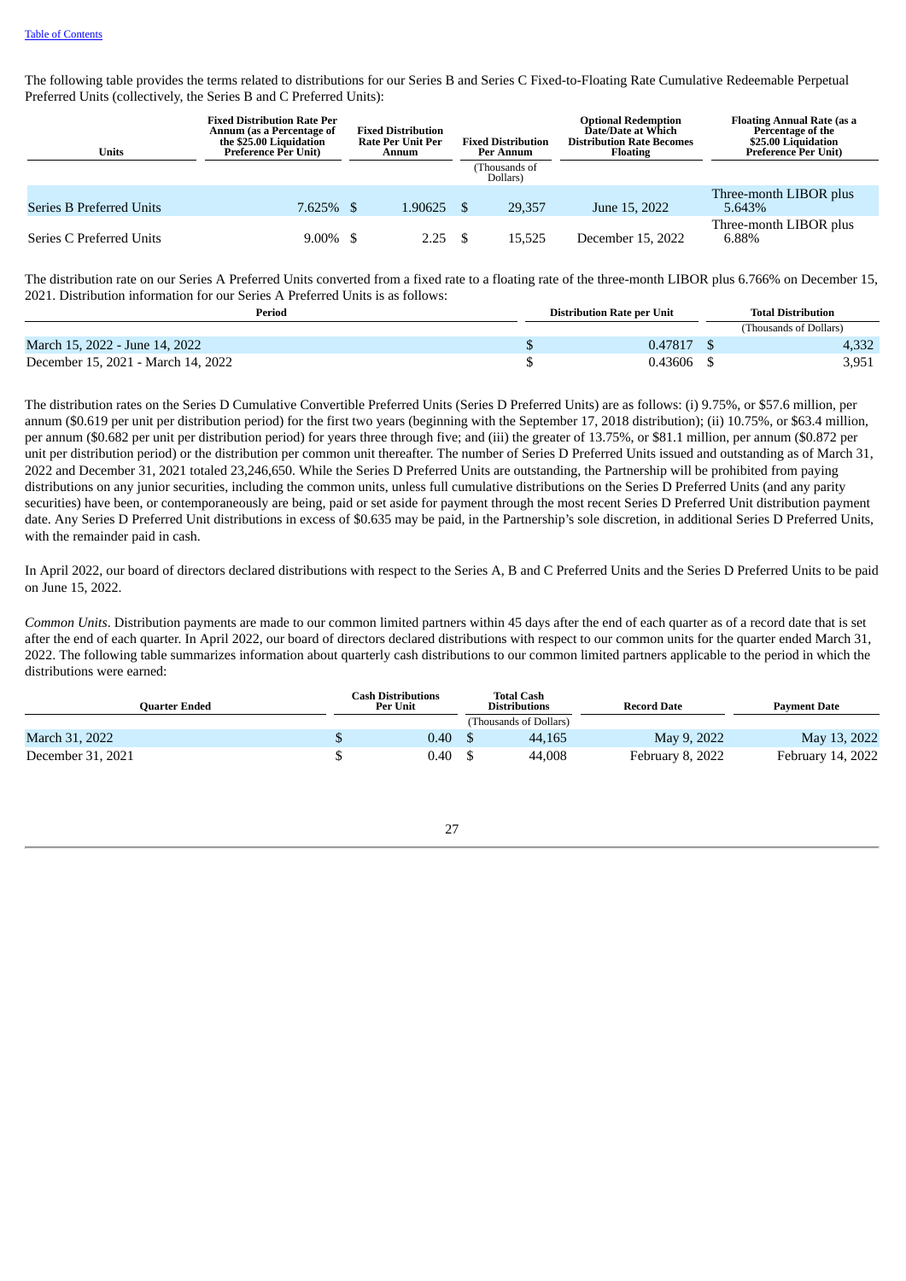The following table provides the terms related to distributions for our Series B and Series C Fixed-to-Floating Rate Cumulative Redeemable Perpetual Preferred Units (collectively, the Series B and C Preferred Units):

| <b>Units</b>                    | <b>Fixed Distribution Rate Per</b><br>Annum (as a Percentage of<br>the \$25.00 Liquidation<br><b>Preference Per Unit)</b> | <b>Fixed Distribution</b><br><b>Fixed Distribution</b><br><b>Rate Per Unit Per</b><br>Per Annum<br>Annum |                 |  | Optional Redemption<br>Date/Date at Which<br><b>Distribution Rate Becomes</b><br>Floating | <b>Floating Annual Rate (as a</b><br>Percentage of the<br>\$25.00 Liquidation<br><b>Preference Per Unit)</b> |                                  |
|---------------------------------|---------------------------------------------------------------------------------------------------------------------------|----------------------------------------------------------------------------------------------------------|-----------------|--|-------------------------------------------------------------------------------------------|--------------------------------------------------------------------------------------------------------------|----------------------------------|
|                                 |                                                                                                                           |                                                                                                          |                 |  | (Thousands of<br>Dollars)                                                                 |                                                                                                              |                                  |
| <b>Series B Preferred Units</b> | $7.625\%$ \$                                                                                                              |                                                                                                          | 1.90625         |  | 29.357                                                                                    | June 15, 2022                                                                                                | Three-month LIBOR plus<br>5.643% |
| Series C Preferred Units        | $9.00\%$ \$                                                                                                               |                                                                                                          | $2.25 \quad$ \$ |  | 15.525                                                                                    | December 15, 2022                                                                                            | Three-month LIBOR plus<br>6.88%  |

The distribution rate on our Series A Preferred Units converted from a fixed rate to a floating rate of the three-month LIBOR plus 6.766% on December 15, 2021. Distribution information for our Series A Preferred Units is as follows:

| Period                             | Distribution Rate per Unit | <b>Total Distribution</b> |
|------------------------------------|----------------------------|---------------------------|
|                                    |                            | (Thousands of Dollars)    |
| March 15, 2022 - June 14, 2022     | 0.47817                    | 4.332                     |
| December 15, 2021 - March 14, 2022 | $0.43606$ \$               | 3,951                     |

The distribution rates on the Series D Cumulative Convertible Preferred Units (Series D Preferred Units) are as follows: (i) 9.75%, or \$57.6 million, per annum (\$0.619 per unit per distribution period) for the first two years (beginning with the September 17, 2018 distribution); (ii) 10.75%, or \$63.4 million, per annum (\$0.682 per unit per distribution period) for years three through five; and (iii) the greater of 13.75%, or \$81.1 million, per annum (\$0.872 per unit per distribution period) or the distribution per common unit thereafter. The number of Series D Preferred Units issued and outstanding as of March 31, 2022 and December 31, 2021 totaled 23,246,650. While the Series D Preferred Units are outstanding, the Partnership will be prohibited from paying distributions on any junior securities, including the common units, unless full cumulative distributions on the Series D Preferred Units (and any parity securities) have been, or contemporaneously are being, paid or set aside for payment through the most recent Series D Preferred Unit distribution payment date. Any Series D Preferred Unit distributions in excess of \$0.635 may be paid, in the Partnership's sole discretion, in additional Series D Preferred Units, with the remainder paid in cash.

In April 2022, our board of directors declared distributions with respect to the Series A, B and C Preferred Units and the Series D Preferred Units to be paid on June 15, 2022.

*Common Units*. Distribution payments are made to our common limited partners within 45 days after the end of each quarter as of a record date that is set after the end of each quarter. In April 2022, our board of directors declared distributions with respect to our common units for the quarter ended March 31, 2022. The following table summarizes information about quarterly cash distributions to our common limited partners applicable to the period in which the distributions were earned:

| Ouarter Ended     | <b>Cash Distributions</b><br>Per Unit | <b>Total Cash</b><br><b>Distributions</b> | <b>Record Date</b> | <b>Payment Date</b> |
|-------------------|---------------------------------------|-------------------------------------------|--------------------|---------------------|
|                   |                                       | (Thousands of Dollars)                    |                    |                     |
| March 31, 2022    | 0.40                                  | 44.165                                    | May 9, 2022        | May 13, 2022        |
| December 31, 2021 | 0.40                                  | 44.008                                    | February 8, 2022   | February 14, 2022   |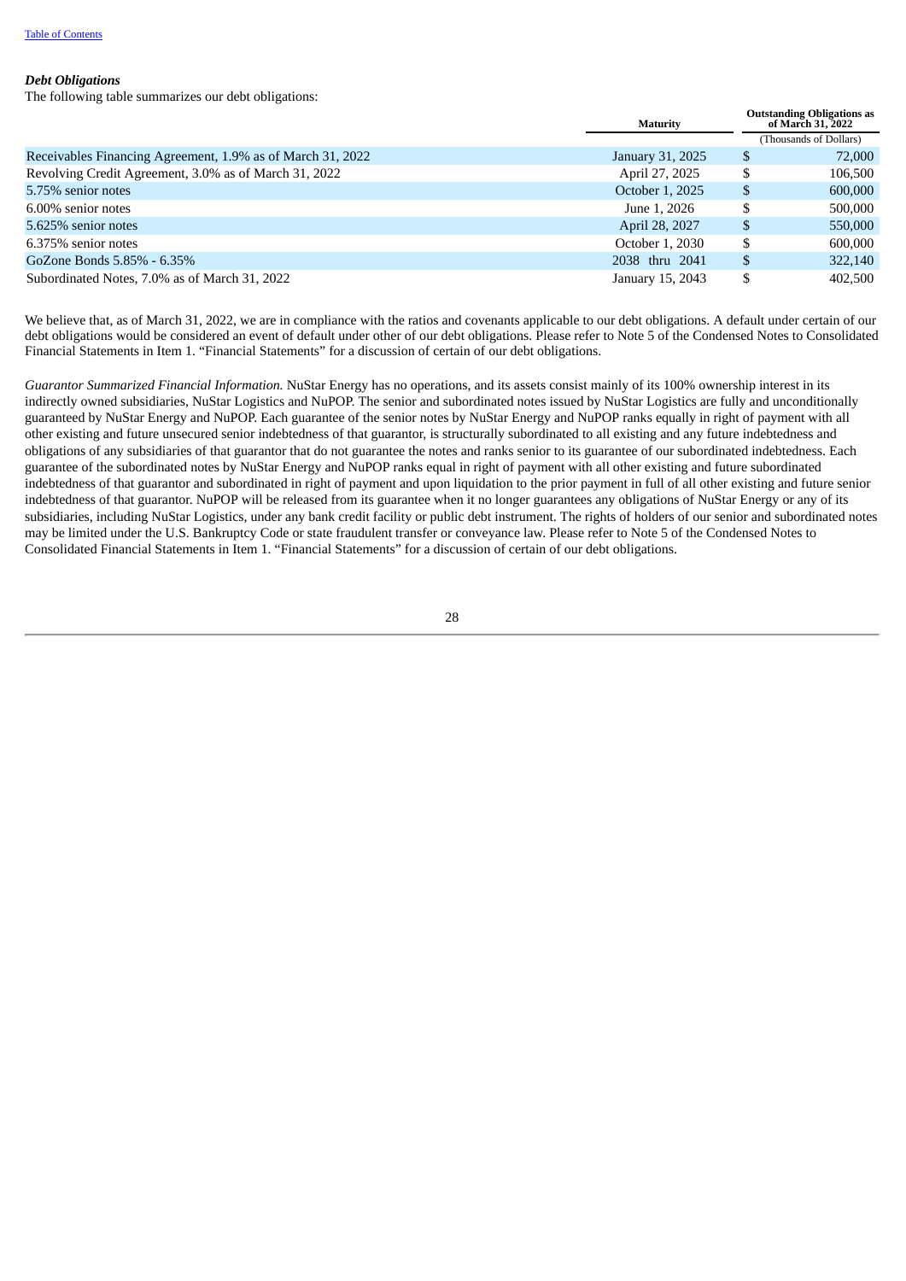#### *Debt Obligations*

The following table summarizes our debt obligations:

|                                                            | Maturity         |    | <b>Outstanding Obligations as</b><br>of March 31, 2022 |
|------------------------------------------------------------|------------------|----|--------------------------------------------------------|
|                                                            |                  |    | (Thousands of Dollars)                                 |
| Receivables Financing Agreement, 1.9% as of March 31, 2022 | January 31, 2025 | S  | 72,000                                                 |
| Revolving Credit Agreement, 3.0% as of March 31, 2022      | April 27, 2025   | S  | 106,500                                                |
| 5.75% senior notes                                         | October 1, 2025  |    | 600,000                                                |
| 6.00% senior notes                                         | June 1, 2026     |    | 500,000                                                |
| 5.625% senior notes                                        | April 28, 2027   | \$ | 550,000                                                |
| 6.375% senior notes                                        | October 1, 2030  |    | 600,000                                                |
| GoZone Bonds 5.85% - 6.35%                                 | 2038 thru 2041   | S  | 322,140                                                |
| Subordinated Notes, 7.0% as of March 31, 2022              | January 15, 2043 | \$ | 402,500                                                |

**Outstanding Obligations as**

We believe that, as of March 31, 2022, we are in compliance with the ratios and covenants applicable to our debt obligations. A default under certain of our debt obligations would be considered an event of default under other of our debt obligations. Please refer to Note 5 of the Condensed Notes to Consolidated Financial Statements in Item 1. "Financial Statements" for a discussion of certain of our debt obligations.

*Guarantor Summarized Financial Information.* NuStar Energy has no operations, and its assets consist mainly of its 100% ownership interest in its indirectly owned subsidiaries, NuStar Logistics and NuPOP. The senior and subordinated notes issued by NuStar Logistics are fully and unconditionally guaranteed by NuStar Energy and NuPOP. Each guarantee of the senior notes by NuStar Energy and NuPOP ranks equally in right of payment with all other existing and future unsecured senior indebtedness of that guarantor, is structurally subordinated to all existing and any future indebtedness and obligations of any subsidiaries of that guarantor that do not guarantee the notes and ranks senior to its guarantee of our subordinated indebtedness. Each guarantee of the subordinated notes by NuStar Energy and NuPOP ranks equal in right of payment with all other existing and future subordinated indebtedness of that guarantor and subordinated in right of payment and upon liquidation to the prior payment in full of all other existing and future senior indebtedness of that guarantor. NuPOP will be released from its guarantee when it no longer guarantees any obligations of NuStar Energy or any of its subsidiaries, including NuStar Logistics, under any bank credit facility or public debt instrument. The rights of holders of our senior and subordinated notes may be limited under the U.S. Bankruptcy Code or state fraudulent transfer or conveyance law. Please refer to Note 5 of the Condensed Notes to Consolidated Financial Statements in Item 1. "Financial Statements" for a discussion of certain of our debt obligations.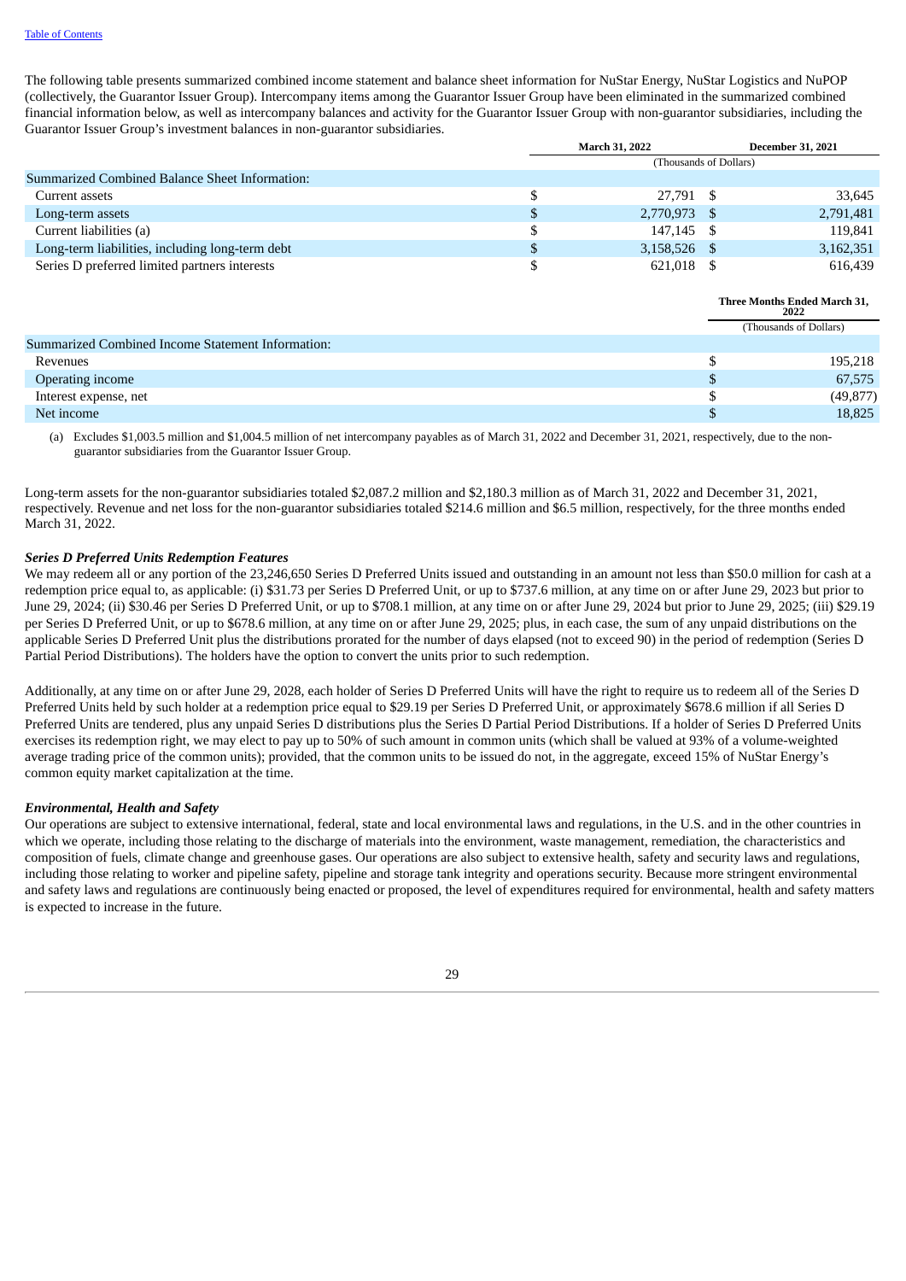The following table presents summarized combined income statement and balance sheet information for NuStar Energy, NuStar Logistics and NuPOP (collectively, the Guarantor Issuer Group). Intercompany items among the Guarantor Issuer Group have been eliminated in the summarized combined financial information below, as well as intercompany balances and activity for the Guarantor Issuer Group with non-guarantor subsidiaries, including the Guarantor Issuer Group's investment balances in non-guarantor subsidiaries.

|                                                 | <b>March 31, 2022</b>  |  | <b>December 31, 2021</b> |  |
|-------------------------------------------------|------------------------|--|--------------------------|--|
|                                                 | (Thousands of Dollars) |  |                          |  |
| Summarized Combined Balance Sheet Information:  |                        |  |                          |  |
| Current assets                                  | 27.791 \$              |  | 33.645                   |  |
| Long-term assets                                | 2,770,973              |  | 2,791,481                |  |
| Current liabilities (a)                         | 147.145                |  | 119.841                  |  |
| Long-term liabilities, including long-term debt | 3,158,526              |  | 3,162,351                |  |
| Series D preferred limited partners interests   | 621,018                |  | 616.439                  |  |

**Three Months Ended March 31, 2022**

|                                                   | <b>LULL</b>            |
|---------------------------------------------------|------------------------|
|                                                   | (Thousands of Dollars) |
| Summarized Combined Income Statement Information: |                        |
| Revenues                                          | 195,218                |
| Operating income                                  | \$<br>67,575           |
| Interest expense, net                             | (49, 877)              |
| Net income                                        | 18,825                 |

(a) Excludes \$1,003.5 million and \$1,004.5 million of net intercompany payables as of March 31, 2022 and December 31, 2021, respectively, due to the nonguarantor subsidiaries from the Guarantor Issuer Group.

Long-term assets for the non-guarantor subsidiaries totaled \$2,087.2 million and \$2,180.3 million as of March 31, 2022 and December 31, 2021, respectively. Revenue and net loss for the non-guarantor subsidiaries totaled \$214.6 million and \$6.5 million, respectively, for the three months ended March 31, 2022.

#### *Series D Preferred Units Redemption Features*

We may redeem all or any portion of the 23,246,650 Series D Preferred Units issued and outstanding in an amount not less than \$50.0 million for cash at a redemption price equal to, as applicable: (i) \$31.73 per Series D Preferred Unit, or up to \$737.6 million, at any time on or after June 29, 2023 but prior to June 29, 2024; (ii) \$30.46 per Series D Preferred Unit, or up to \$708.1 million, at any time on or after June 29, 2024 but prior to June 29, 2025; (iii) \$29.19 per Series D Preferred Unit, or up to \$678.6 million, at any time on or after June 29, 2025; plus, in each case, the sum of any unpaid distributions on the applicable Series D Preferred Unit plus the distributions prorated for the number of days elapsed (not to exceed 90) in the period of redemption (Series D Partial Period Distributions). The holders have the option to convert the units prior to such redemption.

Additionally, at any time on or after June 29, 2028, each holder of Series D Preferred Units will have the right to require us to redeem all of the Series D Preferred Units held by such holder at a redemption price equal to \$29.19 per Series D Preferred Unit, or approximately \$678.6 million if all Series D Preferred Units are tendered, plus any unpaid Series D distributions plus the Series D Partial Period Distributions. If a holder of Series D Preferred Units exercises its redemption right, we may elect to pay up to 50% of such amount in common units (which shall be valued at 93% of a volume-weighted average trading price of the common units); provided, that the common units to be issued do not, in the aggregate, exceed 15% of NuStar Energy's common equity market capitalization at the time.

#### *Environmental, Health and Safety*

Our operations are subject to extensive international, federal, state and local environmental laws and regulations, in the U.S. and in the other countries in which we operate, including those relating to the discharge of materials into the environment, waste management, remediation, the characteristics and composition of fuels, climate change and greenhouse gases. Our operations are also subject to extensive health, safety and security laws and regulations, including those relating to worker and pipeline safety, pipeline and storage tank integrity and operations security. Because more stringent environmental and safety laws and regulations are continuously being enacted or proposed, the level of expenditures required for environmental, health and safety matters is expected to increase in the future.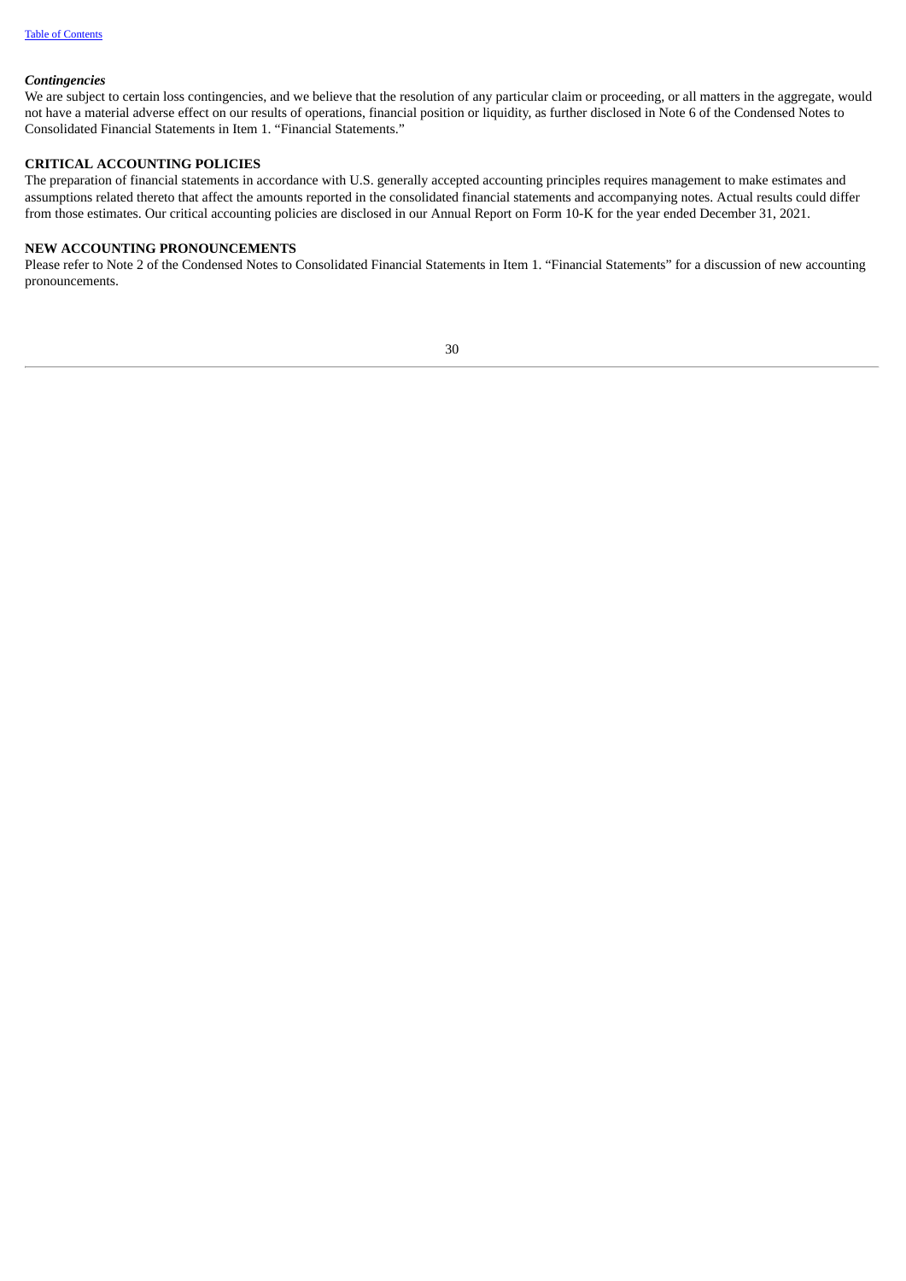#### *Contingencies*

We are subject to certain loss contingencies, and we believe that the resolution of any particular claim or proceeding, or all matters in the aggregate, would not have a material adverse effect on our results of operations, financial position or liquidity, as further disclosed in Note 6 of the Condensed Notes to Consolidated Financial Statements in Item 1. "Financial Statements."

## **CRITICAL ACCOUNTING POLICIES**

The preparation of financial statements in accordance with U.S. generally accepted accounting principles requires management to make estimates and assumptions related thereto that affect the amounts reported in the consolidated financial statements and accompanying notes. Actual results could differ from those estimates. Our critical accounting policies are disclosed in our Annual Report on Form 10-K for the year ended December 31, 2021.

## **NEW ACCOUNTING PRONOUNCEMENTS**

<span id="page-29-0"></span>Please refer to Note 2 of the Condensed Notes to Consolidated Financial Statements in Item 1. "Financial Statements" for a discussion of new accounting pronouncements.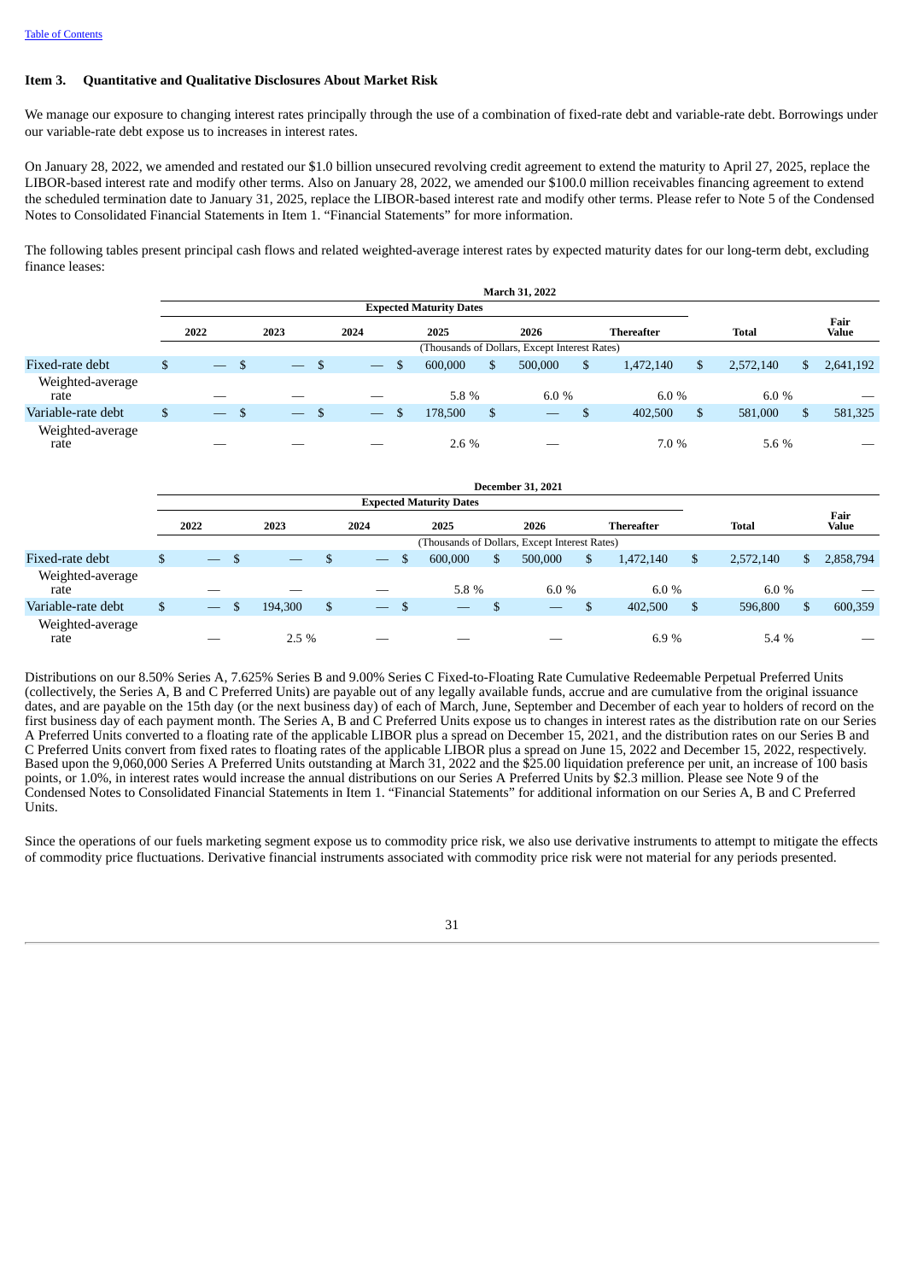#### **Item 3. Quantitative and Qualitative Disclosures About Market Risk**

We manage our exposure to changing interest rates principally through the use of a combination of fixed-rate debt and variable-rate debt. Borrowings under our variable-rate debt expose us to increases in interest rates.

On January 28, 2022, we amended and restated our \$1.0 billion unsecured revolving credit agreement to extend the maturity to April 27, 2025, replace the LIBOR-based interest rate and modify other terms. Also on January 28, 2022, we amended our \$100.0 million receivables financing agreement to extend the scheduled termination date to January 31, 2025, replace the LIBOR-based interest rate and modify other terms. Please refer to Note 5 of the Condensed Notes to Consolidated Financial Statements in Item 1. "Financial Statements" for more information.

The following tables present principal cash flows and related weighted-average interest rates by expected maturity dates for our long-term debt, excluding finance leases:

|                          |                                |                   |        |                                 |    |                                |    | March 31, 2022                                |                 |              |    |               |
|--------------------------|--------------------------------|-------------------|--------|---------------------------------|----|--------------------------------|----|-----------------------------------------------|-----------------|--------------|----|---------------|
|                          |                                |                   |        |                                 |    | <b>Expected Maturity Dates</b> |    |                                               |                 |              |    |               |
|                          | 2022                           | 2023              |        | 2024                            |    | 2025                           |    | 2026                                          | Thereafter      | <b>Total</b> |    | Fair<br>Value |
|                          |                                |                   |        |                                 |    |                                |    | (Thousands of Dollars, Except Interest Rates) |                 |              |    |               |
| Fixed-rate debt          | \$<br>$\overline{\phantom{m}}$ | $\hspace{0.05cm}$ | \$     | $\hspace{0.1mm}-\hspace{0.1mm}$ | S  | 600,000                        | S. | 500,000                                       | \$<br>1,472,140 | 2,572,140    | S. | 2,641,192     |
| Weighted-average<br>rate |                                |                   |        |                                 |    | 5.8%                           |    | 6.0 $%$                                       | 6.0 $%$         | 6.0 $%$      |    |               |
| Variable-rate debt       | \$<br>$\overline{\phantom{a}}$ |                   | $-$ \$ | $\overline{\phantom{m}}$        | -S | 178,500                        | S  |                                               | 402,500         | 581,000      | S  | 581,325       |
| Weighted-average<br>rate |                                |                   |        |                                 |    | $2.6\%$                        |    |                                               | 7.0 %           | 5.6 $%$      |    |               |

|                          |     |                                               |         |    |                                       |                                |     | <b>December 31, 2021</b> |              |            |   |              |               |               |
|--------------------------|-----|-----------------------------------------------|---------|----|---------------------------------------|--------------------------------|-----|--------------------------|--------------|------------|---|--------------|---------------|---------------|
|                          |     |                                               |         |    |                                       | <b>Expected Maturity Dates</b> |     |                          |              |            |   |              |               |               |
|                          |     | 2022                                          | 2023    |    | 2024                                  | 2025                           |     | 2026                     |              | Thereafter |   | <b>Total</b> |               | Fair<br>Value |
|                          |     | (Thousands of Dollars, Except Interest Rates) |         |    |                                       |                                |     |                          |              |            |   |              |               |               |
| Fixed-rate debt          |     | -S<br>$\hspace{0.1mm}-\hspace{0.1mm}$         |         |    | -S<br>$\hspace{0.1mm}-\hspace{0.1mm}$ | 600,000                        | \$. | 500,000                  | $\mathbf{S}$ | 1,472,140  | S | 2,572,140    | \$.           | 2,858,794     |
| Weighted-average<br>rate |     |                                               |         |    |                                       | 5.8 %                          |     | 6.0%                     |              | 6.0 $%$    |   | 6.0 $%$      |               |               |
| Variable-rate debt       | \$. | $\overline{\phantom{m}}$<br>ъ                 | 194,300 | \$ | $\overline{\phantom{0}}$              |                                |     |                          |              | 402,500    | S | 596,800      | <sup>\$</sup> | 600,359       |
| Weighted-average<br>rate |     |                                               | $2.5\%$ |    |                                       |                                |     |                          |              | 6.9 $%$    |   | 5.4 %        |               |               |

Distributions on our 8.50% Series A, 7.625% Series B and 9.00% Series C Fixed-to-Floating Rate Cumulative Redeemable Perpetual Preferred Units (collectively, the Series A, B and C Preferred Units) are payable out of any legally available funds, accrue and are cumulative from the original issuance dates, and are payable on the 15th day (or the next business day) of each of March, June, September and December of each year to holders of record on the first business day of each payment month. The Series A, B and C Preferred Units expose us to changes in interest rates as the distribution rate on our Series A Preferred Units converted to a floating rate of the applicable LIBOR plus a spread on December 15, 2021, and the distribution rates on our Series B and C Preferred Units convert from fixed rates to floating rates of the applicable LIBOR plus a spread on June 15, 2022 and December 15, 2022, respectively. Based upon the 9,060,000 Series A Preferred Units outstanding at March 31, 2022 and the \$25.00 liquidation preference per unit, an increase of 100 basis points, or 1.0%, in interest rates would increase the annual distributions on our Series A Preferred Units by \$2.3 million. Please see Note 9 of the Condensed Notes to Consolidated Financial Statements in Item 1. "Financial Statements" for additional information on our Series A, B and C Preferred Units.

<span id="page-30-0"></span>Since the operations of our fuels marketing segment expose us to commodity price risk, we also use derivative instruments to attempt to mitigate the effects of commodity price fluctuations. Derivative financial instruments associated with commodity price risk were not material for any periods presented.

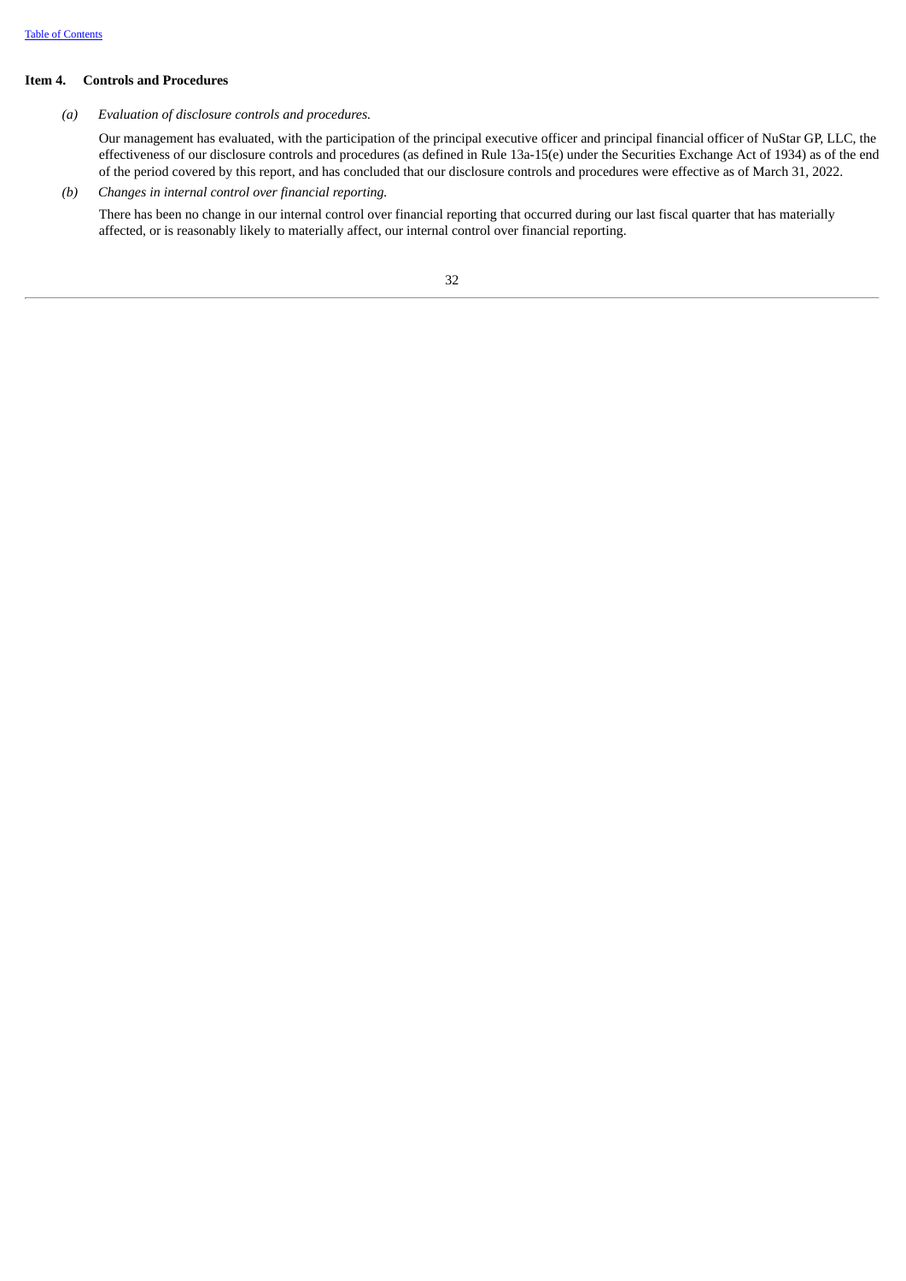#### **Item 4. Controls and Procedures**

#### *(a) Evaluation of disclosure controls and procedures.*

Our management has evaluated, with the participation of the principal executive officer and principal financial officer of NuStar GP, LLC, the effectiveness of our disclosure controls and procedures (as defined in Rule 13a-15(e) under the Securities Exchange Act of 1934) as of the end of the period covered by this report, and has concluded that our disclosure controls and procedures were effective as of March 31, 2022.

*(b) Changes in internal control over financial reporting.*

<span id="page-31-0"></span>There has been no change in our internal control over financial reporting that occurred during our last fiscal quarter that has materially affected, or is reasonably likely to materially affect, our internal control over financial reporting.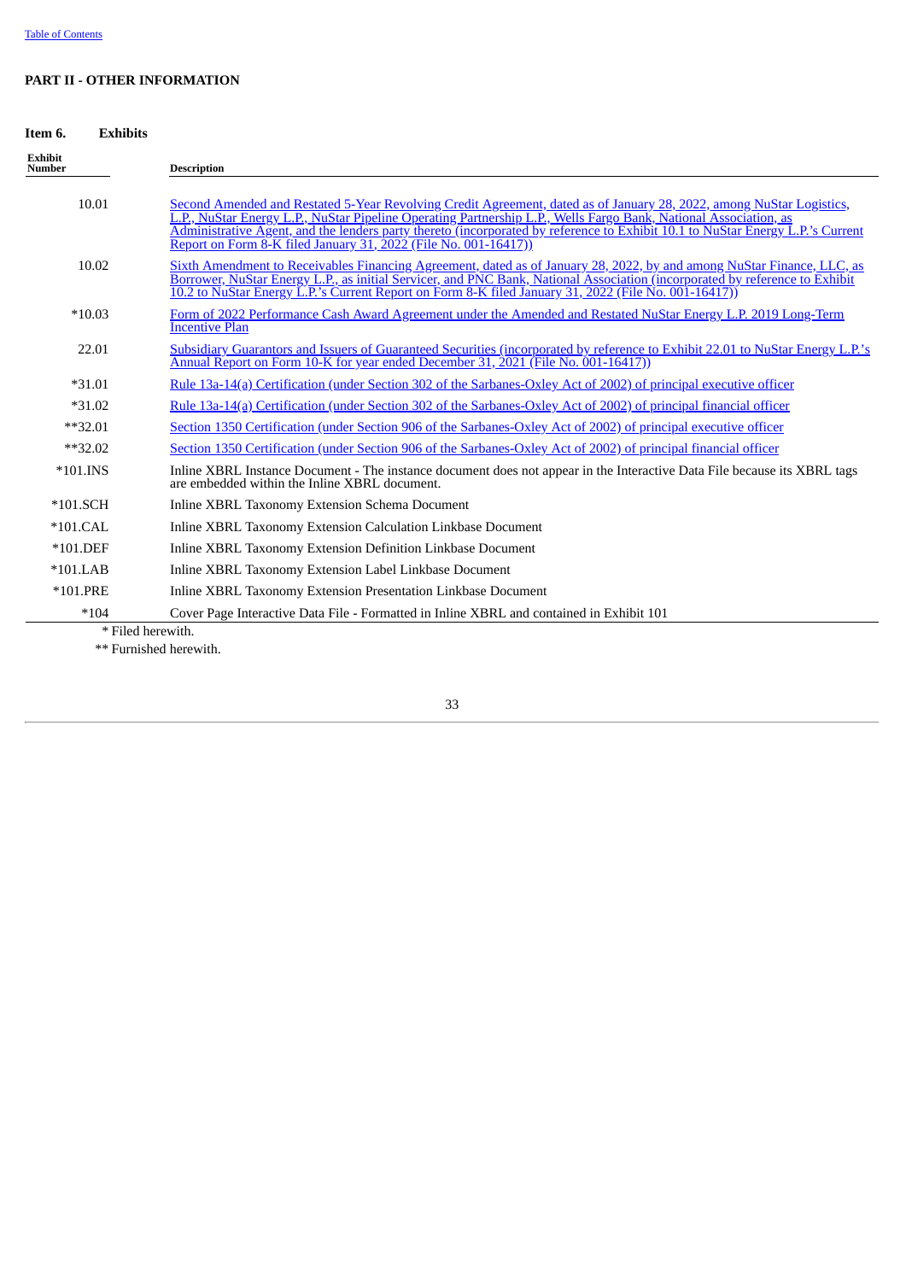## **PART II - OTHER INFORMATION**

## <span id="page-32-0"></span>**Item 6. Exhibits Exhibit Description** 10.01 Second Amended and Restated 5-Year Revolving Credit Agreement, dated as of January 28, 2022, among NuStar Logistics, L.P., NuStar Energy L.P., NuStar Pipeline Operating Partnership L.P., Wells Fargo Bank, National Association, as [Administrative](https://www.sec.gov/Archives/edgar/data/0001110805/000114036122003192/brhc10033259_ex10-1.htm) Agent, and the lenders party thereto (incorporated by reference to Exhibit 10[.1](https://www.sec.gov/Archives/edgar/data/0001110805/000114036122003192/brhc10033259_ex10-1.htm) to NuStar Energy L.P.'s Current Report on Form 8-K filed January [31,](https://www.sec.gov/Archives/edgar/data/0001110805/000114036122003192/brhc10033259_ex10-1.htm) 2022 (File No. [001-16417\)\)](https://www.sec.gov/Archives/edgar/data/0001110805/000114036122003192/brhc10033259_ex10-1.htm) 10.02 Sixth Amendment to Receivables Financing Agreement, dated as of January 28, 2022, by and among NuStar Finance, LLC, as Borrower, NuStar Energy L.P., as initial Servicer, and PNC Bank, National Association [\(incorporated](https://www.sec.gov/Archives/edgar/data/0001110805/000114036122003192/brhc10033259_ex10-2.htm) by reference to Exhibit <u>10[.2](https://www.sec.gov/Archives/edgar/data/0001110805/000114036122003192/brhc10033259_ex10-2.htm) to NuStar Energy L.P.'s Current Report on Form 8-K filed [January](https://www.sec.gov/Archives/edgar/data/0001110805/000114036122003192/brhc10033259_ex10-2.htm) [31,](https://www.sec.gov/Archives/edgar/data/0001110805/000114036122003192/brhc10033259_ex10-2.htm) 2022 (File No. 001-16417)</u> \*10.03 Form of 2022 [Performance](#page-34-0) Cash Award Agreement under the Amended and Restated NuStar Energy L.P. 2019 Long-Term Incentive Plan 22.01 Subsidiary Guarantors and Issuers of [Guaranteed](https://www.sec.gov/Archives/edgar/data/1110805/000111080522000008/ns2021ex2201.htm) Securitie[s](https://www.sec.gov/Archives/edgar/data/1110805/000111080522000008/ns2021ex2201.htm) [\(incorporated](https://www.sec.gov/Archives/edgar/data/1110805/000111080522000008/ns2021ex2201.htm) by reference to Exhibit 22.01 to NuStar Energy [L.P.'s](https://www.sec.gov/Archives/edgar/data/1110805/000111080522000008/ns2021ex2201.htm) Annual Report on Form 10-K for year ended December 31, 2021 (File No. [001-16417\)\)](https://www.sec.gov/Archives/edgar/data/1110805/000111080522000008/ns2021ex2201.htm) \*31.01 Rule 13a-14(a) Certification (under Section 302 of the [Sarbanes-Oxley](#page-44-0) Act of 2002) of principal executive officer \*31.02 Rule 13a-14(a) Certification (under Section 302 of the [Sarbanes-Oxley](#page-45-0) Act of 2002) of principal financial officer \*\*32.01 Section 1350 Certification (under Section 906 of the [Sarbanes-Oxley](#page-46-0) Act of 2002) of principal executive officer \*\*32.02 Section 1350 Certification (under Section 906 of the [Sarbanes-Oxley](#page-47-0) Act of 2002) of principal financial officer \*101.INS Inline XBRL Instance Document - The instance document does not appear in the Interactive Data File because its XBRL tags are embedded within the Inline XBRL document. \*101.SCH Inline XBRL Taxonomy Extension Schema Document \*101.CAL Inline XBRL Taxonomy Extension Calculation Linkbase Document \*101.DEF Inline XBRL Taxonomy Extension Definition Linkbase Document \*101.LAB Inline XBRL Taxonomy Extension Label Linkbase Document \*101.PRE Inline XBRL Taxonomy Extension Presentation Linkbase Document \*104 Cover Page Interactive Data File - Formatted in Inline XBRL and contained in Exhibit 101 \* Filed herewith.

<span id="page-32-1"></span>\*\* Furnished herewith.

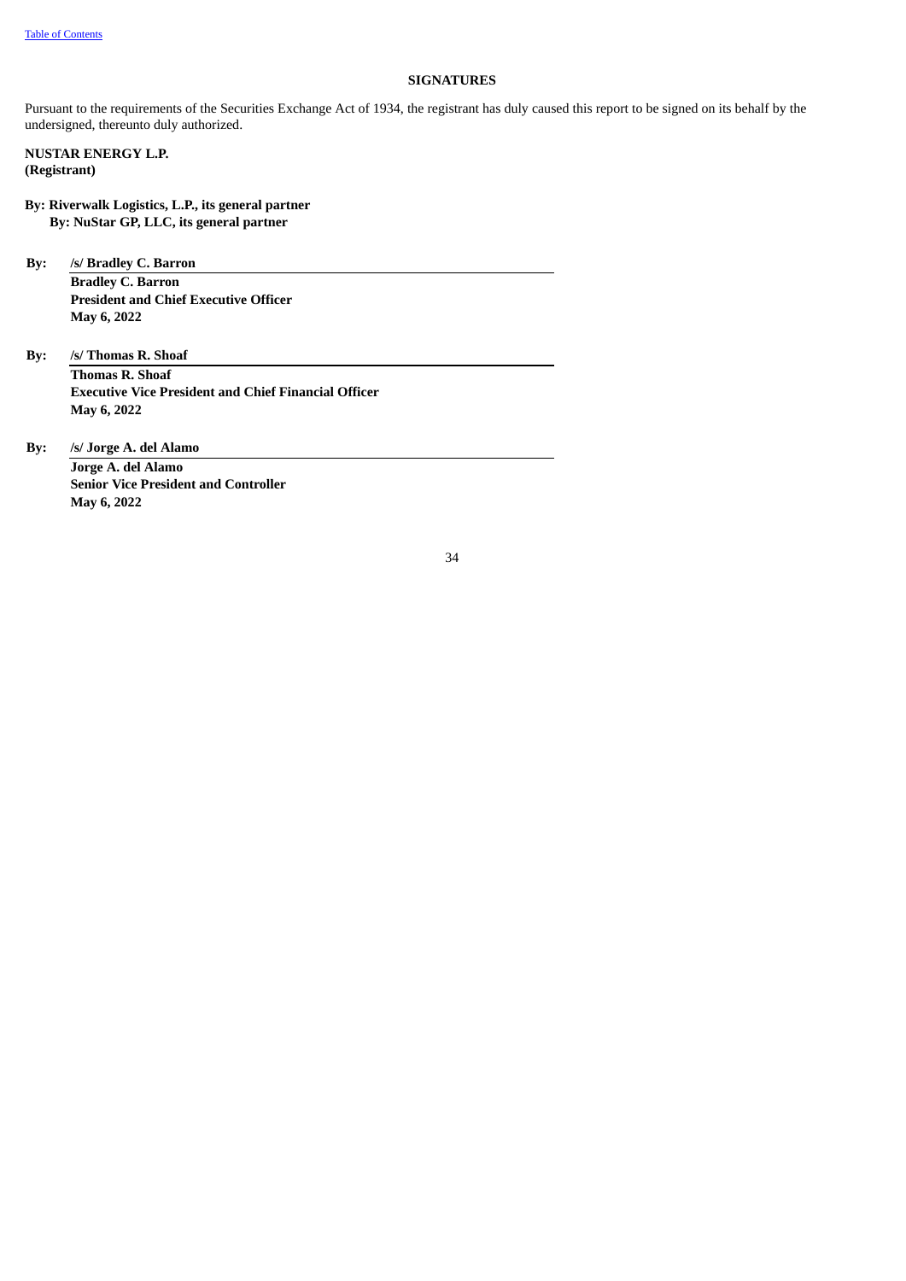## **SIGNATURES**

Pursuant to the requirements of the Securities Exchange Act of 1934, the registrant has duly caused this report to be signed on its behalf by the undersigned, thereunto duly authorized.

**NUSTAR ENERGY L.P. (Registrant)**

- **By: Riverwalk Logistics, L.P., its general partner By: NuStar GP, LLC, its general partner**
- **By: /s/ Bradley C. Barron**

**Bradley C. Barron President and Chief Executive Officer May 6, 2022**

**By: /s/ Thomas R. Shoaf**

**Thomas R. Shoaf Executive Vice President and Chief Financial Officer May 6, 2022**

**By: /s/ Jorge A. del Alamo**

**Jorge A. del Alamo Senior Vice President and Controller May 6, 2022**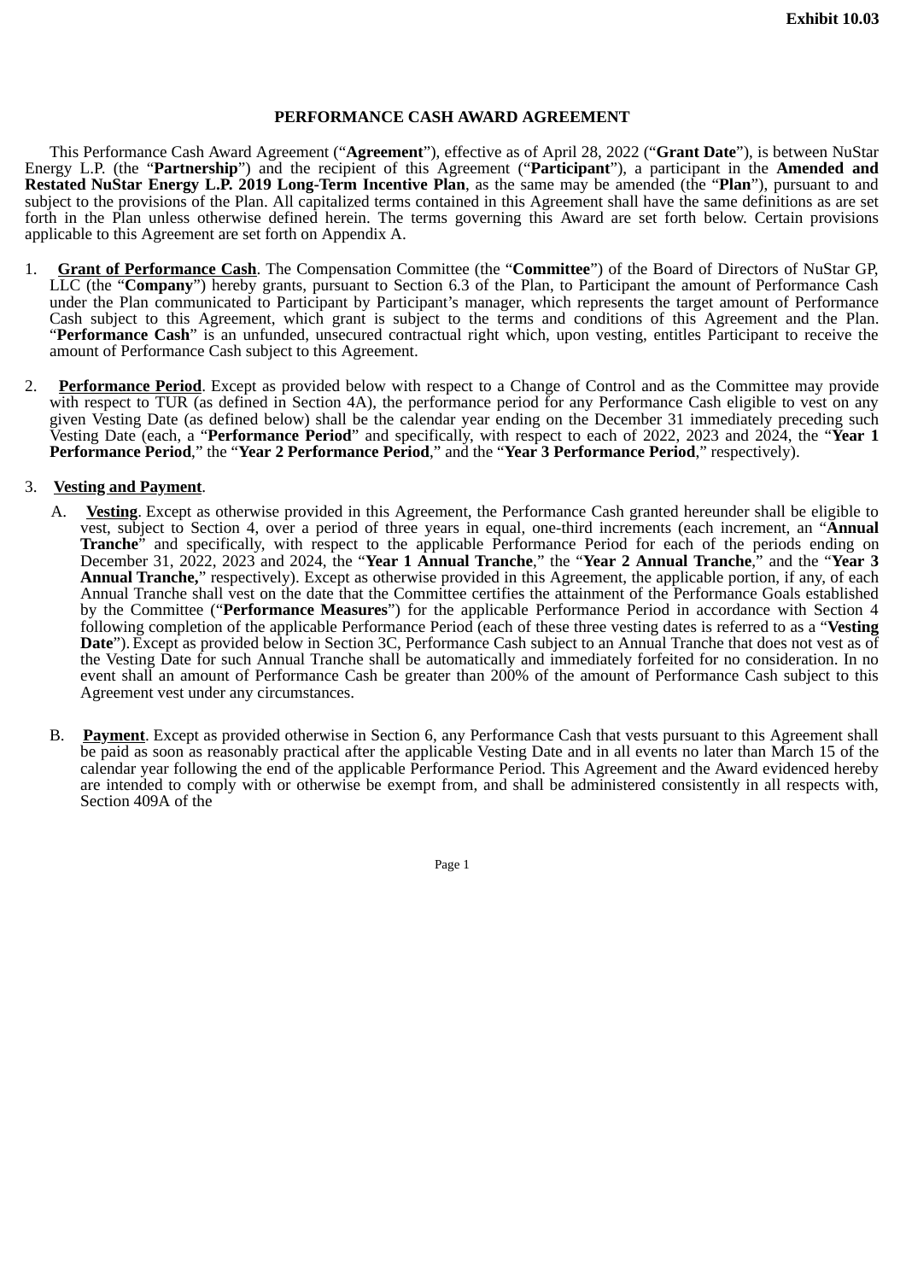## **PERFORMANCE CASH AWARD AGREEMENT**

<span id="page-34-0"></span>This Performance Cash Award Agreement ("**Agreement**"), effective as of April 28, 2022 ("**Grant Date**"), is between NuStar Energy L.P. (the "**Partnership**") and the recipient of this Agreement ("**Participant**"), a participant in the **Amended and Restated NuStar Energy L.P. 2019 Long-Term Incentive Plan**, as the same may be amended (the "**Plan**"), pursuant to and subject to the provisions of the Plan. All capitalized terms contained in this Agreement shall have the same definitions as are set forth in the Plan unless otherwise defined herein. The terms governing this Award are set forth below. Certain provisions applicable to this Agreement are set forth on Appendix A.

- 1. **Grant of Performance Cash**. The Compensation Committee (the "**Committee**") of the Board of Directors of NuStar GP, LLC (the "**Company**") hereby grants, pursuant to Section 6.3 of the Plan, to Participant the amount of Performance Cash under the Plan communicated to Participant by Participant's manager, which represents the target amount of Performance Cash subject to this Agreement, which grant is subject to the terms and conditions of this Agreement and the Plan. "**Performance Cash**" is an unfunded, unsecured contractual right which, upon vesting, entitles Participant to receive the amount of Performance Cash subject to this Agreement.
- 2. **Performance Period**. Except as provided below with respect to a Change of Control and as the Committee may provide with respect to TUR (as defined in Section 4A), the performance period for any Performance Cash eligible to vest on any given Vesting Date (as defined below) shall be the calendar year ending on the December 31 immediately preceding such Vesting Date (each, a "**Performance Period**" and specifically, with respect to each of 2022, 2023 and 2024, the "**Year 1 Performance Period**," the "**Year 2 Performance Period**," and the "**Year 3 Performance Period**," respectively).

## 3. **Vesting and Payment**.

- A. **Vesting**. Except as otherwise provided in this Agreement, the Performance Cash granted hereunder shall be eligible to vest, subject to Section 4, over a period of three years in equal, one-third increments (each increment, an "**Annual Tranche**" and specifically, with respect to the applicable Performance Period for each of the periods ending on December 31, 2022, 2023 and 2024, the "**Year 1 Annual Tranche**," the "**Year 2 Annual Tranche**," and the "**Year 3 Annual Tranche,**" respectively). Except as otherwise provided in this Agreement, the applicable portion, if any, of each Annual Tranche shall vest on the date that the Committee certifies the attainment of the Performance Goals established by the Committee ("**Performance Measures**") for the applicable Performance Period in accordance with Section 4 following completion of the applicable Performance Period (each of these three vesting dates is referred to as a "**Vesting** Date"). Except as provided below in Section 3C, Performance Cash subject to an Annual Tranche that does not vest as of the Vesting Date for such Annual Tranche shall be automatically and immediately forfeited for no consideration. In no event shall an amount of Performance Cash be greater than 200% of the amount of Performance Cash subject to this Agreement vest under any circumstances.
- B. **Payment**. Except as provided otherwise in Section 6, any Performance Cash that vests pursuant to this Agreement shall be paid as soon as reasonably practical after the applicable Vesting Date and in all events no later than March 15 of the calendar year following the end of the applicable Performance Period. This Agreement and the Award evidenced hereby are intended to comply with or otherwise be exempt from, and shall be administered consistently in all respects with, Section 409A of the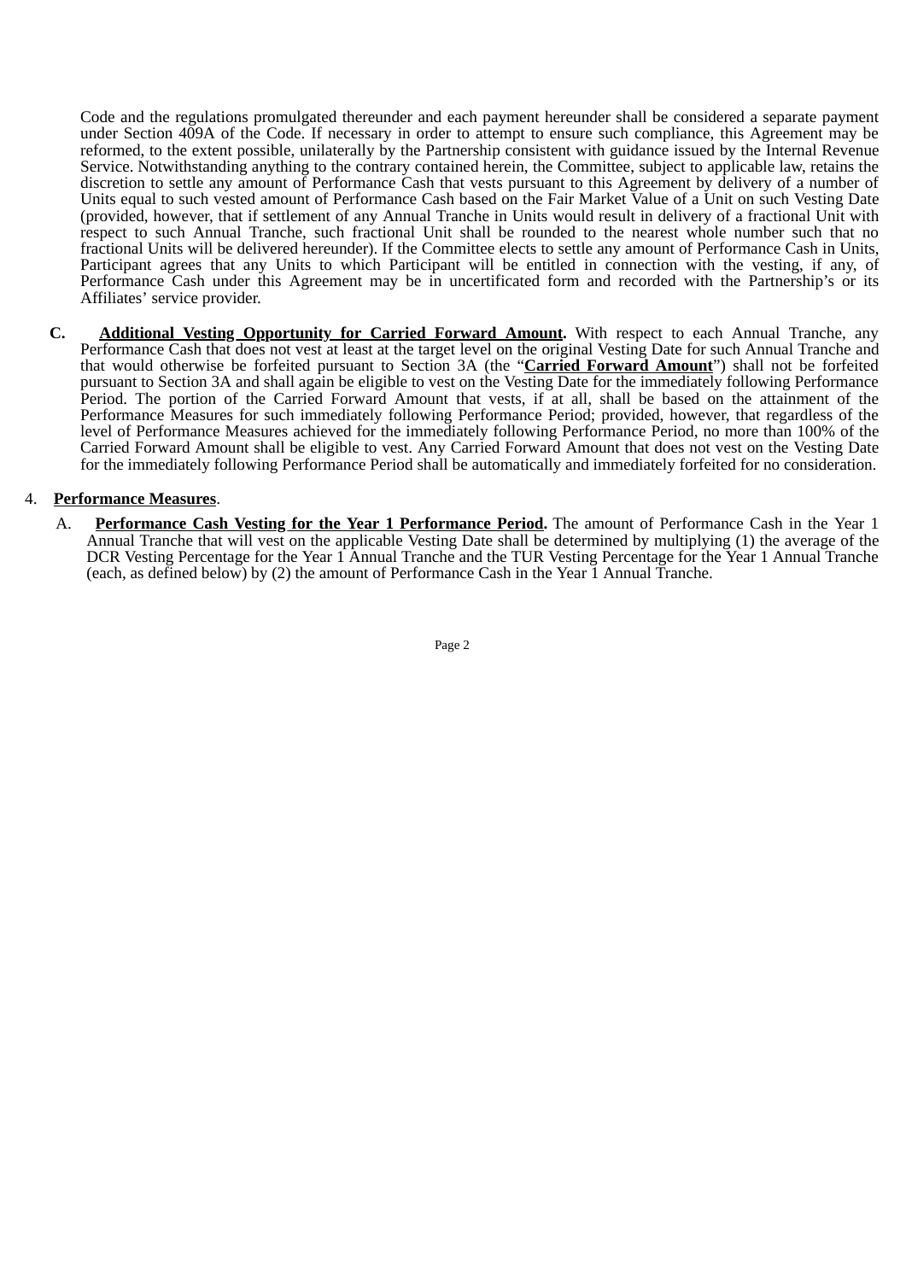Code and the regulations promulgated thereunder and each payment hereunder shall be considered a separate payment under Section 409A of the Code. If necessary in order to attempt to ensure such compliance, this Agreement may be reformed, to the extent possible, unilaterally by the Partnership consistent with guidance issued by the Internal Revenue Service. Notwithstanding anything to the contrary contained herein, the Committee, subject to applicable law, retains the discretion to settle any amount of Performance Cash that vests pursuant to this Agreement by delivery of a number of Units equal to such vested amount of Performance Cash based on the Fair Market Value of a Unit on such Vesting Date (provided, however, that if settlement of any Annual Tranche in Units would result in delivery of a fractional Unit with respect to such Annual Tranche, such fractional Unit shall be rounded to the nearest whole number such that no fractional Units will be delivered hereunder). If the Committee elects to settle any amount of Performance Cash in Units, Participant agrees that any Units to which Participant will be entitled in connection with the vesting, if any, of Performance Cash under this Agreement may be in uncertificated form and recorded with the Partnership's or its Affiliates' service provider.

**C. Additional Vesting Opportunity for Carried Forward Amount.** With respect to each Annual Tranche, any Performance Cash that does not vest at least at the target level on the original Vesting Date for such Annual Tranche and that would otherwise be forfeited pursuant to Section 3A (the "**Carried Forward Amount**") shall not be forfeited pursuant to Section 3A and shall again be eligible to vest on the Vesting Date for the immediately following Performance Period. The portion of the Carried Forward Amount that vests, if at all, shall be based on the attainment of the Performance Measures for such immediately following Performance Period; provided, however, that regardless of the level of Performance Measures achieved for the immediately following Performance Period, no more than 100% of the Carried Forward Amount shall be eligible to vest. Any Carried Forward Amount that does not vest on the Vesting Date for the immediately following Performance Period shall be automatically and immediately forfeited for no consideration.

## 4. **Performance Measures**.

A. **Performance Cash Vesting for the Year 1 Performance Period.** The amount of Performance Cash in the Year 1 Annual Tranche that will vest on the applicable Vesting Date shall be determined by multiplying (1) the average of the DCR Vesting Percentage for the Year 1 Annual Tranche and the TUR Vesting Percentage for the Year 1 Annual Tranche (each, as defined below) by (2) the amount of Performance Cash in the Year 1 Annual Tranche.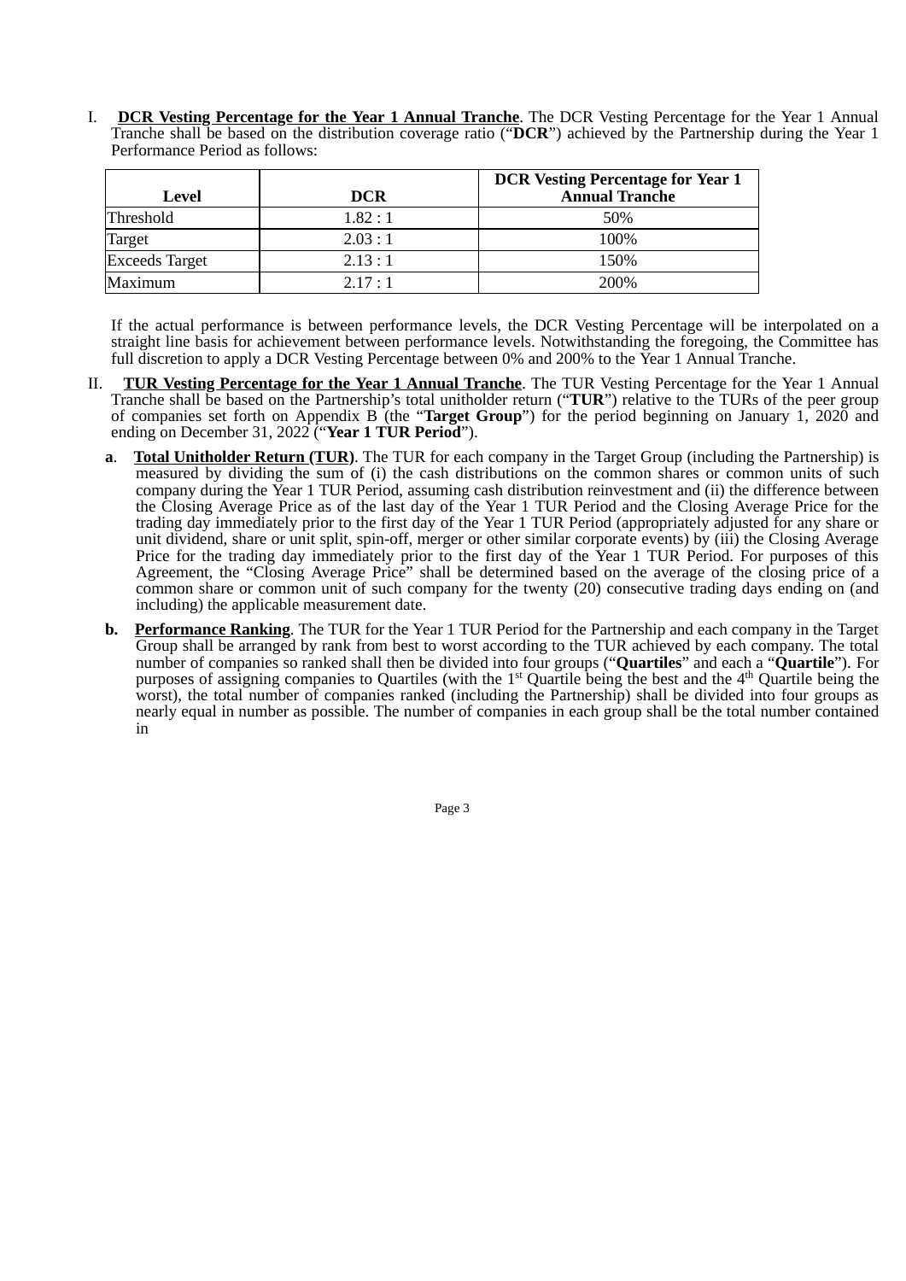I. **DCR Vesting Percentage for the Year 1 Annual Tranche**. The DCR Vesting Percentage for the Year 1 Annual Tranche shall be based on the distribution coverage ratio ("**DCR**") achieved by the Partnership during the Year 1 Performance Period as follows:

| Level                 | <b>DCR</b> | <b>DCR Vesting Percentage for Year 1</b><br><b>Annual Tranche</b> |
|-----------------------|------------|-------------------------------------------------------------------|
| Threshold             | 1.82 : 1   | 50%                                                               |
| <b>Target</b>         | 2.03:1     | 100%                                                              |
| <b>Exceeds Target</b> | 2.13:1     | 150%                                                              |
| Maximum               | 2.17:1     | 200%                                                              |

If the actual performance is between performance levels, the DCR Vesting Percentage will be interpolated on a straight line basis for achievement between performance levels. Notwithstanding the foregoing, the Committee has full discretion to apply a DCR Vesting Percentage between 0% and 200% to the Year 1 Annual Tranche.

- II. **TUR Vesting Percentage for the Year 1 Annual Tranche**. The TUR Vesting Percentage for the Year 1 Annual Tranche shall be based on the Partnership's total unitholder return ("**TUR**") relative to the TURs of the peer group of companies set forth on Appendix B (the "**Target Group**") for the period beginning on January 1, 2020 and ending on December 31, 2022 ("**Year 1 TUR Period**").
	- **a**. **Total Unitholder Return (TUR)**. The TUR for each company in the Target Group (including the Partnership) is measured by dividing the sum of (i) the cash distributions on the common shares or common units of such company during the Year 1 TUR Period, assuming cash distribution reinvestment and (ii) the difference between the Closing Average Price as of the last day of the Year 1 TUR Period and the Closing Average Price for the trading day immediately prior to the first day of the Year 1 TUR Period (appropriately adjusted for any share or unit dividend, share or unit split, spin-off, merger or other similar corporate events) by (iii) the Closing Average Price for the trading day immediately prior to the first day of the Year 1 TUR Period. For purposes of this Agreement, the "Closing Average Price" shall be determined based on the average of the closing price of a common share or common unit of such company for the twenty (20) consecutive trading days ending on (and including) the applicable measurement date.
	- **b. Performance Ranking**. The TUR for the Year 1 TUR Period for the Partnership and each company in the Target Group shall be arranged by rank from best to worst according to the TUR achieved by each company. The total number of companies so ranked shall then be divided into four groups ("**Quartiles**" and each a "**Quartile**"). For purposes of assigning companies to Quartiles (with the  $1<sup>st</sup>$  Quartile being the best and the  $4<sup>th</sup>$  Quartile being the worst), the total number of companies ranked (including the Partnership) shall be divided into four groups as nearly equal in number as possible. The number of companies in each group shall be the total number contained in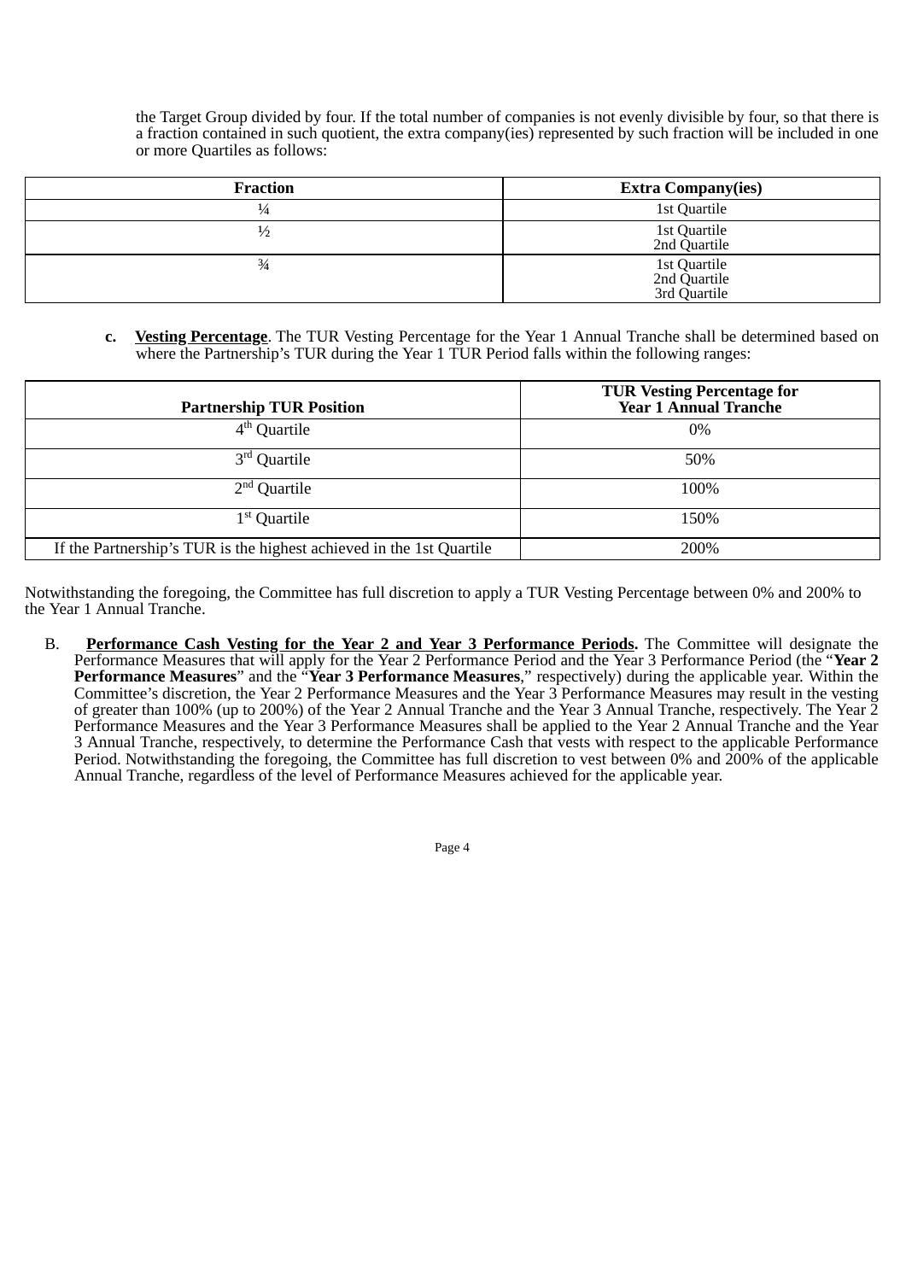the Target Group divided by four. If the total number of companies is not evenly divisible by four, so that there is a fraction contained in such quotient, the extra company(ies) represented by such fraction will be included in one or more Quartiles as follows:

| <b>Fraction</b> | <b>Extra Company(ies)</b>                    |
|-----------------|----------------------------------------------|
| $\frac{1}{4}$   | 1st Quartile                                 |
|                 | 1st Quartile<br>2nd Quartile                 |
| $\frac{3}{4}$   | 1st Quartile<br>2nd Quartile<br>3rd Quartile |

**c. Vesting Percentage**. The TUR Vesting Percentage for the Year 1 Annual Tranche shall be determined based on where the Partnership's TUR during the Year 1 TUR Period falls within the following ranges:

| <b>Partnership TUR Position</b>                                      | <b>TUR Vesting Percentage for</b><br><b>Year 1 Annual Tranche</b> |
|----------------------------------------------------------------------|-------------------------------------------------------------------|
| $4th$ Quartile                                                       | $0\%$                                                             |
| 3 <sup>rd</sup> Quartile                                             | 50%                                                               |
| $2nd$ Quartile                                                       | 100%                                                              |
| $1st$ Quartile                                                       | 150%                                                              |
| If the Partnership's TUR is the highest achieved in the 1st Quartile | 200%                                                              |

Notwithstanding the foregoing, the Committee has full discretion to apply a TUR Vesting Percentage between 0% and 200% to the Year 1 Annual Tranche.

B. **Performance Cash Vesting for the Year 2 and Year 3 Performance Periods.** The Committee will designate the Performance Measures that will apply for the Year 2 Performance Period and the Year 3 Performance Period (the "**Year 2 Performance Measures**" and the "**Year 3 Performance Measures**," respectively) during the applicable year. Within the Committee's discretion, the Year 2 Performance Measures and the Year 3 Performance Measures may result in the vesting of greater than 100% (up to 200%) of the Year 2 Annual Tranche and the Year 3 Annual Tranche, respectively. The Year 2 Performance Measures and the Year 3 Performance Measures shall be applied to the Year 2 Annual Tranche and the Year 3 Annual Tranche, respectively, to determine the Performance Cash that vests with respect to the applicable Performance Period. Notwithstanding the foregoing, the Committee has full discretion to vest between 0% and 200% of the applicable Annual Tranche, regardless of the level of Performance Measures achieved for the applicable year.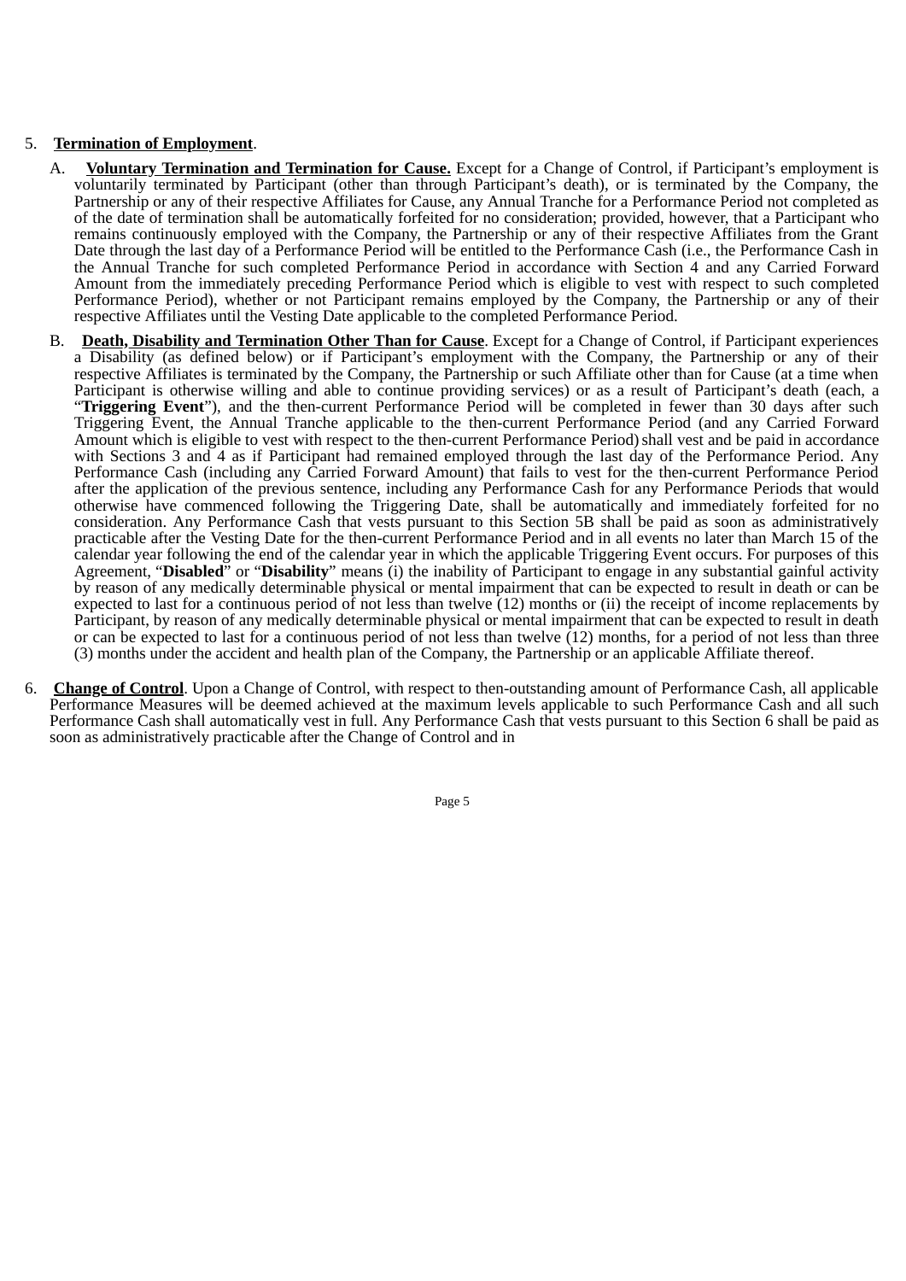## 5. **Termination of Employment**.

- A. **Voluntary Termination and Termination for Cause.** Except for a Change of Control, if Participant's employment is voluntarily terminated by Participant (other than through Participant's death), or is terminated by the Company, the Partnership or any of their respective Affiliates for Cause, any Annual Tranche for a Performance Period not completed as of the date of termination shall be automatically forfeited for no consideration; provided, however, that a Participant who remains continuously employed with the Company, the Partnership or any of their respective Affiliates from the Grant Date through the last day of a Performance Period will be entitled to the Performance Cash (i.e., the Performance Cash in the Annual Tranche for such completed Performance Period in accordance with Section 4 and any Carried Forward Amount from the immediately preceding Performance Period which is eligible to vest with respect to such completed Performance Period), whether or not Participant remains employed by the Company, the Partnership or any of their respective Affiliates until the Vesting Date applicable to the completed Performance Period.
- B. **Death, Disability and Termination Other Than for Cause**. Except for a Change of Control, if Participant experiences a Disability (as defined below) or if Participant's employment with the Company, the Partnership or any of their respective Affiliates is terminated by the Company, the Partnership or such Affiliate other than for Cause (at a time when Participant is otherwise willing and able to continue providing services) or as a result of Participant's death (each, a "**Triggering Event**"), and the then-current Performance Period will be completed in fewer than 30 days after such Triggering Event, the Annual Tranche applicable to the then-current Performance Period (and any Carried Forward Amount which is eligible to vest with respect to the then-current Performance Period) shall vest and be paid in accordance with Sections 3 and 4 as if Participant had remained employed through the last day of the Performance Period. Any Performance Cash (including any Carried Forward Amount) that fails to vest for the then-current Performance Period after the application of the previous sentence, including any Performance Cash for any Performance Periods that would otherwise have commenced following the Triggering Date, shall be automatically and immediately forfeited for no consideration. Any Performance Cash that vests pursuant to this Section 5B shall be paid as soon as administratively practicable after the Vesting Date for the then-current Performance Period and in all events no later than March 15 of the calendar year following the end of the calendar year in which the applicable Triggering Event occurs. For purposes of this Agreement, "**Disabled**" or "**Disability**" means (i) the inability of Participant to engage in any substantial gainful activity by reason of any medically determinable physical or mental impairment that can be expected to result in death or can be expected to last for a continuous period of not less than twelve (12) months or (ii) the receipt of income replacements by Participant, by reason of any medically determinable physical or mental impairment that can be expected to result in death or can be expected to last for a continuous period of not less than twelve  $(12)$  months, for a period of not less than three (3) months under the accident and health plan of the Company, the Partnership or an applicable Affiliate thereof.
- 6. **Change of Control**. Upon a Change of Control, with respect to then-outstanding amount of Performance Cash, all applicable Performance Measures will be deemed achieved at the maximum levels applicable to such Performance Cash and all such Performance Cash shall automatically vest in full. Any Performance Cash that vests pursuant to this Section 6 shall be paid as soon as administratively practicable after the Change of Control and in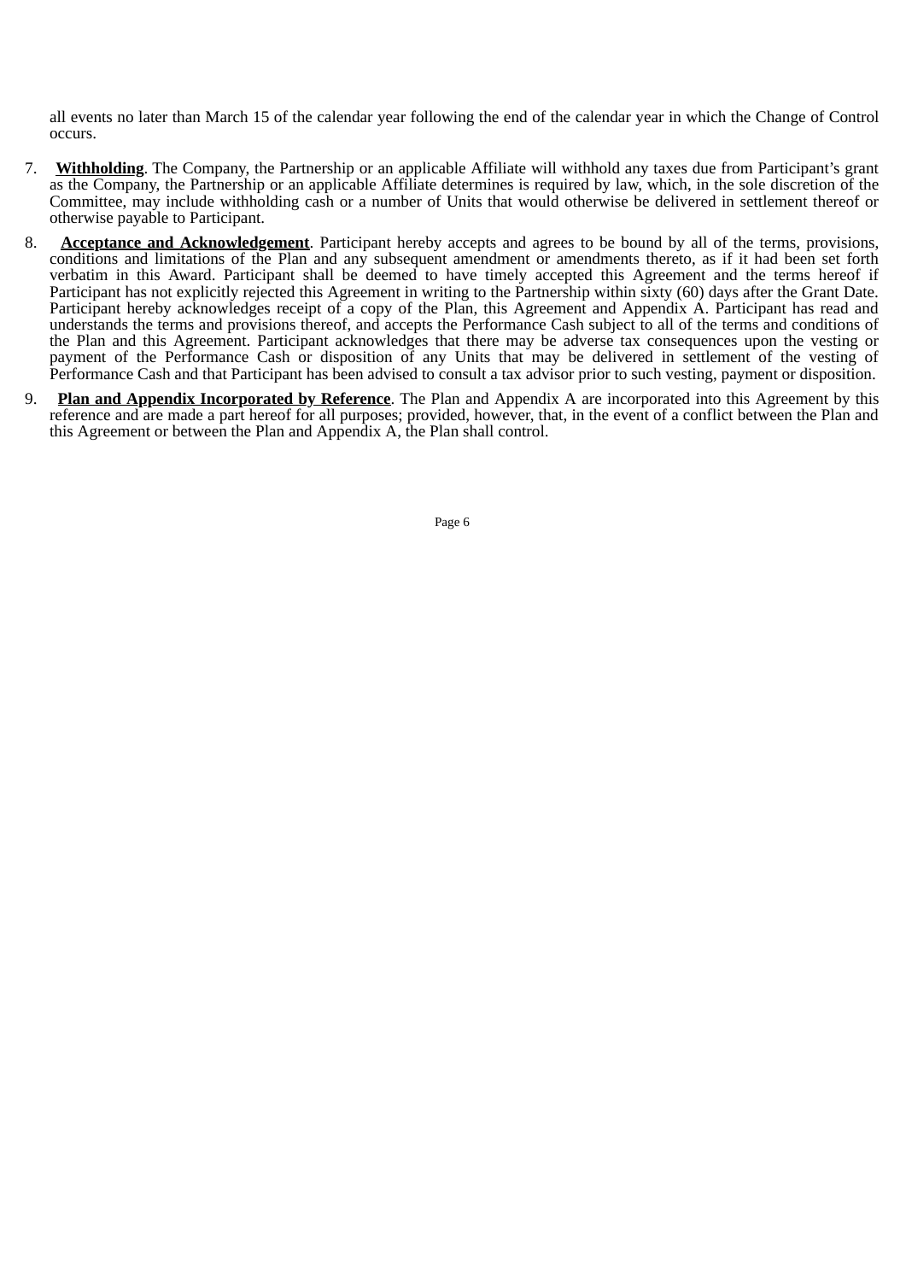all events no later than March 15 of the calendar year following the end of the calendar year in which the Change of Control occurs.

- 7. **Withholding**. The Company, the Partnership or an applicable Affiliate will withhold any taxes due from Participant's grant as the Company, the Partnership or an applicable Affiliate determines is required by law, which, in the sole discretion of the Committee, may include withholding cash or a number of Units that would otherwise be delivered in settlement thereof or otherwise payable to Participant.
- 8. **Acceptance and Acknowledgement**. Participant hereby accepts and agrees to be bound by all of the terms, provisions, conditions and limitations of the Plan and any subsequent amendment or amendments thereto, as if it had been set forth verbatim in this Award. Participant shall be deemed to have timely accepted this Agreement and the terms hereof if Participant has not explicitly rejected this Agreement in writing to the Partnership within sixty (60) days after the Grant Date. Participant hereby acknowledges receipt of a copy of the Plan, this Agreement and Appendix A. Participant has read and understands the terms and provisions thereof, and accepts the Performance Cash subject to all of the terms and conditions of the Plan and this Agreement. Participant acknowledges that there may be adverse tax consequences upon the vesting or payment of the Performance Cash or disposition of any Units that may be delivered in settlement of the vesting of Performance Cash and that Participant has been advised to consult a tax advisor prior to such vesting, payment or disposition.
- 9. **Plan and Appendix Incorporated by Reference**. The Plan and Appendix A are incorporated into this Agreement by this reference and are made a part hereof for all purposes; provided, however, that, in the event of a conflict between the Plan and this Agreement or between the Plan and Appendix A, the Plan shall control.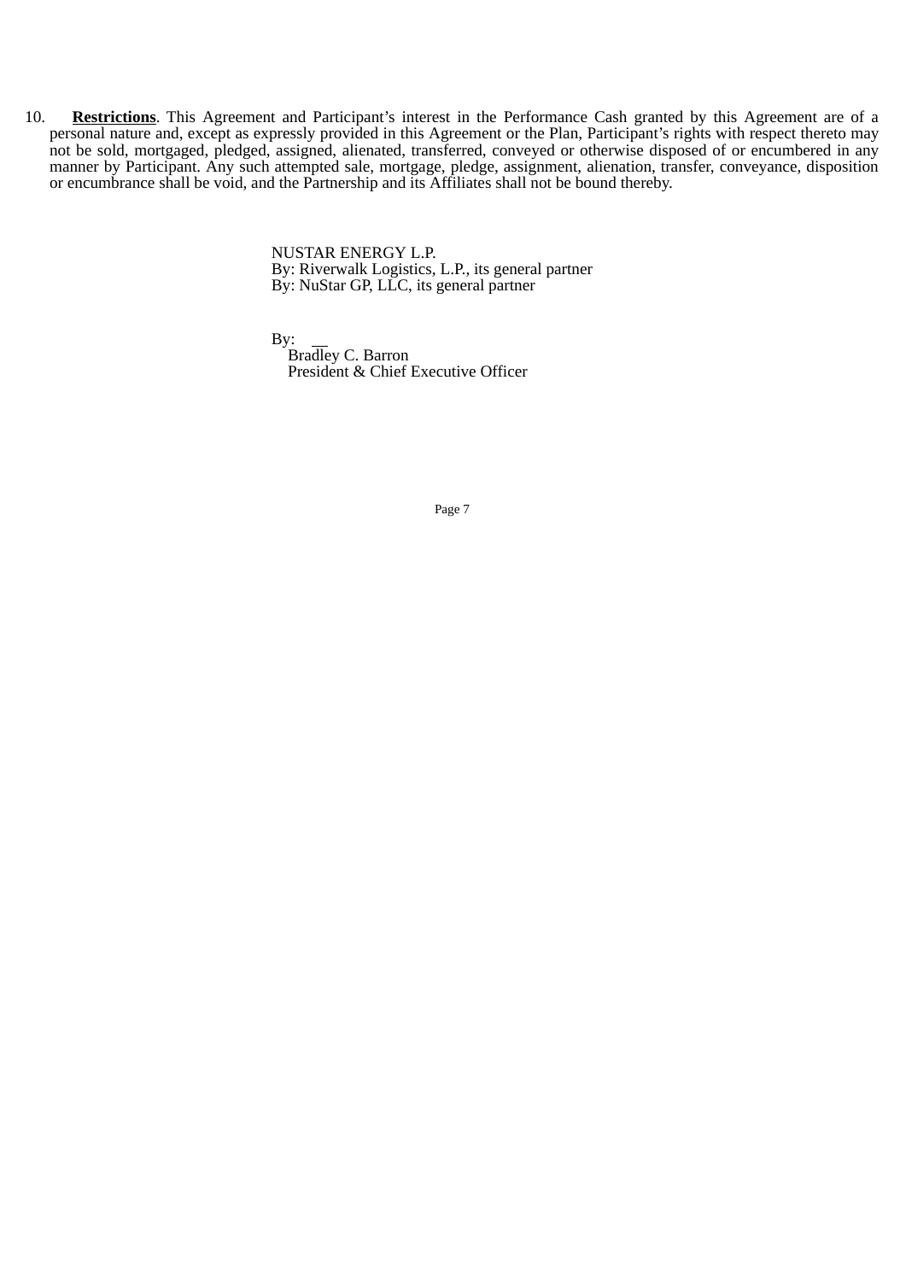10. **Restrictions**. This Agreement and Participant's interest in the Performance Cash granted by this Agreement are of a personal nature and, except as expressly provided in this Agreement or the Plan, Participant's rights with respect thereto may not be sold, mortgaged, pledged, assigned, alienated, transferred, conveyed or otherwise disposed of or encumbered in any manner by Participant. Any such attempted sale, mortgage, pledge, assignment, alienation, transfer, conveyance, disposition or encumbrance shall be void, and the Partnership and its Affiliates shall not be bound thereby.

> NUSTAR ENERGY L.P. By: Riverwalk Logistics, L.P., its general partner By: NuStar GP, LLC, its general partner

By:

Bradley C. Barron President & Chief Executive Officer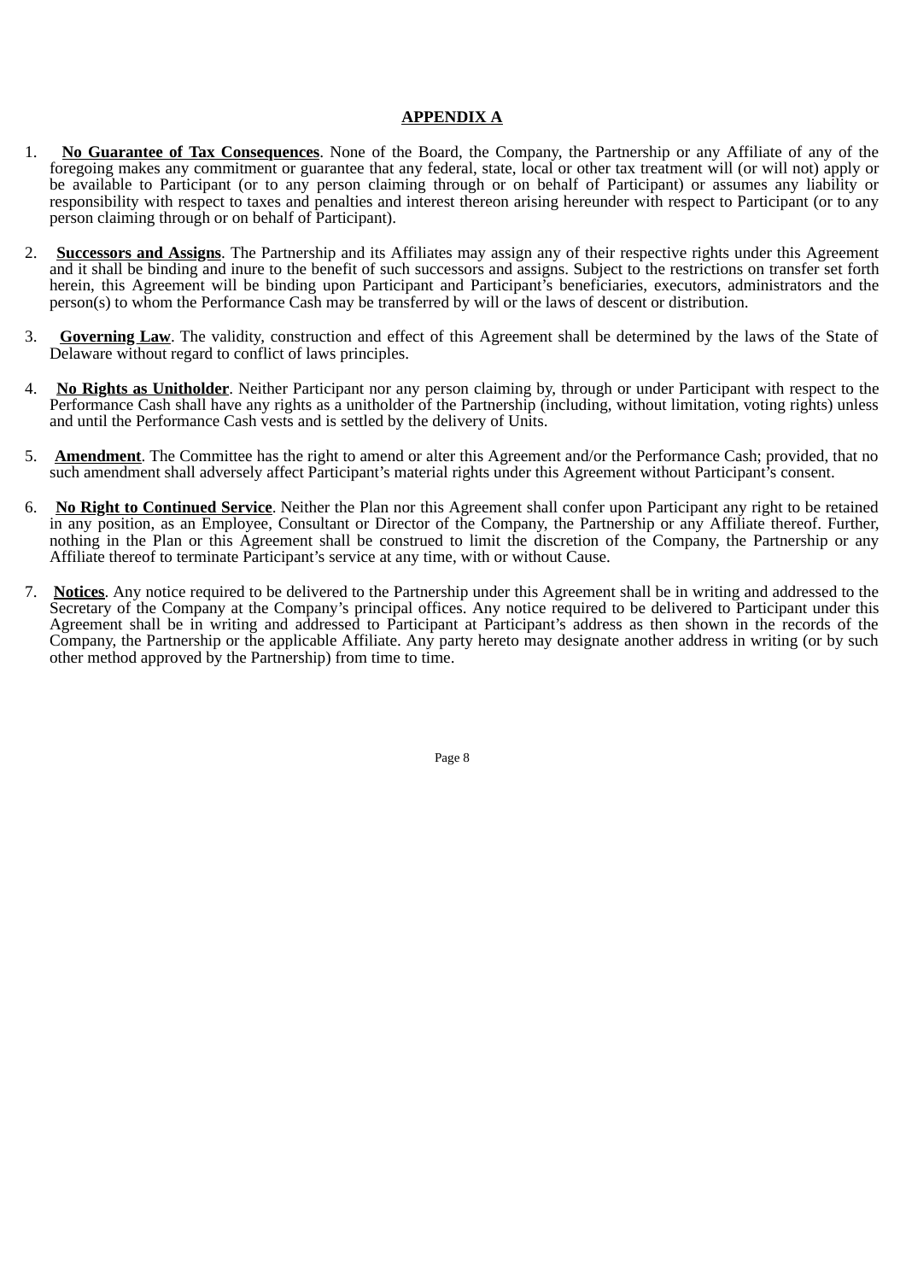## **APPENDIX A**

- 1. **No Guarantee of Tax Consequences**. None of the Board, the Company, the Partnership or any Affiliate of any of the foregoing makes any commitment or guarantee that any federal, state, local or other tax treatment will (or will not) apply or be available to Participant (or to any person claiming through or on behalf of Participant) or assumes any liability or responsibility with respect to taxes and penalties and interest thereon arising hereunder with respect to Participant (or to any person claiming through or on behalf of Participant).
- 2. **Successors and Assigns**. The Partnership and its Affiliates may assign any of their respective rights under this Agreement and it shall be binding and inure to the benefit of such successors and assigns. Subject to the restrictions on transfer set forth herein, this Agreement will be binding upon Participant and Participant's beneficiaries, executors, administrators and the person(s) to whom the Performance Cash may be transferred by will or the laws of descent or distribution.
- 3. **Governing Law**. The validity, construction and effect of this Agreement shall be determined by the laws of the State of Delaware without regard to conflict of laws principles.
- 4. **No Rights as Unitholder**. Neither Participant nor any person claiming by, through or under Participant with respect to the Performance Cash shall have any rights as a unitholder of the Partnership (including, without limitation, voting rights) unless and until the Performance Cash vests and is settled by the delivery of Units.
- 5. **Amendment**. The Committee has the right to amend or alter this Agreement and/or the Performance Cash; provided, that no such amendment shall adversely affect Participant's material rights under this Agreement without Participant's consent.
- 6. **No Right to Continued Service**. Neither the Plan nor this Agreement shall confer upon Participant any right to be retained in any position, as an Employee, Consultant or Director of the Company, the Partnership or any Affiliate thereof. Further, nothing in the Plan or this Agreement shall be construed to limit the discretion of the Company, the Partnership or any Affiliate thereof to terminate Participant's service at any time, with or without Cause.
- 7. **Notices**. Any notice required to be delivered to the Partnership under this Agreement shall be in writing and addressed to the Secretary of the Company at the Company's principal offices. Any notice required to be delivered to Participant under this Agreement shall be in writing and addressed to Participant at Participant's address as then shown in the records of the Company, the Partnership or the applicable Affiliate. Any party hereto may designate another address in writing (or by such other method approved by the Partnership) from time to time.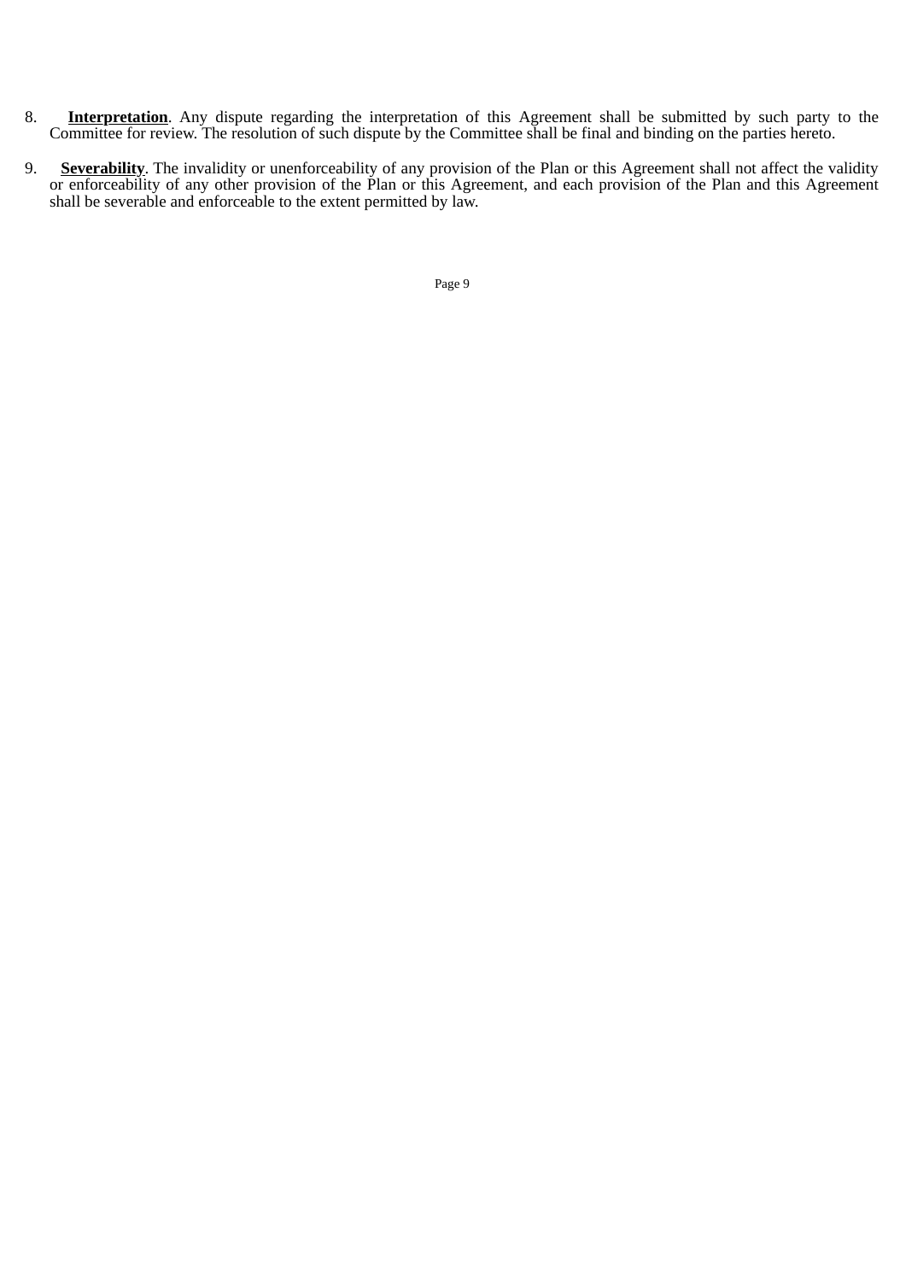- 8. **Interpretation**. Any dispute regarding the interpretation of this Agreement shall be submitted by such party to the Committee for review. The resolution of such dispute by the Committee shall be final and binding on the parties hereto.
- 9. **Severability**. The invalidity or unenforceability of any provision of the Plan or this Agreement shall not affect the validity or enforceability of any other provision of the Plan or this Agreement, and each provision of the Plan and this Agreement shall be severable and enforceable to the extent permitted by law.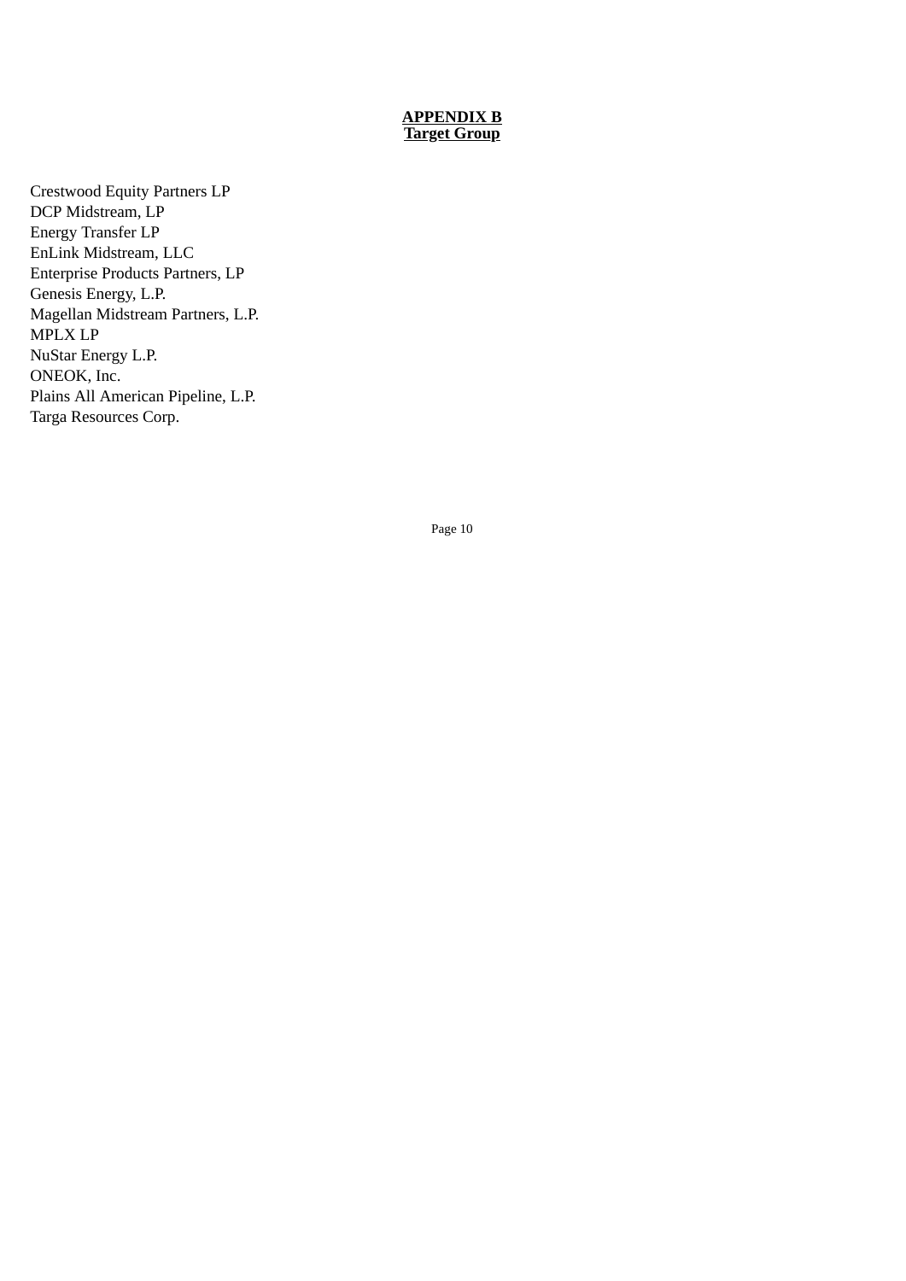## **APPENDIX B Target Group**

Crestwood Equity Partners LP DCP Midstream, LP Energy Transfer LP EnLink Midstream, LLC Enterprise Products Partners, LP Genesis Energy, L.P. Magellan Midstream Partners, L.P. MPLX LP NuStar Energy L.P. ONEOK, Inc. Plains All American Pipeline, L.P. Targa Resources Corp.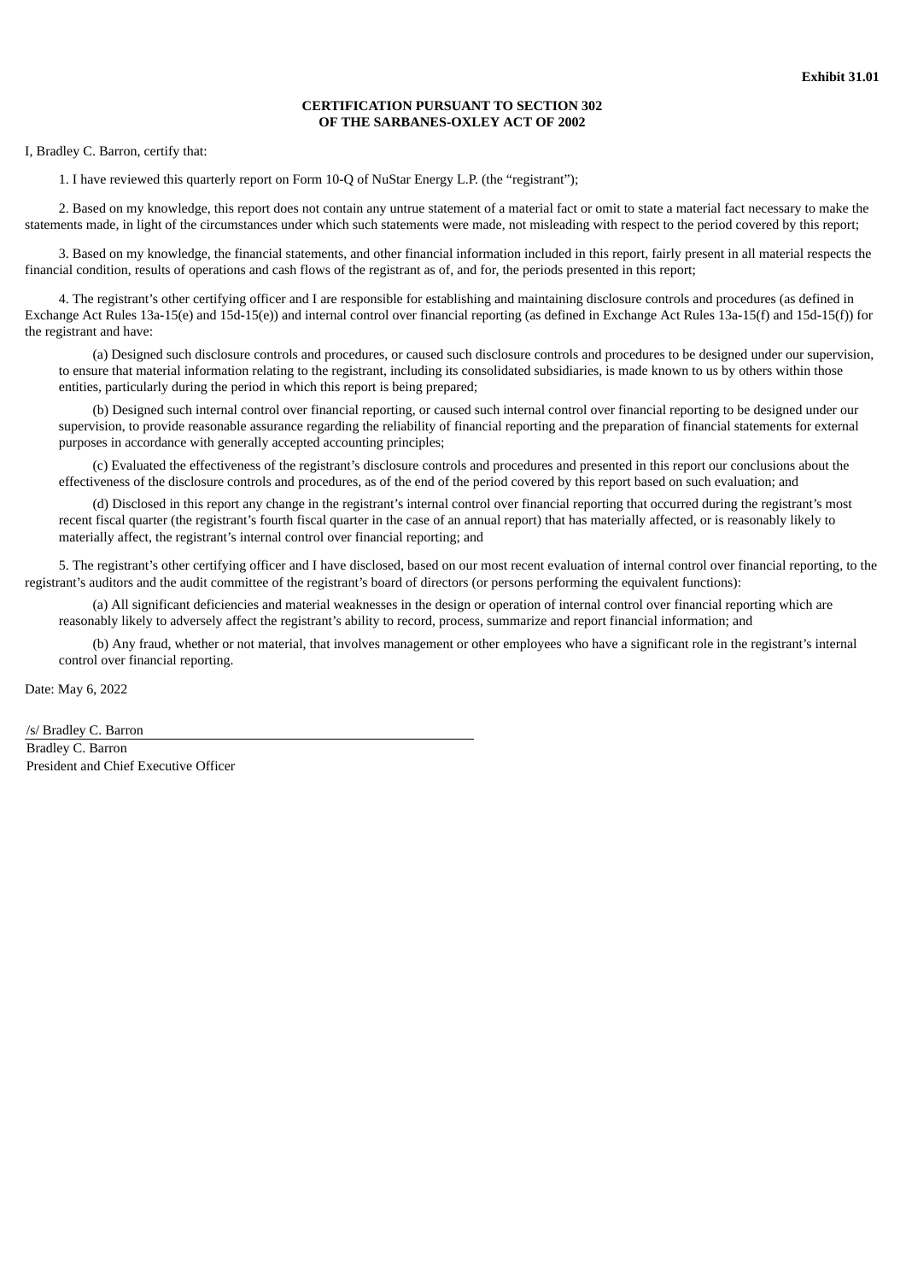#### **CERTIFICATION PURSUANT TO SECTION 302 OF THE SARBANES-OXLEY ACT OF 2002**

<span id="page-44-0"></span>I, Bradley C. Barron, certify that:

1. I have reviewed this quarterly report on Form 10-Q of NuStar Energy L.P. (the "registrant");

2. Based on my knowledge, this report does not contain any untrue statement of a material fact or omit to state a material fact necessary to make the statements made, in light of the circumstances under which such statements were made, not misleading with respect to the period covered by this report;

3. Based on my knowledge, the financial statements, and other financial information included in this report, fairly present in all material respects the financial condition, results of operations and cash flows of the registrant as of, and for, the periods presented in this report;

4. The registrant's other certifying officer and I are responsible for establishing and maintaining disclosure controls and procedures (as defined in Exchange Act Rules 13a-15(e) and 15d-15(e)) and internal control over financial reporting (as defined in Exchange Act Rules 13a-15(f) and 15d-15(f)) for the registrant and have:

(a) Designed such disclosure controls and procedures, or caused such disclosure controls and procedures to be designed under our supervision, to ensure that material information relating to the registrant, including its consolidated subsidiaries, is made known to us by others within those entities, particularly during the period in which this report is being prepared;

(b) Designed such internal control over financial reporting, or caused such internal control over financial reporting to be designed under our supervision, to provide reasonable assurance regarding the reliability of financial reporting and the preparation of financial statements for external purposes in accordance with generally accepted accounting principles;

(c) Evaluated the effectiveness of the registrant's disclosure controls and procedures and presented in this report our conclusions about the effectiveness of the disclosure controls and procedures, as of the end of the period covered by this report based on such evaluation; and

(d) Disclosed in this report any change in the registrant's internal control over financial reporting that occurred during the registrant's most recent fiscal quarter (the registrant's fourth fiscal quarter in the case of an annual report) that has materially affected, or is reasonably likely to materially affect, the registrant's internal control over financial reporting; and

5. The registrant's other certifying officer and I have disclosed, based on our most recent evaluation of internal control over financial reporting, to the registrant's auditors and the audit committee of the registrant's board of directors (or persons performing the equivalent functions):

(a) All significant deficiencies and material weaknesses in the design or operation of internal control over financial reporting which are reasonably likely to adversely affect the registrant's ability to record, process, summarize and report financial information; and

(b) Any fraud, whether or not material, that involves management or other employees who have a significant role in the registrant's internal control over financial reporting.

Date: May 6, 2022

/s/ Bradley C. Barron Bradley C. Barron President and Chief Executive Officer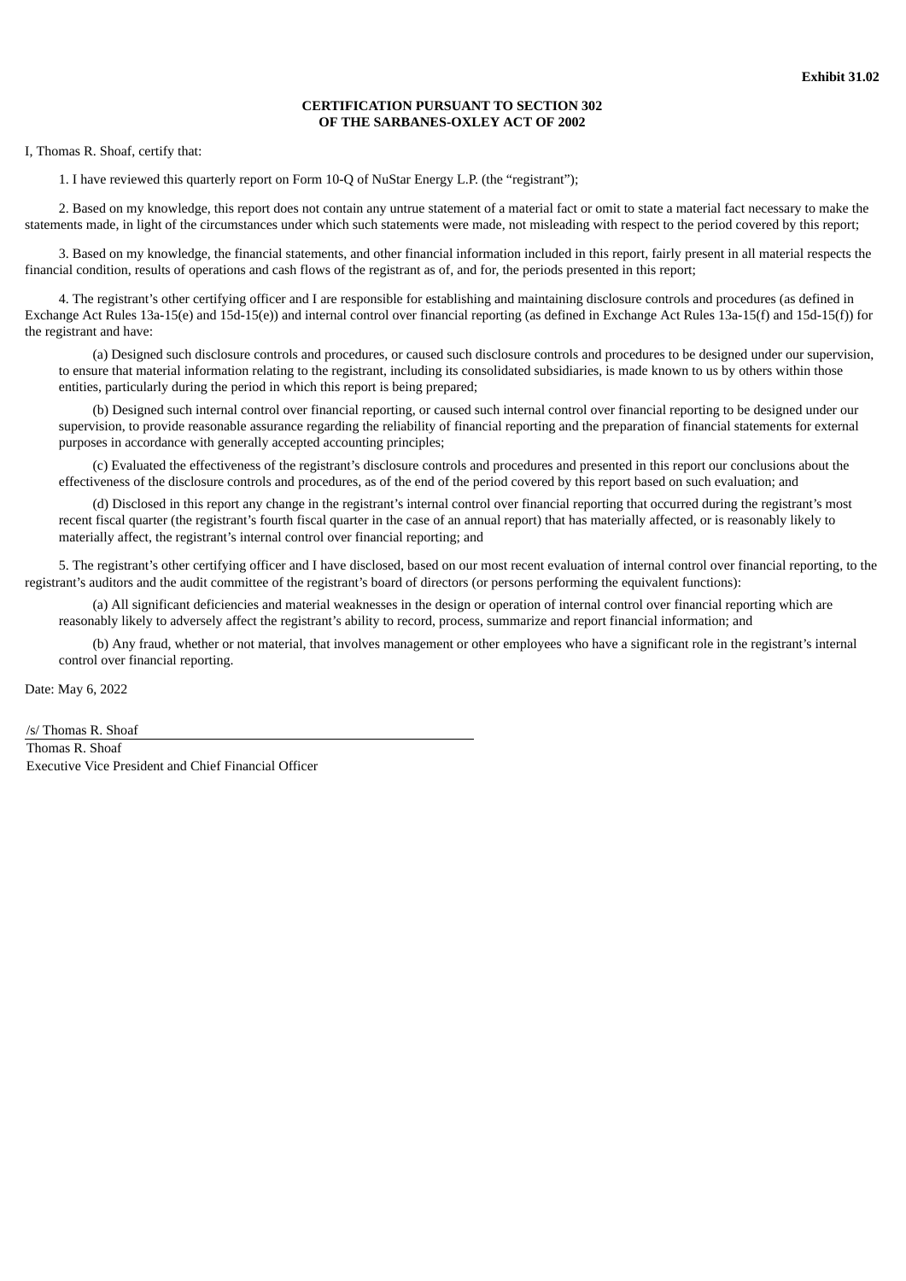#### **CERTIFICATION PURSUANT TO SECTION 302 OF THE SARBANES-OXLEY ACT OF 2002**

<span id="page-45-0"></span>I, Thomas R. Shoaf, certify that:

1. I have reviewed this quarterly report on Form 10-Q of NuStar Energy L.P. (the "registrant");

2. Based on my knowledge, this report does not contain any untrue statement of a material fact or omit to state a material fact necessary to make the statements made, in light of the circumstances under which such statements were made, not misleading with respect to the period covered by this report;

3. Based on my knowledge, the financial statements, and other financial information included in this report, fairly present in all material respects the financial condition, results of operations and cash flows of the registrant as of, and for, the periods presented in this report;

4. The registrant's other certifying officer and I are responsible for establishing and maintaining disclosure controls and procedures (as defined in Exchange Act Rules 13a-15(e) and 15d-15(e)) and internal control over financial reporting (as defined in Exchange Act Rules 13a-15(f) and 15d-15(f)) for the registrant and have:

(a) Designed such disclosure controls and procedures, or caused such disclosure controls and procedures to be designed under our supervision, to ensure that material information relating to the registrant, including its consolidated subsidiaries, is made known to us by others within those entities, particularly during the period in which this report is being prepared;

(b) Designed such internal control over financial reporting, or caused such internal control over financial reporting to be designed under our supervision, to provide reasonable assurance regarding the reliability of financial reporting and the preparation of financial statements for external purposes in accordance with generally accepted accounting principles;

(c) Evaluated the effectiveness of the registrant's disclosure controls and procedures and presented in this report our conclusions about the effectiveness of the disclosure controls and procedures, as of the end of the period covered by this report based on such evaluation; and

(d) Disclosed in this report any change in the registrant's internal control over financial reporting that occurred during the registrant's most recent fiscal quarter (the registrant's fourth fiscal quarter in the case of an annual report) that has materially affected, or is reasonably likely to materially affect, the registrant's internal control over financial reporting; and

5. The registrant's other certifying officer and I have disclosed, based on our most recent evaluation of internal control over financial reporting, to the registrant's auditors and the audit committee of the registrant's board of directors (or persons performing the equivalent functions):

(a) All significant deficiencies and material weaknesses in the design or operation of internal control over financial reporting which are reasonably likely to adversely affect the registrant's ability to record, process, summarize and report financial information; and

(b) Any fraud, whether or not material, that involves management or other employees who have a significant role in the registrant's internal control over financial reporting.

Date: May 6, 2022

/s/ Thomas R. Shoaf

Thomas R. Shoaf Executive Vice President and Chief Financial Officer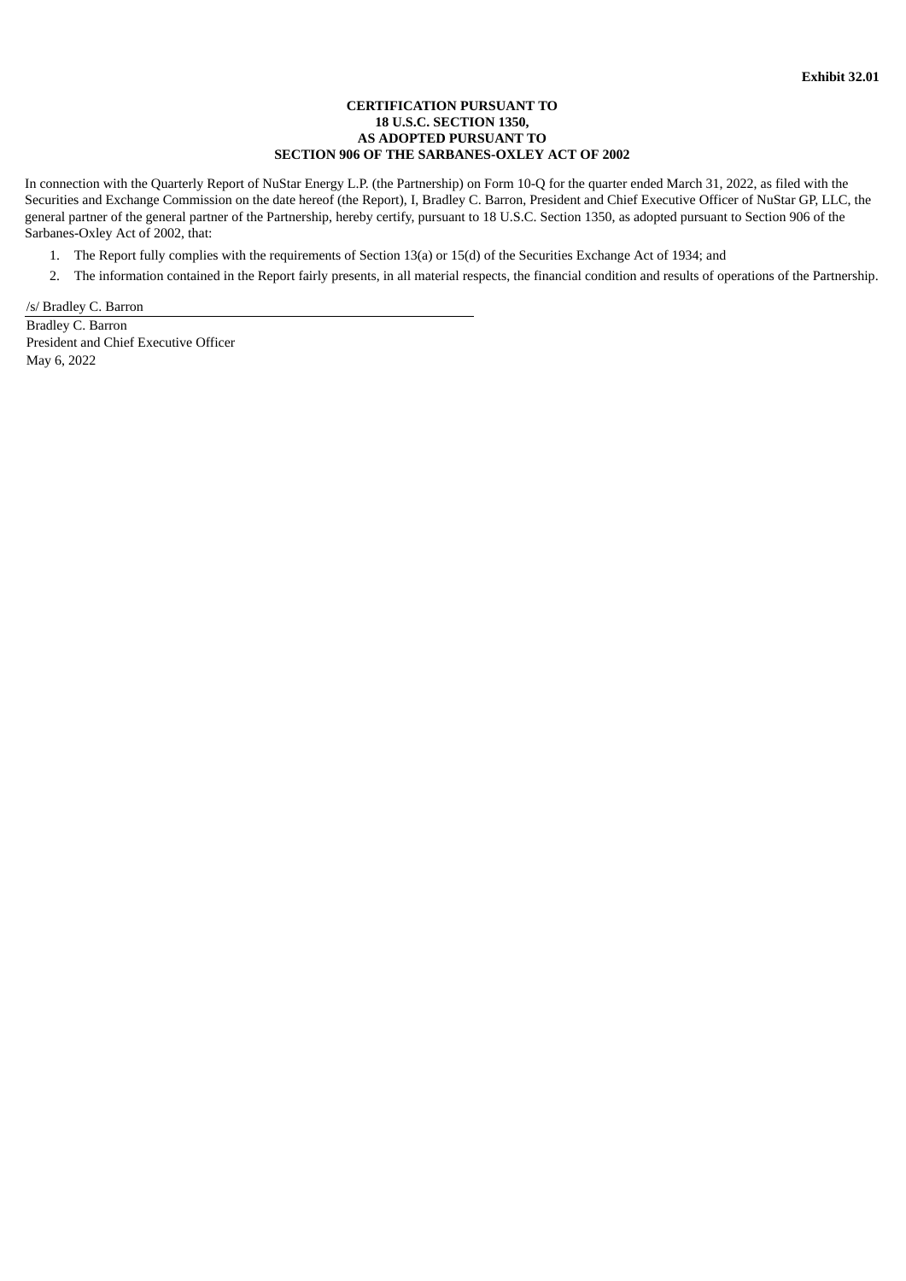#### **CERTIFICATION PURSUANT TO 18 U.S.C. SECTION 1350, AS ADOPTED PURSUANT TO SECTION 906 OF THE SARBANES-OXLEY ACT OF 2002**

<span id="page-46-0"></span>In connection with the Quarterly Report of NuStar Energy L.P. (the Partnership) on Form 10-Q for the quarter ended March 31, 2022, as filed with the Securities and Exchange Commission on the date hereof (the Report), I, Bradley C. Barron, President and Chief Executive Officer of NuStar GP, LLC, the general partner of the general partner of the Partnership, hereby certify, pursuant to 18 U.S.C. Section 1350, as adopted pursuant to Section 906 of the Sarbanes-Oxley Act of 2002, that:

- 1. The Report fully complies with the requirements of Section 13(a) or 15(d) of the Securities Exchange Act of 1934; and
- 2. The information contained in the Report fairly presents, in all material respects, the financial condition and results of operations of the Partnership.

/s/ Bradley C. Barron

Bradley C. Barron President and Chief Executive Officer May 6, 2022